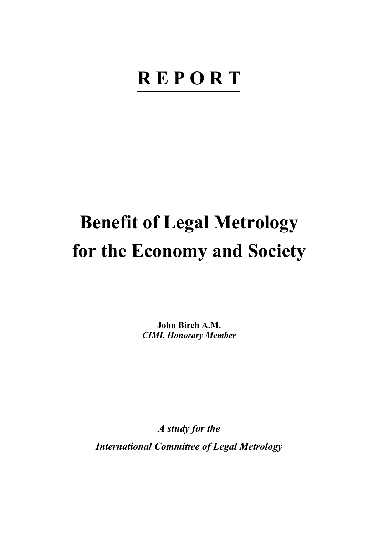# **R E P O R T**

# **Benefit of Legal Metrology for the Economy and Society**

**John Birch A.M.**  *CIML Honorary Member* 

*A study for the International Committee of Legal Metrology*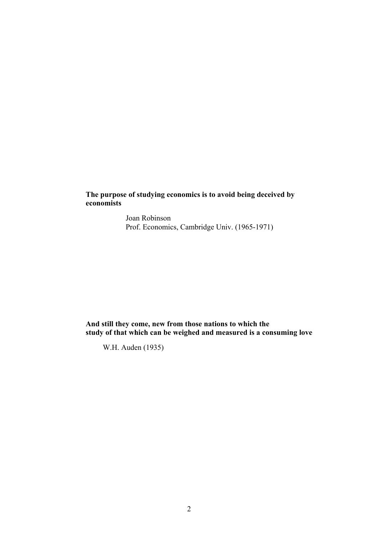**The purpose of studying economics is to avoid being deceived by economists** 

> Joan Robinson Prof. Economics, Cambridge Univ. (1965-1971)

**And still they come, new from those nations to which the study of that which can be weighed and measured is a consuming love** 

W.H. Auden (1935)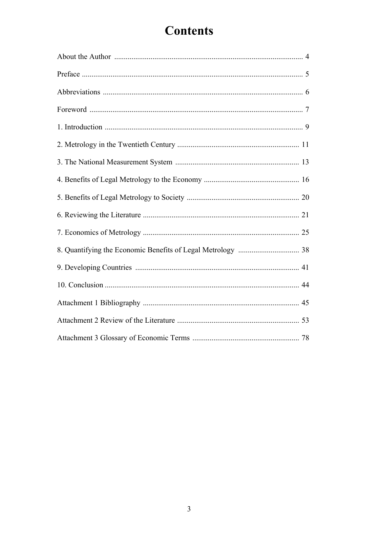## **Contents**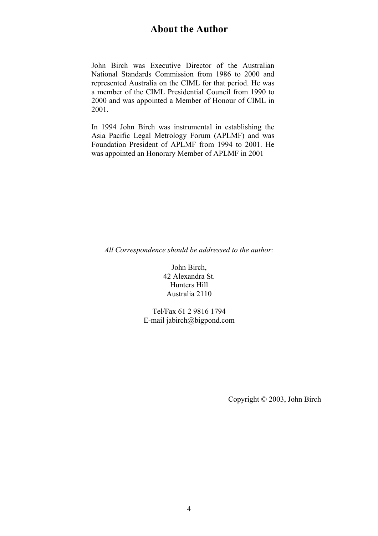John Birch was Executive Director of the Australian National Standards Commission from 1986 to 2000 and represented Australia on the CIML for that period. He was a member of the CIML Presidential Council from 1990 to 2000 and was appointed a Member of Honour of CIML in 2001.

In 1994 John Birch was instrumental in establishing the Asia Pacific Legal Metrology Forum (APLMF) and was Foundation President of APLMF from 1994 to 2001. He was appointed an Honorary Member of APLMF in 2001

*All Correspondence should be addressed to the author:* 

John Birch, 42 Alexandra St. Hunters Hill Australia 2110

Tel/Fax 61 2 9816 1794 E-mail jabirch@bigpond.com

Copyright © 2003, John Birch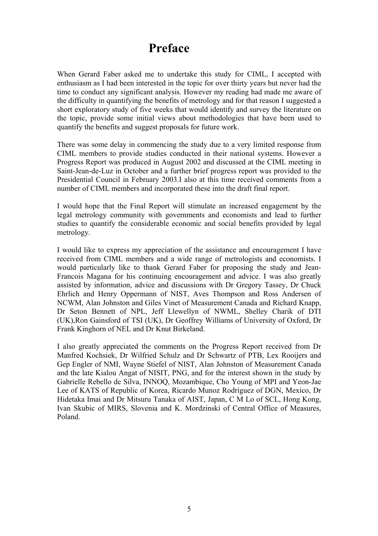### **Preface**

When Gerard Faber asked me to undertake this study for CIML, I accepted with enthusiasm as I had been interested in the topic for over thirty years but never had the time to conduct any significant analysis. However my reading had made me aware of the difficulty in quantifying the benefits of metrology and for that reason I suggested a short exploratory study of five weeks that would identify and survey the literature on the topic, provide some initial views about methodologies that have been used to quantify the benefits and suggest proposals for future work.

There was some delay in commencing the study due to a very limited response from CIML members to provide studies conducted in their national systems. However a Progress Report was produced in August 2002 and discussed at the CIML meeting in Saint-Jean-de-Luz in October and a further brief progress report was provided to the Presidential Council in February 2003.I also at this time received comments from a number of CIML members and incorporated these into the draft final report.

I would hope that the Final Report will stimulate an increased engagement by the legal metrology community with governments and economists and lead to further studies to quantify the considerable economic and social benefits provided by legal metrology.

I would like to express my appreciation of the assistance and encouragement I have received from CIML members and a wide range of metrologists and economists. I would particularly like to thank Gerard Faber for proposing the study and Jean-Francois Magana for his continuing encouragement and advice. I was also greatly assisted by information, advice and discussions with Dr Gregory Tassey, Dr Chuck Ehrlich and Henry Oppermann of NIST, Aves Thompson and Ross Andersen of NCWM, Alan Johnston and Giles Vinet of Measurement Canada and Richard Knapp, Dr Seton Bennett of NPL, Jeff Llewellyn of NWML, Shelley Charik of DTI (UK),Ron Gainsford of TSI (UK), Dr Geoffrey Williams of University of Oxford, Dr Frank Kinghorn of NEL and Dr Knut Birkeland.

I also greatly appreciated the comments on the Progress Report received from Dr Manfred Kochsiek, Dr Wilfried Schulz and Dr Schwartz of PTB, Lex Rooijers and Gep Engler of NMI, Wayne Stiefel of NIST, Alan Johnston of Measurement Canada and the late Kialou Angat of NISIT, PNG, and for the interest shown in the study by Gabrielle Rebello de Silva, INNOQ, Mozambique, Cho Young of MPI and Yeon-Jae Lee of KATS of Republic of Korea, Ricardo Munoz Rodriguez of DGN, Mexico, Dr Hidetaka Imai and Dr Mitsuru Tanaka of AIST, Japan, C M Lo of SCL, Hong Kong, Ivan Skubic of MIRS, Slovenia and K. Mordzinski of Central Office of Measures, Poland.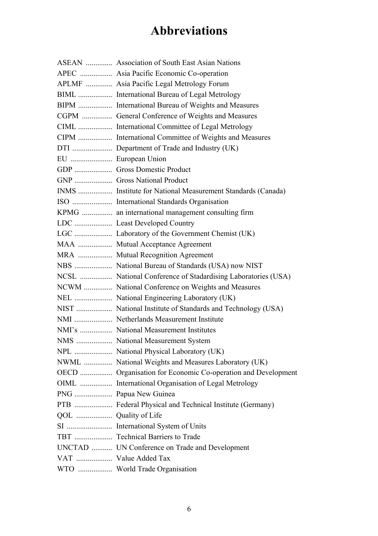## **Abbreviations**

|                      | ASEAN  Association of South East Asian Nations               |
|----------------------|--------------------------------------------------------------|
|                      | APEC  Asia Pacific Economic Co-operation                     |
|                      | APLMF  Asia Pacific Legal Metrology Forum                    |
|                      | BIML  International Bureau of Legal Metrology                |
|                      | BIPM  International Bureau of Weights and Measures           |
|                      | CGPM  General Conference of Weights and Measures             |
|                      | CIML  International Committee of Legal Metrology             |
|                      | CIPM  International Committee of Weights and Measures        |
|                      | DTI  Department of Trade and Industry (UK)                   |
| EU  European Union   |                                                              |
|                      | GDP  Gross Domestic Product                                  |
|                      | GNP  Gross National Product                                  |
|                      | INMS  Institute for National Measurement Standards (Canada)  |
|                      |                                                              |
|                      | KPMG  an international management consulting firm            |
|                      |                                                              |
|                      |                                                              |
|                      | MAA  Mutual Acceptance Agreement                             |
|                      | MRA  Mutual Recognition Agreement                            |
|                      |                                                              |
|                      | NCSL  National Conference of Stadardising Laboratories (USA) |
|                      | NCWM  National Conference on Weights and Measures            |
|                      |                                                              |
|                      |                                                              |
|                      |                                                              |
|                      | NMI's  National Measurement Institutes                       |
|                      | NMS  National Measurement System                             |
|                      |                                                              |
|                      | NWML  National Weights and Measures Laboratory (UK)          |
|                      | OECD  Organisation for Economic Co-operation and Development |
|                      | OIML  International Organisation of Legal Metrology          |
|                      | PNG  Papua New Guinea                                        |
|                      | PTB  Federal Physical and Technical Institute (Germany)      |
|                      |                                                              |
|                      |                                                              |
|                      | TBT  Technical Barriers to Trade                             |
|                      | UNCTAD  UN Conference on Trade and Development               |
| VAT  Value Added Tax |                                                              |
|                      | WTO  World Trade Organisation                                |
|                      |                                                              |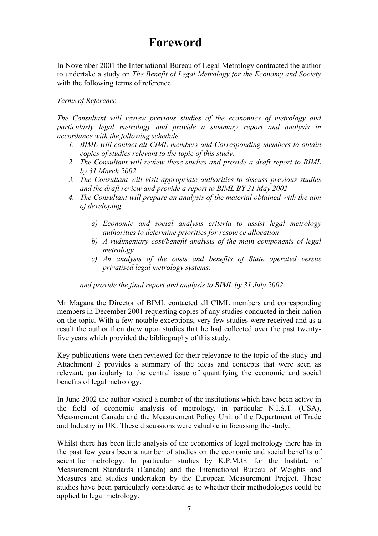### **Foreword**

In November 2001 the International Bureau of Legal Metrology contracted the author to undertake a study on *The Benefit of Legal Metrology for the Economy and Society* with the following terms of reference.

#### *Terms of Reference*

*The Consultant will review previous studies of the economics of metrology and particularly legal metrology and provide a summary report and analysis in accordance with the following schedule.* 

- *1. BIML will contact all CIML members and Corresponding members to obtain copies of studies relevant to the topic of this study.*
- *2. The Consultant will review these studies and provide a draft report to BIML by 31 March 2002*
- *3. The Consultant will visit appropriate authorities to discuss previous studies and the draft review and provide a report to BIML BY 31 May 2002*
- *4. The Consultant will prepare an analysis of the material obtained with the aim of developing* 
	- *a) Economic and social analysis criteria to assist legal metrology authorities to determine priorities for resource allocation*
	- *b) A rudimentary cost/benefit analysis of the main components of legal metrology*
	- *c) An analysis of the costs and benefits of State operated versus privatised legal metrology systems.*

#### *and provide the final report and analysis to BIML by 31 July 2002*

Mr Magana the Director of BIML contacted all CIML members and corresponding members in December 2001 requesting copies of any studies conducted in their nation on the topic. With a few notable exceptions, very few studies were received and as a result the author then drew upon studies that he had collected over the past twentyfive years which provided the bibliography of this study.

Key publications were then reviewed for their relevance to the topic of the study and Attachment 2 provides a summary of the ideas and concepts that were seen as relevant, particularly to the central issue of quantifying the economic and social benefits of legal metrology.

In June 2002 the author visited a number of the institutions which have been active in the field of economic analysis of metrology, in particular N.I.S.T. (USA), Measurement Canada and the Measurement Policy Unit of the Department of Trade and Industry in UK. These discussions were valuable in focussing the study.

Whilst there has been little analysis of the economics of legal metrology there has in the past few years been a number of studies on the economic and social benefits of scientific metrology. In particular studies by K.P.M.G. for the Institute of Measurement Standards (Canada) and the International Bureau of Weights and Measures and studies undertaken by the European Measurement Project. These studies have been particularly considered as to whether their methodologies could be applied to legal metrology.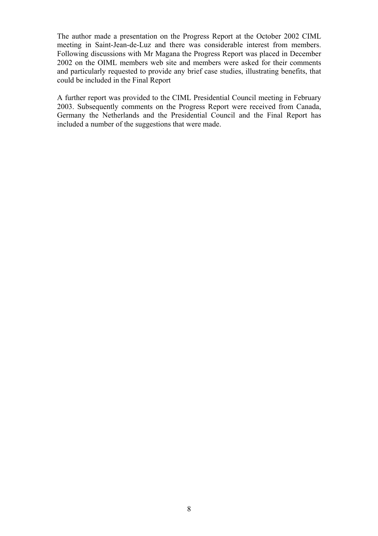The author made a presentation on the Progress Report at the October 2002 CIML meeting in Saint-Jean-de-Luz and there was considerable interest from members. Following discussions with Mr Magana the Progress Report was placed in December 2002 on the OIML members web site and members were asked for their comments and particularly requested to provide any brief case studies, illustrating benefits, that could be included in the Final Report

A further report was provided to the CIML Presidential Council meeting in February 2003. Subsequently comments on the Progress Report were received from Canada, Germany the Netherlands and the Presidential Council and the Final Report has included a number of the suggestions that were made.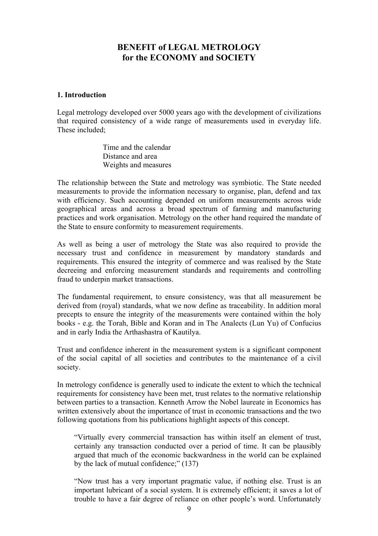#### **BENEFIT of LEGAL METROLOGY for the ECONOMY and SOCIETY**

#### **1. Introduction**

Legal metrology developed over 5000 years ago with the development of civilizations that required consistency of a wide range of measurements used in everyday life. These included<sup>-</sup>

> Time and the calendar Distance and area Weights and measures

The relationship between the State and metrology was symbiotic. The State needed measurements to provide the information necessary to organise, plan, defend and tax with efficiency. Such accounting depended on uniform measurements across wide geographical areas and across a broad spectrum of farming and manufacturing practices and work organisation. Metrology on the other hand required the mandate of the State to ensure conformity to measurement requirements.

As well as being a user of metrology the State was also required to provide the necessary trust and confidence in measurement by mandatory standards and requirements. This ensured the integrity of commerce and was realised by the State decreeing and enforcing measurement standards and requirements and controlling fraud to underpin market transactions.

The fundamental requirement, to ensure consistency, was that all measurement be derived from (royal) standards, what we now define as traceability. In addition moral precepts to ensure the integrity of the measurements were contained within the holy books - e.g. the Torah, Bible and Koran and in The Analects (Lun Yu) of Confucius and in early India the Arthashastra of Kautilya.

Trust and confidence inherent in the measurement system is a significant component of the social capital of all societies and contributes to the maintenance of a civil society.

In metrology confidence is generally used to indicate the extent to which the technical requirements for consistency have been met, trust relates to the normative relationship between parties to a transaction. Kenneth Arrow the Nobel laureate in Economics has written extensively about the importance of trust in economic transactions and the two following quotations from his publications highlight aspects of this concept.

"Virtually every commercial transaction has within itself an element of trust, certainly any transaction conducted over a period of time. It can be plausibly argued that much of the economic backwardness in the world can be explained by the lack of mutual confidence;" (137)

"Now trust has a very important pragmatic value, if nothing else. Trust is an important lubricant of a social system. It is extremely efficient; it saves a lot of trouble to have a fair degree of reliance on other people's word. Unfortunately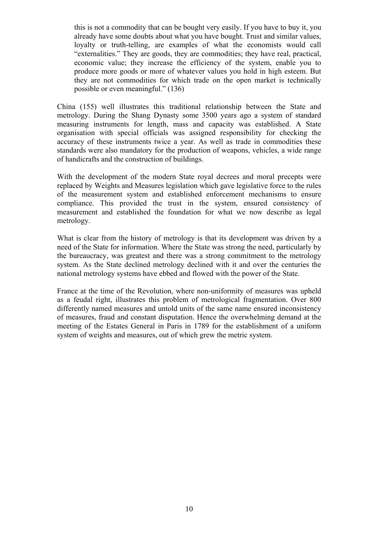this is not a commodity that can be bought very easily. If you have to buy it, you already have some doubts about what you have bought. Trust and similar values, loyalty or truth-telling, are examples of what the economists would call "externalities." They are goods, they are commodities; they have real, practical, economic value; they increase the efficiency of the system, enable you to produce more goods or more of whatever values you hold in high esteem. But they are not commodities for which trade on the open market is technically possible or even meaningful." (136)

China (155) well illustrates this traditional relationship between the State and metrology. During the Shang Dynasty some 3500 years ago a system of standard measuring instruments for length, mass and capacity was established. A State organisation with special officials was assigned responsibility for checking the accuracy of these instruments twice a year. As well as trade in commodities these standards were also mandatory for the production of weapons, vehicles, a wide range of handicrafts and the construction of buildings.

With the development of the modern State royal decrees and moral precepts were replaced by Weights and Measures legislation which gave legislative force to the rules of the measurement system and established enforcement mechanisms to ensure compliance. This provided the trust in the system, ensured consistency of measurement and established the foundation for what we now describe as legal metrology.

What is clear from the history of metrology is that its development was driven by a need of the State for information. Where the State was strong the need, particularly by the bureaucracy, was greatest and there was a strong commitment to the metrology system. As the State declined metrology declined with it and over the centuries the national metrology systems have ebbed and flowed with the power of the State.

France at the time of the Revolution, where non-uniformity of measures was upheld as a feudal right, illustrates this problem of metrological fragmentation. Over 800 differently named measures and untold units of the same name ensured inconsistency of measures, fraud and constant disputation. Hence the overwhelming demand at the meeting of the Estates General in Paris in 1789 for the establishment of a uniform system of weights and measures, out of which grew the metric system.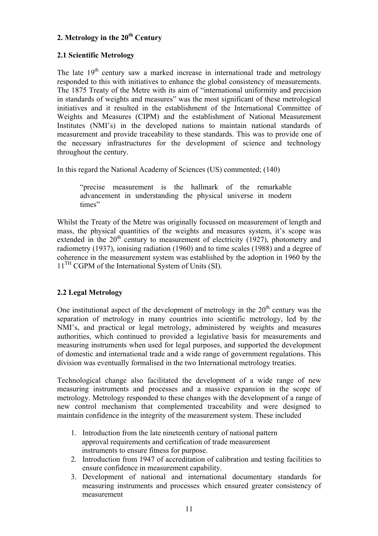#### **2. Metrology in the 20th Century**

#### **2.1 Scientific Metrology**

The late  $19<sup>th</sup>$  century saw a marked increase in international trade and metrology responded to this with initiatives to enhance the global consistency of measurements. The 1875 Treaty of the Metre with its aim of "international uniformity and precision in standards of weights and measures" was the most significant of these metrological initiatives and it resulted in the establishment of the International Committee of Weights and Measures (CIPM) and the establishment of National Measurement Institutes (NMI's) in the developed nations to maintain national standards of measurement and provide traceability to these standards. This was to provide one of the necessary infrastructures for the development of science and technology throughout the century.

In this regard the National Academy of Sciences (US) commented; (140)

"precise measurement is the hallmark of the remarkable advancement in understanding the physical universe in modern times"

Whilst the Treaty of the Metre was originally focussed on measurement of length and mass, the physical quantities of the weights and measures system, it's scope was extended in the  $20<sup>th</sup>$  century to measurement of electricity (1927), photometry and radiometry (1937), ionising radiation (1960) and to time scales (1988) and a degree of coherence in the measurement system was established by the adoption in 1960 by the 11<sup>TH</sup> CGPM of the International System of Units (SI).

#### **2.2 Legal Metrology**

One institutional aspect of the development of metrology in the  $20<sup>th</sup>$  century was the separation of metrology in many countries into scientific metrology, led by the NMI's, and practical or legal metrology, administered by weights and measures authorities, which continued to provided a legislative basis for measurements and measuring instruments when used for legal purposes, and supported the development of domestic and international trade and a wide range of government regulations. This division was eventually formalised in the two International metrology treaties.

Technological change also facilitated the development of a wide range of new measuring instruments and processes and a massive expansion in the scope of metrology. Metrology responded to these changes with the development of a range of new control mechanism that complemented traceability and were designed to maintain confidence in the integrity of the measurement system. These included

- 1. Introduction from the late nineteenth century of national pattern approval requirements and certification of trade measurement instruments to ensure fitness for purpose.
- 2. Introduction from 1947 of accreditation of calibration and testing facilities to ensure confidence in measurement capability.
- 3. Development of national and international documentary standards for measuring instruments and processes which ensured greater consistency of measurement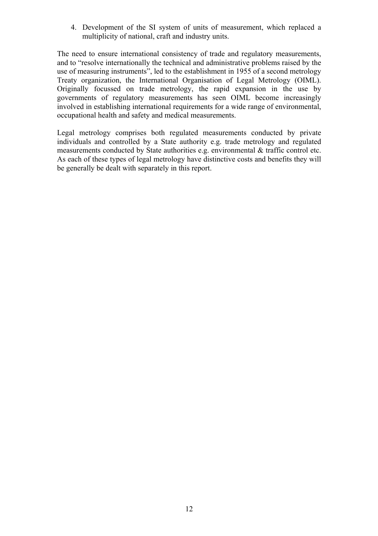4. Development of the SI system of units of measurement, which replaced a multiplicity of national, craft and industry units.

The need to ensure international consistency of trade and regulatory measurements, and to "resolve internationally the technical and administrative problems raised by the use of measuring instruments", led to the establishment in 1955 of a second metrology Treaty organization, the International Organisation of Legal Metrology (OIML). Originally focussed on trade metrology, the rapid expansion in the use by governments of regulatory measurements has seen OIML become increasingly involved in establishing international requirements for a wide range of environmental, occupational health and safety and medical measurements.

Legal metrology comprises both regulated measurements conducted by private individuals and controlled by a State authority e.g. trade metrology and regulated measurements conducted by State authorities e.g. environmental & traffic control etc. As each of these types of legal metrology have distinctive costs and benefits they will be generally be dealt with separately in this report.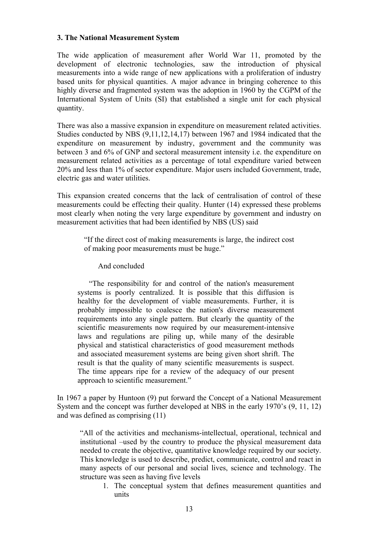#### **3. The National Measurement System**

The wide application of measurement after World War 11, promoted by the development of electronic technologies, saw the introduction of physical measurements into a wide range of new applications with a proliferation of industry based units for physical quantities. A major advance in bringing coherence to this highly diverse and fragmented system was the adoption in 1960 by the CGPM of the International System of Units (SI) that established a single unit for each physical quantity.

There was also a massive expansion in expenditure on measurement related activities. Studies conducted by NBS (9,11,12,14,17) between 1967 and 1984 indicated that the expenditure on measurement by industry, government and the community was between 3 and 6% of GNP and sectoral measurement intensity i.e. the expenditure on measurement related activities as a percentage of total expenditure varied between 20% and less than 1% of sector expenditure. Major users included Government, trade, electric gas and water utilities.

This expansion created concerns that the lack of centralisation of control of these measurements could be effecting their quality. Hunter (14) expressed these problems most clearly when noting the very large expenditure by government and industry on measurement activities that had been identified by NBS (US) said

"If the direct cost of making measurements is large, the indirect cost of making poor measurements must be huge."

And concluded

"The responsibility for and control of the nation's measurement systems is poorly centralized. It is possible that this diffusion is healthy for the development of viable measurements. Further, it is probably impossible to coalesce the nation's diverse measurement requirements into any single pattern. But clearly the quantity of the scientific measurements now required by our measurement-intensive laws and regulations are piling up, while many of the desirable physical and statistical characteristics of good measurement methods and associated measurement systems are being given short shrift. The result is that the quality of many scientific measurements is suspect. The time appears ripe for a review of the adequacy of our present approach to scientific measurement."

In 1967 a paper by Huntoon (9) put forward the Concept of a National Measurement System and the concept was further developed at NBS in the early 1970's (9, 11, 12) and was defined as comprising (11)

"All of the activities and mechanisms-intellectual, operational, technical and institutional –used by the country to produce the physical measurement data needed to create the objective, quantitative knowledge required by our society. This knowledge is used to describe, predict, communicate, control and react in many aspects of our personal and social lives, science and technology. The structure was seen as having five levels

1. The conceptual system that defines measurement quantities and units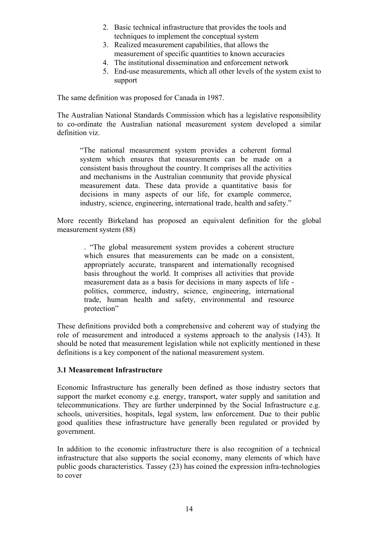- 2. Basic technical infrastructure that provides the tools and techniques to implement the conceptual system
- 3. Realized measurement capabilities, that allows the measurement of specific quantities to known accuracies
- 4. The institutional dissemination and enforcement network
- 5. End-use measurements, which all other levels of the system exist to support

The same definition was proposed for Canada in 1987.

The Australian National Standards Commission which has a legislative responsibility to co-ordinate the Australian national measurement system developed a similar definition viz.

"The national measurement system provides a coherent formal system which ensures that measurements can be made on a consistent basis throughout the country. It comprises all the activities and mechanisms in the Australian community that provide physical measurement data. These data provide a quantitative basis for decisions in many aspects of our life, for example commerce, industry, science, engineering, international trade, health and safety."

More recently Birkeland has proposed an equivalent definition for the global measurement system (88)

. "The global measurement system provides a coherent structure which ensures that measurements can be made on a consistent, appropriately accurate, transparent and internationally recognised basis throughout the world. It comprises all activities that provide measurement data as a basis for decisions in many aspects of life politics, commerce, industry, science, engineering, international trade, human health and safety, environmental and resource protection"

These definitions provided both a comprehensive and coherent way of studying the role of measurement and introduced a systems approach to the analysis (143). It should be noted that measurement legislation while not explicitly mentioned in these definitions is a key component of the national measurement system.

#### **3.1 Measurement Infrastructure**

Economic Infrastructure has generally been defined as those industry sectors that support the market economy e.g. energy, transport, water supply and sanitation and telecommunications. They are further underpinned by the Social Infrastructure e.g. schools, universities, hospitals, legal system, law enforcement. Due to their public good qualities these infrastructure have generally been regulated or provided by government.

In addition to the economic infrastructure there is also recognition of a technical infrastructure that also supports the social economy, many elements of which have public goods characteristics. Tassey (23) has coined the expression infra-technologies to cover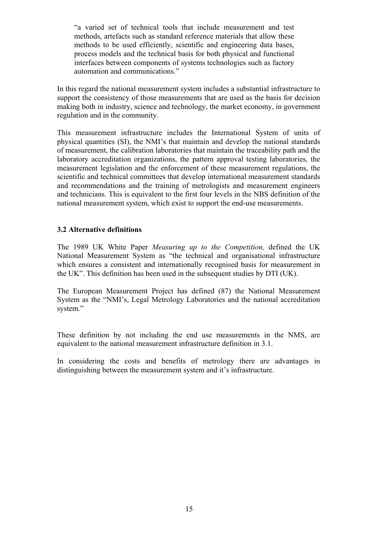"a varied set of technical tools that include measurement and test methods, artefacts such as standard reference materials that allow these methods to be used efficiently, scientific and engineering data bases, process models and the technical basis for both physical and functional interfaces between components of systems technologies such as factory automation and communications."

In this regard the national measurement system includes a substantial infrastructure to support the consistency of those measurements that are used as the basis for decision making both in industry, science and technology, the market economy, in government regulation and in the community.

This measurement infrastructure includes the International System of units of physical quantities (SI), the NMI's that maintain and develop the national standards of measurement, the calibration laboratories that maintain the traceability path and the laboratory accreditation organizations, the pattern approval testing laboratories, the measurement legislation and the enforcement of these measurement regulations, the scientific and technical committees that develop international measurement standards and recommendations and the training of metrologists and measurement engineers and technicians. This is equivalent to the first four levels in the NBS definition of the national measurement system, which exist to support the end-use measurements.

#### **3.2 Alternative definitions**

The 1989 UK White Paper *Measuring up to the Competition,* defined the UK National Measurement System as "the technical and organisational infrastructure which ensures a consistent and internationally recognised basis for measurement in the UK". This definition has been used in the subsequent studies by DTI (UK).

The European Measurement Project has defined (87) the National Measurement System as the "NMI's, Legal Metrology Laboratories and the national accreditation system."

These definition by not including the end use measurements in the NMS, are equivalent to the national measurement infrastructure definition in 3.1.

In considering the costs and benefits of metrology there are advantages in distinguishing between the measurement system and it's infrastructure.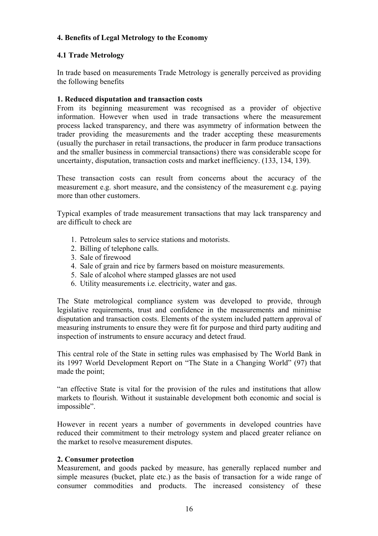#### **4. Benefits of Legal Metrology to the Economy**

#### **4.1 Trade Metrology**

In trade based on measurements Trade Metrology is generally perceived as providing the following benefits

#### **1. Reduced disputation and transaction costs**

From its beginning measurement was recognised as a provider of objective information. However when used in trade transactions where the measurement process lacked transparency, and there was asymmetry of information between the trader providing the measurements and the trader accepting these measurements (usually the purchaser in retail transactions, the producer in farm produce transactions and the smaller business in commercial transactions) there was considerable scope for uncertainty, disputation, transaction costs and market inefficiency. (133, 134, 139).

These transaction costs can result from concerns about the accuracy of the measurement e.g. short measure, and the consistency of the measurement e.g. paying more than other customers.

Typical examples of trade measurement transactions that may lack transparency and are difficult to check are

- 1. Petroleum sales to service stations and motorists.
- 2. Billing of telephone calls.
- 3. Sale of firewood
- 4. Sale of grain and rice by farmers based on moisture measurements.
- 5. Sale of alcohol where stamped glasses are not used
- 6. Utility measurements i.e. electricity, water and gas.

The State metrological compliance system was developed to provide, through legislative requirements, trust and confidence in the measurements and minimise disputation and transaction costs. Elements of the system included pattern approval of measuring instruments to ensure they were fit for purpose and third party auditing and inspection of instruments to ensure accuracy and detect fraud.

This central role of the State in setting rules was emphasised by The World Bank in its 1997 World Development Report on "The State in a Changing World" (97) that made the point;

"an effective State is vital for the provision of the rules and institutions that allow markets to flourish. Without it sustainable development both economic and social is impossible".

However in recent years a number of governments in developed countries have reduced their commitment to their metrology system and placed greater reliance on the market to resolve measurement disputes.

#### **2. Consumer protection**

Measurement, and goods packed by measure, has generally replaced number and simple measures (bucket, plate etc.) as the basis of transaction for a wide range of consumer commodities and products. The increased consistency of these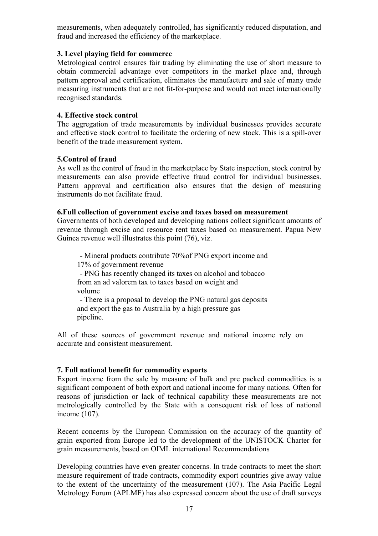measurements, when adequately controlled, has significantly reduced disputation, and fraud and increased the efficiency of the marketplace.

#### **3. Level playing field for commerce**

Metrological control ensures fair trading by eliminating the use of short measure to obtain commercial advantage over competitors in the market place and, through pattern approval and certification, eliminates the manufacture and sale of many trade measuring instruments that are not fit-for-purpose and would not meet internationally recognised standards.

#### **4. Effective stock control**

The aggregation of trade measurements by individual businesses provides accurate and effective stock control to facilitate the ordering of new stock. This is a spill-over benefit of the trade measurement system.

#### **5.Control of fraud**

As well as the control of fraud in the marketplace by State inspection, stock control by measurements can also provide effective fraud control for individual businesses. Pattern approval and certification also ensures that the design of measuring instruments do not facilitate fraud.

#### **6.Full collection of government excise and taxes based on measurement**

Governments of both developed and developing nations collect significant amounts of revenue through excise and resource rent taxes based on measurement. Papua New Guinea revenue well illustrates this point (76), viz.

 - Mineral products contribute 70%of PNG export income and 17% of government revenue

 - PNG has recently changed its taxes on alcohol and tobacco from an ad valorem tax to taxes based on weight and volume

 - There is a proposal to develop the PNG natural gas deposits and export the gas to Australia by a high pressure gas pipeline.

All of these sources of government revenue and national income rely on accurate and consistent measurement.

#### **7. Full national benefit for commodity exports**

Export income from the sale by measure of bulk and pre packed commodities is a significant component of both export and national income for many nations. Often for reasons of jurisdiction or lack of technical capability these measurements are not metrologically controlled by the State with a consequent risk of loss of national income (107).

Recent concerns by the European Commission on the accuracy of the quantity of grain exported from Europe led to the development of the UNISTOCK Charter for grain measurements, based on OIML international Recommendations

Developing countries have even greater concerns. In trade contracts to meet the short measure requirement of trade contracts, commodity export countries give away value to the extent of the uncertainty of the measurement (107). The Asia Pacific Legal Metrology Forum (APLMF) has also expressed concern about the use of draft surveys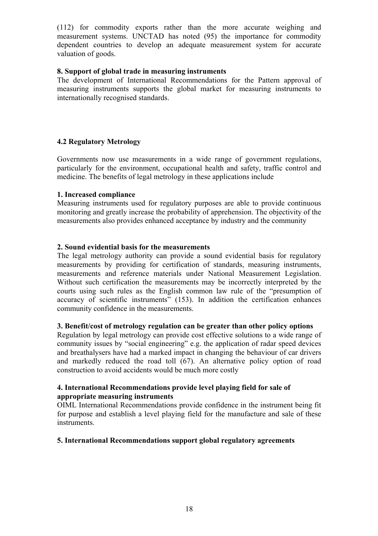(112) for commodity exports rather than the more accurate weighing and measurement systems. UNCTAD has noted (95) the importance for commodity dependent countries to develop an adequate measurement system for accurate valuation of goods.

#### **8. Support of global trade in measuring instruments**

The development of International Recommendations for the Pattern approval of measuring instruments supports the global market for measuring instruments to internationally recognised standards.

#### **4.2 Regulatory Metrology**

Governments now use measurements in a wide range of government regulations, particularly for the environment, occupational health and safety, traffic control and medicine. The benefits of legal metrology in these applications include

#### **1. Increased compliance**

Measuring instruments used for regulatory purposes are able to provide continuous monitoring and greatly increase the probability of apprehension. The objectivity of the measurements also provides enhanced acceptance by industry and the community

#### **2. Sound evidential basis for the measurements**

The legal metrology authority can provide a sound evidential basis for regulatory measurements by providing for certification of standards, measuring instruments, measurements and reference materials under National Measurement Legislation. Without such certification the measurements may be incorrectly interpreted by the courts using such rules as the English common law rule of the "presumption of accuracy of scientific instruments" (153). In addition the certification enhances community confidence in the measurements.

#### **3. Benefit/cost of metrology regulation can be greater than other policy options**

Regulation by legal metrology can provide cost effective solutions to a wide range of community issues by "social engineering" e.g. the application of radar speed devices and breathalysers have had a marked impact in changing the behaviour of car drivers and markedly reduced the road toll (67). An alternative policy option of road construction to avoid accidents would be much more costly

#### **4. International Recommendations provide level playing field for sale of appropriate measuring instruments**

OIML International Recommendations provide confidence in the instrument being fit for purpose and establish a level playing field for the manufacture and sale of these instruments.

#### **5. International Recommendations support global regulatory agreements**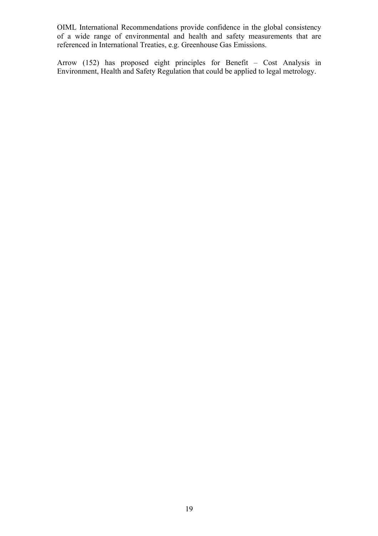OIML International Recommendations provide confidence in the global consistency of a wide range of environmental and health and safety measurements that are referenced in International Treaties, e.g. Greenhouse Gas Emissions.

Arrow (152) has proposed eight principles for Benefit – Cost Analysis in Environment, Health and Safety Regulation that could be applied to legal metrology.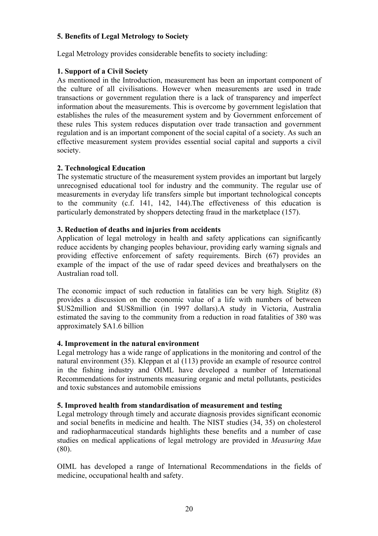#### **5. Benefits of Legal Metrology to Society**

Legal Metrology provides considerable benefits to society including:

#### **1. Support of a Civil Society**

As mentioned in the Introduction, measurement has been an important component of the culture of all civilisations. However when measurements are used in trade transactions or government regulation there is a lack of transparency and imperfect information about the measurements. This is overcome by government legislation that establishes the rules of the measurement system and by Government enforcement of these rules This system reduces disputation over trade transaction and government regulation and is an important component of the social capital of a society. As such an effective measurement system provides essential social capital and supports a civil society.

#### **2. Technological Education**

The systematic structure of the measurement system provides an important but largely unrecognised educational tool for industry and the community. The regular use of measurements in everyday life transfers simple but important technological concepts to the community (c.f. 141, 142, 144).The effectiveness of this education is particularly demonstrated by shoppers detecting fraud in the marketplace (157).

#### **3. Reduction of deaths and injuries from accidents**

Application of legal metrology in health and safety applications can significantly reduce accidents by changing peoples behaviour, providing early warning signals and providing effective enforcement of safety requirements. Birch (67) provides an example of the impact of the use of radar speed devices and breathalysers on the Australian road toll.

The economic impact of such reduction in fatalities can be very high. Stiglitz (8) provides a discussion on the economic value of a life with numbers of between \$US2million and \$US8million (in 1997 dollars).A study in Victoria, Australia estimated the saving to the community from a reduction in road fatalities of 380 was approximately \$A1.6 billion

#### **4. Improvement in the natural environment**

Legal metrology has a wide range of applications in the monitoring and control of the natural environment (35). Kleppan et al (113) provide an example of resource control in the fishing industry and OIML have developed a number of International Recommendations for instruments measuring organic and metal pollutants, pesticides and toxic substances and automobile emissions

#### **5. Improved health from standardisation of measurement and testing**

Legal metrology through timely and accurate diagnosis provides significant economic and social benefits in medicine and health. The NIST studies (34, 35) on cholesterol and radiopharmaceutical standards highlights these benefits and a number of case studies on medical applications of legal metrology are provided in *Measuring Man*  (80).

OIML has developed a range of International Recommendations in the fields of medicine, occupational health and safety.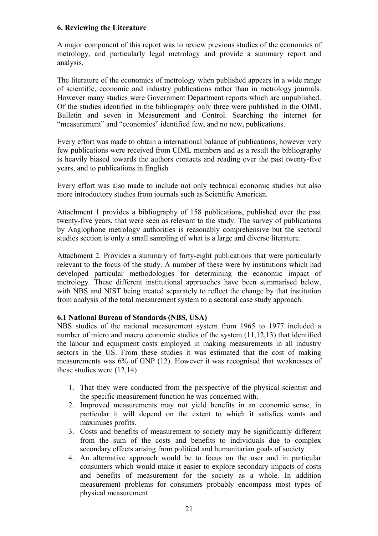#### **6. Reviewing the Literature**

A major component of this report was to review previous studies of the economics of metrology, and particularly legal metrology and provide a summary report and analysis.

The literature of the economics of metrology when published appears in a wide range of scientific, economic and industry publications rather than in metrology journals. However many studies were Government Department reports which are unpublished. Of the studies identified in the bibliography only three were published in the OIML Bulletin and seven in Measurement and Control. Searching the internet for "measurement" and "economics" identified few, and no new, publications.

Every effort was made to obtain a international balance of publications, however very few publications were received from CIML members and as a result the bibliography is heavily biased towards the authors contacts and reading over the past twenty-five years, and to publications in English.

Every effort was also made to include not only technical economic studies but also more introductory studies from journals such as Scientific American.

Attachment 1 provides a bibliography of 158 publications, published over the past twenty-five years, that were seen as relevant to the study. The survey of publications by Anglophone metrology authorities is reasonably comprehensive but the sectoral studies section is only a small sampling of what is a large and diverse literature.

Attachment 2. Provides a summary of forty-eight publications that were particularly relevant to the focus of the study. A number of these were by institutions which had developed particular methodologies for determining the economic impact of metrology. These different institutional approaches have been summarised below, with NBS and NIST being treated separately to reflect the change by that institution from analysis of the total measurement system to a sectoral case study approach.

#### **6.1 National Bureau of Standards (NBS, USA)**

NBS studies of the national measurement system from 1965 to 1977 included a number of micro and macro economic studies of the system (11,12,13) that identified the labour and equipment costs employed in making measurements in all industry sectors in the US. From these studies it was estimated that the cost of making measurements was 6% of GNP (12). However it was recognised that weaknesses of these studies were (12,14)

- 1. That they were conducted from the perspective of the physical scientist and the specific measurement function he was concerned with.
- 2. Improved measurements may not yield benefits in an economic sense, in particular it will depend on the extent to which it satisfies wants and maximises profits.
- 3. Costs and benefits of measurement to society may be significantly different from the sum of the costs and benefits to individuals due to complex secondary effects arising from political and humanitarian goals of society
- 4. An alternative approach would be to focus on the user and in particular consumers which would make it easier to explore secondary impacts of costs and benefits of measurement for the society as a whole. In addition measurement problems for consumers probably encompass most types of physical measurement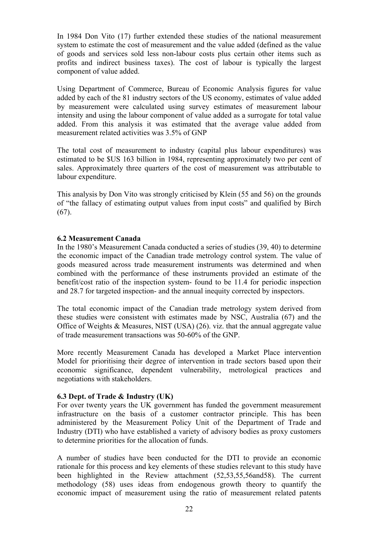In 1984 Don Vito (17) further extended these studies of the national measurement system to estimate the cost of measurement and the value added (defined as the value of goods and services sold less non-labour costs plus certain other items such as profits and indirect business taxes). The cost of labour is typically the largest component of value added.

Using Department of Commerce, Bureau of Economic Analysis figures for value added by each of the 81 industry sectors of the US economy, estimates of value added by measurement were calculated using survey estimates of measurement labour intensity and using the labour component of value added as a surrogate for total value added. From this analysis it was estimated that the average value added from measurement related activities was 3.5% of GNP

The total cost of measurement to industry (capital plus labour expenditures) was estimated to be \$US 163 billion in 1984, representing approximately two per cent of sales. Approximately three quarters of the cost of measurement was attributable to labour expenditure.

This analysis by Don Vito was strongly criticised by Klein (55 and 56) on the grounds of "the fallacy of estimating output values from input costs" and qualified by Birch  $(67)$ .

#### **6.2 Measurement Canada**

In the 1980's Measurement Canada conducted a series of studies (39, 40) to determine the economic impact of the Canadian trade metrology control system. The value of goods measured across trade measurement instruments was determined and when combined with the performance of these instruments provided an estimate of the benefit/cost ratio of the inspection system- found to be 11.4 for periodic inspection and 28.7 for targeted inspection- and the annual inequity corrected by inspectors.

The total economic impact of the Canadian trade metrology system derived from these studies were consistent with estimates made by NSC, Australia (67) and the Office of Weights & Measures, NIST (USA) (26). viz. that the annual aggregate value of trade measurement transactions was 50-60% of the GNP.

More recently Measurement Canada has developed a Market Place intervention Model for prioritising their degree of intervention in trade sectors based upon their economic significance, dependent vulnerability, metrological practices and negotiations with stakeholders.

#### **6.3 Dept. of Trade & Industry (UK)**

For over twenty years the UK government has funded the government measurement infrastructure on the basis of a customer contractor principle. This has been administered by the Measurement Policy Unit of the Department of Trade and Industry (DTI) who have established a variety of advisory bodies as proxy customers to determine priorities for the allocation of funds.

A number of studies have been conducted for the DTI to provide an economic rationale for this process and key elements of these studies relevant to this study have been highlighted in the Review attachment (52,53,55,56and58). The current methodology (58) uses ideas from endogenous growth theory to quantify the economic impact of measurement using the ratio of measurement related patents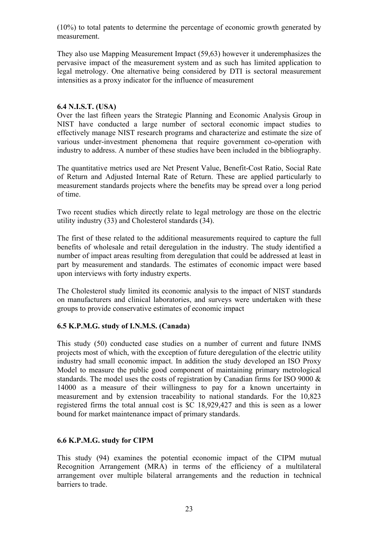(10%) to total patents to determine the percentage of economic growth generated by measurement.

They also use Mapping Measurement Impact (59,63) however it underemphasizes the pervasive impact of the measurement system and as such has limited application to legal metrology. One alternative being considered by DTI is sectoral measurement intensities as a proxy indicator for the influence of measurement

#### **6.4 N.I.S.T. (USA)**

Over the last fifteen years the Strategic Planning and Economic Analysis Group in NIST have conducted a large number of sectoral economic impact studies to effectively manage NIST research programs and characterize and estimate the size of various under-investment phenomena that require government co-operation with industry to address. A number of these studies have been included in the bibliography.

The quantitative metrics used are Net Present Value, Benefit-Cost Ratio, Social Rate of Return and Adjusted Internal Rate of Return. These are applied particularly to measurement standards projects where the benefits may be spread over a long period of time.

Two recent studies which directly relate to legal metrology are those on the electric utility industry (33) and Cholesterol standards (34).

The first of these related to the additional measurements required to capture the full benefits of wholesale and retail deregulation in the industry. The study identified a number of impact areas resulting from deregulation that could be addressed at least in part by measurement and standards. The estimates of economic impact were based upon interviews with forty industry experts.

The Cholesterol study limited its economic analysis to the impact of NIST standards on manufacturers and clinical laboratories, and surveys were undertaken with these groups to provide conservative estimates of economic impact

#### **6.5 K.P.M.G. study of I.N.M.S. (Canada)**

This study (50) conducted case studies on a number of current and future INMS projects most of which, with the exception of future deregulation of the electric utility industry had small economic impact. In addition the study developed an ISO Proxy Model to measure the public good component of maintaining primary metrological standards. The model uses the costs of registration by Canadian firms for ISO 9000 & 14000 as a measure of their willingness to pay for a known uncertainty in measurement and by extension traceability to national standards. For the 10,823 registered firms the total annual cost is \$C 18,929,427 and this is seen as a lower bound for market maintenance impact of primary standards.

#### **6.6 K.P.M.G. study for CIPM**

This study (94) examines the potential economic impact of the CIPM mutual Recognition Arrangement (MRA) in terms of the efficiency of a multilateral arrangement over multiple bilateral arrangements and the reduction in technical barriers to trade.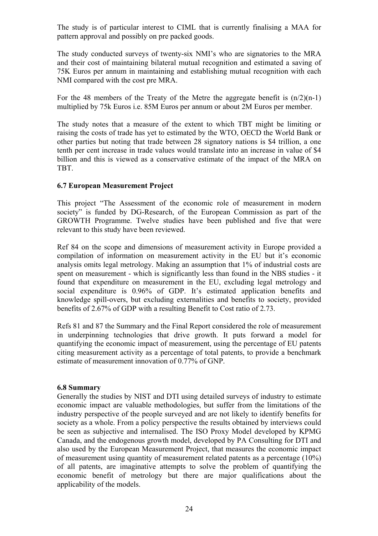The study is of particular interest to CIML that is currently finalising a MAA for pattern approval and possibly on pre packed goods.

The study conducted surveys of twenty-six NMI's who are signatories to the MRA and their cost of maintaining bilateral mutual recognition and estimated a saving of 75K Euros per annum in maintaining and establishing mutual recognition with each NMI compared with the cost pre MRA.

For the 48 members of the Treaty of the Metre the aggregate benefit is  $(n/2)(n-1)$ multiplied by 75k Euros i.e. 85M Euros per annum or about 2M Euros per member.

The study notes that a measure of the extent to which TBT might be limiting or raising the costs of trade has yet to estimated by the WTO, OECD the World Bank or other parties but noting that trade between 28 signatory nations is \$4 trillion, a one tenth per cent increase in trade values would translate into an increase in value of \$4 billion and this is viewed as a conservative estimate of the impact of the MRA on TBT.

#### **6.7 European Measurement Project**

This project "The Assessment of the economic role of measurement in modern society" is funded by DG-Research, of the European Commission as part of the GROWTH Programme. Twelve studies have been published and five that were relevant to this study have been reviewed.

Ref 84 on the scope and dimensions of measurement activity in Europe provided a compilation of information on measurement activity in the EU but it's economic analysis omits legal metrology. Making an assumption that 1% of industrial costs are spent on measurement - which is significantly less than found in the NBS studies - it found that expenditure on measurement in the EU, excluding legal metrology and social expenditure is 0.96% of GDP. It's estimated application benefits and knowledge spill-overs, but excluding externalities and benefits to society, provided benefits of 2.67% of GDP with a resulting Benefit to Cost ratio of 2.73.

Refs 81 and 87 the Summary and the Final Report considered the role of measurement in underpinning technologies that drive growth. It puts forward a model for quantifying the economic impact of measurement, using the percentage of EU patents citing measurement activity as a percentage of total patents, to provide a benchmark estimate of measurement innovation of 0.77% of GNP.

#### **6.8 Summary**

Generally the studies by NIST and DTI using detailed surveys of industry to estimate economic impact are valuable methodologies, but suffer from the limitations of the industry perspective of the people surveyed and are not likely to identify benefits for society as a whole. From a policy perspective the results obtained by interviews could be seen as subjective and internalised. The ISO Proxy Model developed by KPMG Canada, and the endogenous growth model, developed by PA Consulting for DTI and also used by the European Measurement Project, that measures the economic impact of measurement using quantity of measurement related patents as a percentage (10%) of all patents, are imaginative attempts to solve the problem of quantifying the economic benefit of metrology but there are major qualifications about the applicability of the models.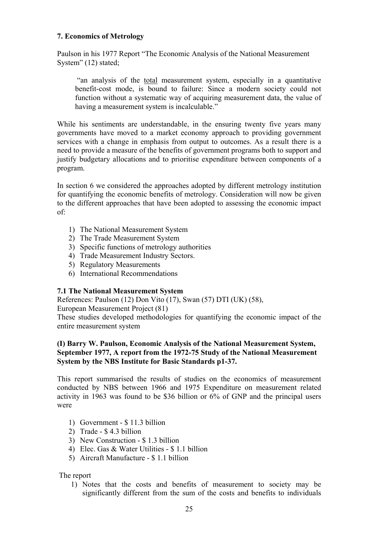#### **7. Economics of Metrology**

Paulson in his 1977 Report "The Economic Analysis of the National Measurement System" (12) stated;

 "an analysis of the total measurement system, especially in a quantitative benefit-cost mode, is bound to failure: Since a modern society could not function without a systematic way of acquiring measurement data, the value of having a measurement system is incalculable."

While his sentiments are understandable, in the ensuring twenty five years many governments have moved to a market economy approach to providing government services with a change in emphasis from output to outcomes. As a result there is a need to provide a measure of the benefits of government programs both to support and justify budgetary allocations and to prioritise expenditure between components of a program.

In section 6 we considered the approaches adopted by different metrology institution for quantifying the economic benefits of metrology. Consideration will now be given to the different approaches that have been adopted to assessing the economic impact of:

- 1) The National Measurement System
- 2) The Trade Measurement System
- 3) Specific functions of metrology authorities
- 4) Trade Measurement Industry Sectors.
- 5) Regulatory Measurements
- 6) International Recommendations

#### **7.1 The National Measurement System**

References: Paulson (12) Don Vito (17), Swan (57) DTI (UK) (58),

European Measurement Project (81)

These studies developed methodologies for quantifying the economic impact of the entire measurement system

#### **(I) Barry W. Paulson, Economic Analysis of the National Measurement System, September 1977, A report from the 1972-75 Study of the National Measurement System by the NBS Institute for Basic Standards p1-37.**

This report summarised the results of studies on the economics of measurement conducted by NBS between 1966 and 1975 Expenditure on measurement related activity in 1963 was found to be \$36 billion or 6% of GNP and the principal users were

- 1) Government \$ 11.3 billion
- 2) Trade \$ 4.3 billion
- 3) New Construction \$ 1.3 billion
- 4) Elec. Gas & Water Utilities \$ 1.1 billion
- 5) Aircraft Manufacture \$ 1.1 billion

#### The report

1) Notes that the costs and benefits of measurement to society may be significantly different from the sum of the costs and benefits to individuals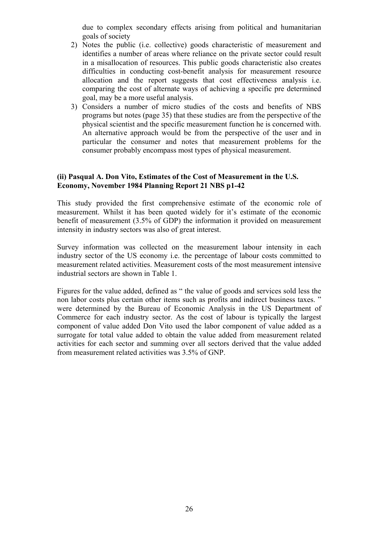due to complex secondary effects arising from political and humanitarian goals of society

- 2) Notes the public (i.e. collective) goods characteristic of measurement and identifies a number of areas where reliance on the private sector could result in a misallocation of resources. This public goods characteristic also creates difficulties in conducting cost-benefit analysis for measurement resource allocation and the report suggests that cost effectiveness analysis i.e. comparing the cost of alternate ways of achieving a specific pre determined goal, may be a more useful analysis.
- 3) Considers a number of micro studies of the costs and benefits of NBS programs but notes (page 35) that these studies are from the perspective of the physical scientist and the specific measurement function he is concerned with. An alternative approach would be from the perspective of the user and in particular the consumer and notes that measurement problems for the consumer probably encompass most types of physical measurement.

#### **(ii) Pasqual A. Don Vito, Estimates of the Cost of Measurement in the U.S. Economy, November 1984 Planning Report 21 NBS p1-42**

This study provided the first comprehensive estimate of the economic role of measurement. Whilst it has been quoted widely for it's estimate of the economic benefit of measurement (3.5% of GDP) the information it provided on measurement intensity in industry sectors was also of great interest.

Survey information was collected on the measurement labour intensity in each industry sector of the US economy i.e. the percentage of labour costs committed to measurement related activities. Measurement costs of the most measurement intensive industrial sectors are shown in Table 1.

Figures for the value added, defined as " the value of goods and services sold less the non labor costs plus certain other items such as profits and indirect business taxes. " were determined by the Bureau of Economic Analysis in the US Department of Commerce for each industry sector. As the cost of labour is typically the largest component of value added Don Vito used the labor component of value added as a surrogate for total value added to obtain the value added from measurement related activities for each sector and summing over all sectors derived that the value added from measurement related activities was 3.5% of GNP.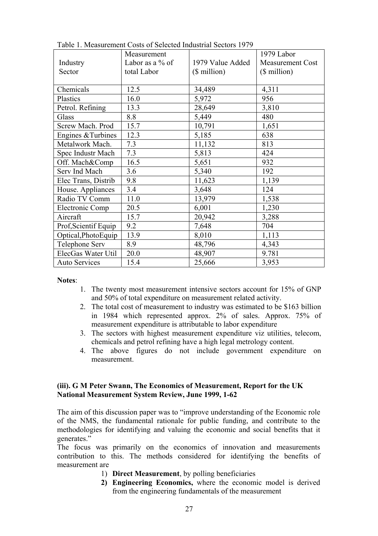|                      | Measurement        |                  | 1979 Labor              |
|----------------------|--------------------|------------------|-------------------------|
| Industry             | Labor as a $\%$ of | 1979 Value Added | <b>Measurement Cost</b> |
| Sector               | total Labor        | $($$ million $)$ | (\$ million)            |
|                      |                    |                  |                         |
| Chemicals            | 12.5               | 34,489           | 4,311                   |
| Plastics             | 16.0               | 5,972            | 956                     |
| Petrol. Refining     | 13.3               | 28,649           | 3,810                   |
| Glass                | 8.8                | 5,449            | 480                     |
| Screw Mach. Prod     | 15.7               | 10,791           | 1,651                   |
| Engines & Turbines   | 12.3               | 5,185            | 638                     |
| Metalwork Mach.      | 7.3                | 11,132           | 813                     |
| Spec Industr Mach    | 7.3                | 5,813            | 424                     |
| Off. Mach&Comp       | 16.5               | 5,651            | 932                     |
| Serv Ind Mach        | 3.6                | 5,340            | 192                     |
| Elec Trans, Distrib  | 9.8                | 11,623           | 1,139                   |
| House. Appliances    | 3.4                | 3,648            | 124                     |
| Radio TV Comm        | 11.0               | 13,979           | 1,538                   |
| Electronic Comp      | 20.5               | 6,001            | 1,230                   |
| Aircraft             | 15.7               | 20,942           | 3,288                   |
| Prof, Scientif Equip | 9.2                | 7,648            | 704                     |
| Optical, PhotoEquip  | 13.9               | 8,010            | 1,113                   |
| Telephone Serv       | 8.9                | 48,796           | 4,343                   |
| ElecGas Water Util   | 20.0               | 48,907           | 9.781                   |
| <b>Auto Services</b> | 15.4               | 25,666           | 3,953                   |

Table 1. Measurement Costs of Selected Industrial Sectors 1979

#### **Notes**:

- 1. The twenty most measurement intensive sectors account for 15% of GNP and 50% of total expenditure on measurement related activity.
- 2. The total cost of measurement to industry was estimated to be \$163 billion in 1984 which represented approx. 2% of sales. Approx. 75% of measurement expenditure is attributable to labor expenditure
- 3. The sectors with highest measurement expenditure viz utilities, telecom, chemicals and petrol refining have a high legal metrology content.
- 4. The above figures do not include government expenditure on measurement.

#### **(iii). G M Peter Swann, The Economics of Measurement, Report for the UK National Measurement System Review, June 1999, 1-62**

The aim of this discussion paper was to "improve understanding of the Economic role of the NMS, the fundamental rationale for public funding, and contribute to the methodologies for identifying and valuing the economic and social benefits that it generates."

The focus was primarily on the economics of innovation and measurements contribution to this. The methods considered for identifying the benefits of measurement are

- 1) **Direct Measurement**, by polling beneficiaries
- **2) Engineering Economics,** where the economic model is derived from the engineering fundamentals of the measurement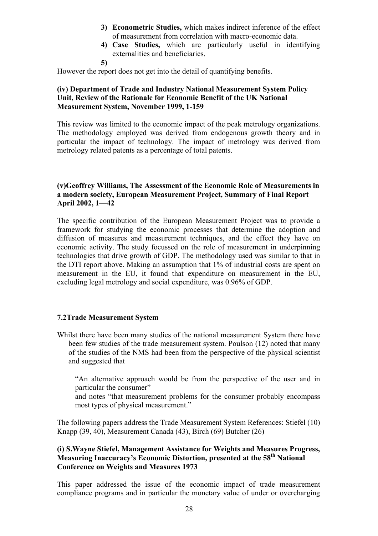- **3) Econometric Studies,** which makes indirect inference of the effect of measurement from correlation with macro-economic data.
- **4) Case Studies,** which are particularly useful in identifying externalities and beneficiaries.

**5)** 

However the report does not get into the detail of quantifying benefits.

#### **(iv) Department of Trade and Industry National Measurement System Policy Unit, Review of the Rationale for Economic Benefit of the UK National Measurement System, November 1999, 1-159**

This review was limited to the economic impact of the peak metrology organizations. The methodology employed was derived from endogenous growth theory and in particular the impact of technology. The impact of metrology was derived from metrology related patents as a percentage of total patents.

#### **(v)Geoffrey Williams, The Assessment of the Economic Role of Measurements in a modern society, European Measurement Project, Summary of Final Report April 2002, 1—42**

The specific contribution of the European Measurement Project was to provide a framework for studying the economic processes that determine the adoption and diffusion of measures and measurement techniques, and the effect they have on economic activity. The study focussed on the role of measurement in underpinning technologies that drive growth of GDP. The methodology used was similar to that in the DTI report above. Making an assumption that 1% of industrial costs are spent on measurement in the EU, it found that expenditure on measurement in the EU, excluding legal metrology and social expenditure, was 0.96% of GDP.

#### **7.2Trade Measurement System**

Whilst there have been many studies of the national measurement System there have been few studies of the trade measurement system. Poulson (12) noted that many of the studies of the NMS had been from the perspective of the physical scientist and suggested that

 "An alternative approach would be from the perspective of the user and in particular the consumer"

and notes "that measurement problems for the consumer probably encompass most types of physical measurement."

The following papers address the Trade Measurement System References: Stiefel (10) Knapp (39, 40), Measurement Canada (43), Birch (69) Butcher (26)

#### **(i) S.Wayne Stiefel, Management Assistance for Weights and Measures Progress, Measuring Inaccuracy's Economic Distortion, presented at the 58th National Conference on Weights and Measures 1973**

This paper addressed the issue of the economic impact of trade measurement compliance programs and in particular the monetary value of under or overcharging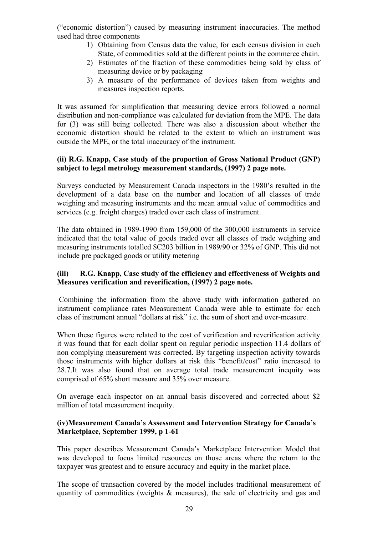("economic distortion") caused by measuring instrument inaccuracies. The method used had three components

- 1) Obtaining from Census data the value, for each census division in each State, of commodities sold at the different points in the commerce chain.
- 2) Estimates of the fraction of these commodities being sold by class of measuring device or by packaging
- 3) A measure of the performance of devices taken from weights and measures inspection reports.

It was assumed for simplification that measuring device errors followed a normal distribution and non-compliance was calculated for deviation from the MPE. The data for (3) was still being collected. There was also a discussion about whether the economic distortion should be related to the extent to which an instrument was outside the MPE, or the total inaccuracy of the instrument.

#### **(ii) R.G. Knapp, Case study of the proportion of Gross National Product (GNP) subject to legal metrology measurement standards, (1997) 2 page note.**

Surveys conducted by Measurement Canada inspectors in the 1980's resulted in the development of a data base on the number and location of all classes of trade weighing and measuring instruments and the mean annual value of commodities and services (e.g. freight charges) traded over each class of instrument.

The data obtained in 1989-1990 from 159,000 0f the 300,000 instruments in service indicated that the total value of goods traded over all classes of trade weighing and measuring instruments totalled \$C203 billion in 1989/90 or 32% of GNP. This did not include pre packaged goods or utility metering

#### **(iii) R.G. Knapp, Case study of the efficiency and effectiveness of Weights and Measures verification and reverification, (1997) 2 page note.**

 Combining the information from the above study with information gathered on instrument compliance rates Measurement Canada were able to estimate for each class of instrument annual "dollars at risk" i.e. the sum of short and over-measure.

When these figures were related to the cost of verification and reverification activity it was found that for each dollar spent on regular periodic inspection 11.4 dollars of non complying measurement was corrected. By targeting inspection activity towards those instruments with higher dollars at risk this "benefit/cost" ratio increased to 28.7.It was also found that on average total trade measurement inequity was comprised of 65% short measure and 35% over measure.

On average each inspector on an annual basis discovered and corrected about \$2 million of total measurement inequity.

#### **(iv)Measurement Canada's Assessment and Intervention Strategy for Canada's Marketplace, September 1999, p 1-61**

This paper describes Measurement Canada's Marketplace Intervention Model that was developed to focus limited resources on those areas where the return to the taxpayer was greatest and to ensure accuracy and equity in the market place.

The scope of transaction covered by the model includes traditional measurement of quantity of commodities (weights & measures), the sale of electricity and gas and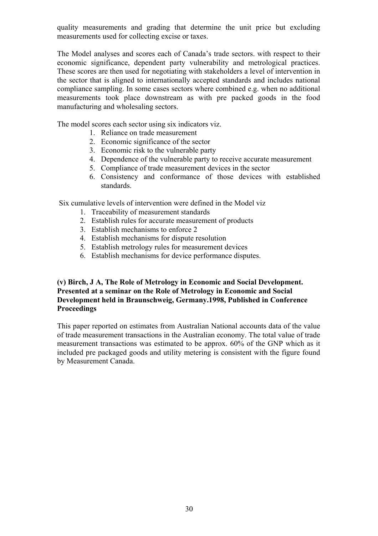quality measurements and grading that determine the unit price but excluding measurements used for collecting excise or taxes.

The Model analyses and scores each of Canada's trade sectors. with respect to their economic significance, dependent party vulnerability and metrological practices. These scores are then used for negotiating with stakeholders a level of intervention in the sector that is aligned to internationally accepted standards and includes national compliance sampling. In some cases sectors where combined e.g. when no additional measurements took place downstream as with pre packed goods in the food manufacturing and wholesaling sectors.

The model scores each sector using six indicators viz.

- 1. Reliance on trade measurement
- 2. Economic significance of the sector
- 3. Economic risk to the vulnerable party
- 4. Dependence of the vulnerable party to receive accurate measurement
- 5. Compliance of trade measurement devices in the sector
- 6. Consistency and conformance of those devices with established standards.

Six cumulative levels of intervention were defined in the Model viz

- 1. Traceability of measurement standards
- 2. Establish rules for accurate measurement of products
- 3. Establish mechanisms to enforce 2
- 4. Establish mechanisms for dispute resolution
- 5. Establish metrology rules for measurement devices
- 6. Establish mechanisms for device performance disputes.

#### **(v) Birch, J A, The Role of Metrology in Economic and Social Development. Presented at a seminar on the Role of Metrology in Economic and Social Development held in Braunschweig, Germany.1998, Published in Conference Proceedings**

This paper reported on estimates from Australian National accounts data of the value of trade measurement transactions in the Australian economy. The total value of trade measurement transactions was estimated to be approx. 60% of the GNP which as it included pre packaged goods and utility metering is consistent with the figure found by Measurement Canada.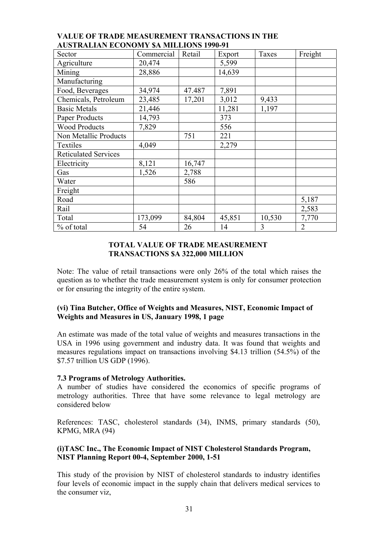| Sector                      | Commercial | Retail | Export | Taxes  | Freight        |
|-----------------------------|------------|--------|--------|--------|----------------|
| Agriculture                 | 20,474     |        | 5,599  |        |                |
| Mining                      | 28,886     |        | 14,639 |        |                |
| Manufacturing               |            |        |        |        |                |
| Food, Beverages             | 34,974     | 47.487 | 7,891  |        |                |
| Chemicals, Petroleum        | 23,485     | 17,201 | 3,012  | 9,433  |                |
| <b>Basic Metals</b>         | 21,446     |        | 11,281 | 1,197  |                |
| Paper Products              | 14,793     |        | 373    |        |                |
| <b>Wood Products</b>        | 7,829      |        | 556    |        |                |
| Non Metallic Products       |            | 751    | 221    |        |                |
| Textiles                    | 4,049      |        | 2,279  |        |                |
| <b>Reticulated Services</b> |            |        |        |        |                |
| Electricity                 | 8,121      | 16,747 |        |        |                |
| Gas                         | 1,526      | 2,788  |        |        |                |
| Water                       |            | 586    |        |        |                |
| Freight                     |            |        |        |        |                |
| Road                        |            |        |        |        | 5,187          |
| Rail                        |            |        |        |        | 2,583          |
| Total                       | 173,099    | 84,804 | 45,851 | 10,530 | 7,770          |
| % of total                  | 54         | 26     | 14     | 3      | $\overline{2}$ |

#### **VALUE OF TRADE MEASUREMENT TRANSACTIONS IN THE AUSTRALIAN ECONOMY \$A MILLIONS 1990-91**

#### **TOTAL VALUE OF TRADE MEASUREMENT TRANSACTIONS \$A 322,000 MILLION**

Note: The value of retail transactions were only 26% of the total which raises the question as to whether the trade measurement system is only for consumer protection or for ensuring the integrity of the entire system.

#### **(vi) Tina Butcher, Office of Weights and Measures, NIST, Economic Impact of Weights and Measures in US, January 1998, 1 page**

An estimate was made of the total value of weights and measures transactions in the USA in 1996 using government and industry data. It was found that weights and measures regulations impact on transactions involving \$4.13 trillion (54.5%) of the \$7.57 trillion US GDP (1996).

#### **7.3 Programs of Metrology Authorities.**

A number of studies have considered the economics of specific programs of metrology authorities. Three that have some relevance to legal metrology are considered below

References: TASC, cholesterol standards (34), INMS, primary standards (50), KPMG, MRA (94)

#### **(i)TASC Inc., The Economic Impact of NIST Cholesterol Standards Program, NIST Planning Report 00-4, September 2000, 1-51**

This study of the provision by NIST of cholesterol standards to industry identifies four levels of economic impact in the supply chain that delivers medical services to the consumer viz,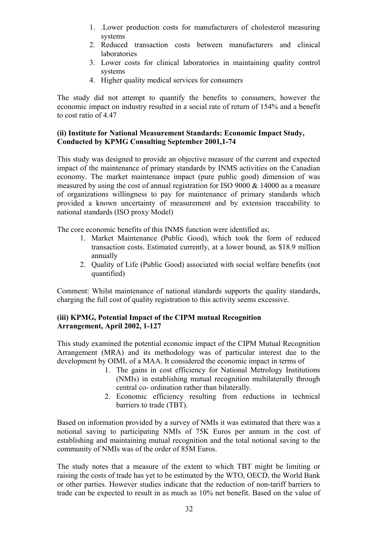- 1. .Lower production costs for manufacturers of cholesterol measuring systems
- 2. Reduced transaction costs between manufacturers and clinical laboratories
- 3. Lower costs for clinical laboratories in maintaining quality control systems
- 4. Higher quality medical services for consumers

The study did not attempt to quantify the benefits to consumers, however the economic impact on industry resulted in a social rate of return of 154% and a benefit to cost ratio of 4.47

#### **(ii) Institute for National Measurement Standards: Economic Impact Study, Conducted by KPMG Consulting September 2001,1-74**

This study was designed to provide an objective measure of the current and expected impact of the maintenance of primary standards by INMS activities on the Canadian economy. The market maintenance impact (pure public good) dimension of was measured by using the cost of annual registration for ISO 9000 & 14000 as a measure of organizations willingness to pay for maintenance of primary standards which provided a known uncertainty of measurement and by extension traceability to national standards (ISO proxy Model)

The core economic benefits of this INMS function were identified as;

- 1. Market Maintenance (Public Good), which took the form of reduced transaction costs. Estimated currently, at a lower bound, as \$18.9 million annually
- 2. Quality of Life (Public Good) associated with social welfare benefits (not quantified)

Comment: Whilst maintenance of national standards supports the quality standards, charging the full cost of quality registration to this activity seems excessive.

#### **(iii) KPMG, Potential Impact of the CIPM mutual Recognition Arrangement, April 2002, 1-127**

This study examined the potential economic impact of the CIPM Mutual Recognition Arrangement (MRA) and its methodology was of particular interest due to the development by OIML of a MAA. It considered the economic impact in terms of

- 1. The gains in cost efficiency for National Metrology Institutions (NMIs) in establishing mutual recognition multilaterally through central co- ordination rather than bilaterally.
- 2. Economic efficiency resulting from reductions in technical barriers to trade (TBT).

Based on information provided by a survey of NMIs it was estimated that there was a notional saving to participating NMIs of 75K Euros per annum in the cost of establishing and maintaining mutual recognition and the total notional saving to the community of NMIs was of the order of 85M Euros.

The study notes that a measure of the extent to which TBT might be limiting or raising the costs of trade has yet to be estimated by the WTO, OECD, the World Bank or other parties. However studies indicate that the reduction of non-tariff barriers to trade can be expected to result in as much as 10% net benefit. Based on the value of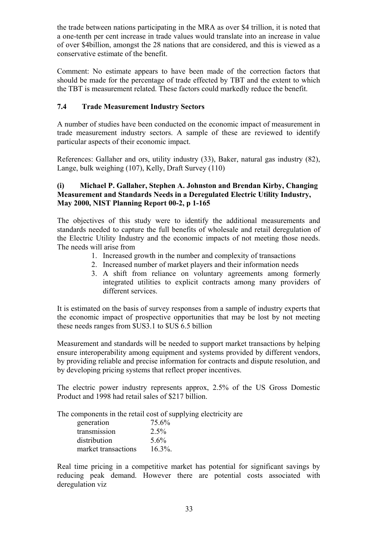the trade between nations participating in the MRA as over \$4 trillion, it is noted that a one-tenth per cent increase in trade values would translate into an increase in value of over \$4billion, amongst the 28 nations that are considered, and this is viewed as a conservative estimate of the benefit.

Comment: No estimate appears to have been made of the correction factors that should be made for the percentage of trade effected by TBT and the extent to which the TBT is measurement related. These factors could markedly reduce the benefit.

#### **7.4 Trade Measurement Industry Sectors**

A number of studies have been conducted on the economic impact of measurement in trade measurement industry sectors. A sample of these are reviewed to identify particular aspects of their economic impact.

References: Gallaher and ors, utility industry (33), Baker, natural gas industry (82), Lange, bulk weighing (107), Kelly, Draft Survey (110)

#### **(i) Michael P. Gallaher, Stephen A. Johnston and Brendan Kirby, Changing Measurement and Standards Needs in a Deregulated Electric Utility Industry, May 2000, NIST Planning Report 00-2, p 1-165**

The objectives of this study were to identify the additional measurements and standards needed to capture the full benefits of wholesale and retail deregulation of the Electric Utility Industry and the economic impacts of not meeting those needs. The needs will arise from

- 1. Increased growth in the number and complexity of transactions
- 2. Increased number of market players and their information needs
- 3. A shift from reliance on voluntary agreements among formerly integrated utilities to explicit contracts among many providers of different services.

It is estimated on the basis of survey responses from a sample of industry experts that the economic impact of prospective opportunities that may be lost by not meeting these needs ranges from \$US3.1 to \$US 6.5 billion

Measurement and standards will be needed to support market transactions by helping ensure interoperability among equipment and systems provided by different vendors, by providing reliable and precise information for contracts and dispute resolution, and by developing pricing systems that reflect proper incentives.

The electric power industry represents approx, 2.5% of the US Gross Domestic Product and 1998 had retail sales of \$217 billion.

The components in the retail cost of supplying electricity are

| generation          | 75.6%      |
|---------------------|------------|
| transmission        | 2.5%       |
| distribution        | 5.6%       |
| market transactions | $16.3\%$ . |

Real time pricing in a competitive market has potential for significant savings by reducing peak demand. However there are potential costs associated with deregulation viz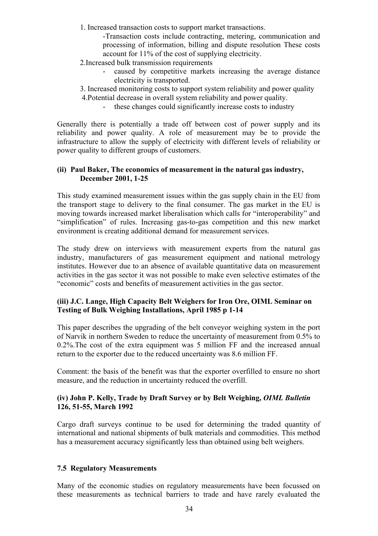1. Increased transaction costs to support market transactions.

-Transaction costs include contracting, metering, communication and processing of information, billing and dispute resolution These costs account for 11% of the cost of supplying electricity.

- 2.Increased bulk transmission requirements
	- caused by competitive markets increasing the average distance electricity is transported.
- 3. Increased monitoring costs to support system reliability and power quality
- 4.Potential decrease in overall system reliability and power quality.
	- these changes could significantly increase costs to industry

Generally there is potentially a trade off between cost of power supply and its reliability and power quality. A role of measurement may be to provide the infrastructure to allow the supply of electricity with different levels of reliability or power quality to different groups of customers.

#### **(ii) Paul Baker, The economics of measurement in the natural gas industry, December 2001, 1-25**

This study examined measurement issues within the gas supply chain in the EU from the transport stage to delivery to the final consumer. The gas market in the EU is moving towards increased market liberalisation which calls for "interoperability" and "simplification" of rules. Increasing gas-to-gas competition and this new market environment is creating additional demand for measurement services.

The study drew on interviews with measurement experts from the natural gas industry, manufacturers of gas measurement equipment and national metrology institutes. However due to an absence of available quantitative data on measurement activities in the gas sector it was not possible to make even selective estimates of the "economic" costs and benefits of measurement activities in the gas sector.

#### **(iii) J.C. Lange, High Capacity Belt Weighers for Iron Ore, OIML Seminar on Testing of Bulk Weighing Installations, April 1985 p 1-14**

This paper describes the upgrading of the belt conveyor weighing system in the port of Narvik in northern Sweden to reduce the uncertainty of measurement from 0.5% to 0.2%.The cost of the extra equipment was 5 million FF and the increased annual return to the exporter due to the reduced uncertainty was 8.6 million FF.

Comment: the basis of the benefit was that the exporter overfilled to ensure no short measure, and the reduction in uncertainty reduced the overfill.

#### **(iv) John P. Kelly, Trade by Draft Survey or by Belt Weighing,** *OIML Bulletin*  **126, 51-55, March 1992**

Cargo draft surveys continue to be used for determining the traded quantity of international and national shipments of bulk materials and commodities. This method has a measurement accuracy significantly less than obtained using belt weighers.

#### **7.5 Regulatory Measurements**

Many of the economic studies on regulatory measurements have been focussed on these measurements as technical barriers to trade and have rarely evaluated the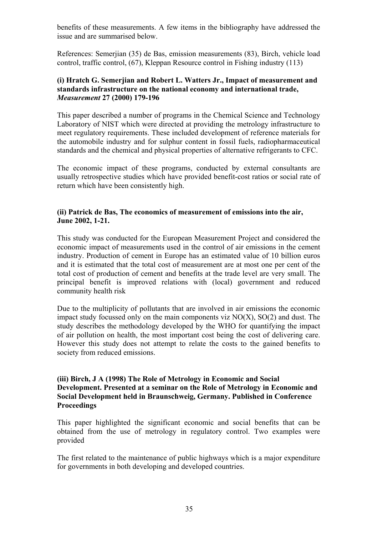benefits of these measurements. A few items in the bibliography have addressed the issue and are summarised below.

References: Semerjian (35) de Bas, emission measurements (83), Birch, vehicle load control, traffic control, (67), Kleppan Resource control in Fishing industry (113)

#### **(i) Hratch G. Semerjian and Robert L. Watters Jr., Impact of measurement and standards infrastructure on the national economy and international trade,**  *Measurement* **27 (2000) 179-196**

This paper described a number of programs in the Chemical Science and Technology Laboratory of NIST which were directed at providing the metrology infrastructure to meet regulatory requirements. These included development of reference materials for the automobile industry and for sulphur content in fossil fuels, radiopharmaceutical standards and the chemical and physical properties of alternative refrigerants to CFC.

The economic impact of these programs, conducted by external consultants are usually retrospective studies which have provided benefit-cost ratios or social rate of return which have been consistently high.

#### **(ii) Patrick de Bas, The economics of measurement of emissions into the air, June 2002, 1-21.**

This study was conducted for the European Measurement Project and considered the economic impact of measurements used in the control of air emissions in the cement industry. Production of cement in Europe has an estimated value of 10 billion euros and it is estimated that the total cost of measurement are at most one per cent of the total cost of production of cement and benefits at the trade level are very small. The principal benefit is improved relations with (local) government and reduced community health risk

Due to the multiplicity of pollutants that are involved in air emissions the economic impact study focussed only on the main components viz  $NO(X)$ ,  $SO(2)$  and dust. The study describes the methodology developed by the WHO for quantifying the impact of air pollution on health, the most important cost being the cost of delivering care. However this study does not attempt to relate the costs to the gained benefits to society from reduced emissions.

#### **(iii) Birch, J A (1998) The Role of Metrology in Economic and Social Development. Presented at a seminar on the Role of Metrology in Economic and Social Development held in Braunschweig, Germany. Published in Conference Proceedings**

This paper highlighted the significant economic and social benefits that can be obtained from the use of metrology in regulatory control. Two examples were provided

The first related to the maintenance of public highways which is a major expenditure for governments in both developing and developed countries.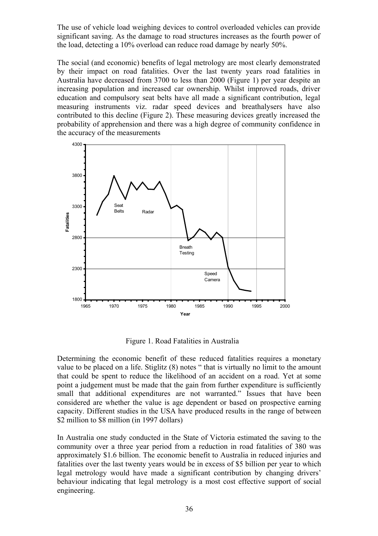The use of vehicle load weighing devices to control overloaded vehicles can provide significant saving. As the damage to road structures increases as the fourth power of the load, detecting a 10% overload can reduce road damage by nearly 50%.

The social (and economic) benefits of legal metrology are most clearly demonstrated by their impact on road fatalities. Over the last twenty years road fatalities in Australia have decreased from 3700 to less than 2000 (Figure 1) per year despite an increasing population and increased car ownership. Whilst improved roads, driver education and compulsory seat belts have all made a significant contribution, legal measuring instruments viz. radar speed devices and breathalysers have also contributed to this decline (Figure 2). These measuring devices greatly increased the probability of apprehension and there was a high degree of community confidence in the accuracy of the measurements



Figure 1. Road Fatalities in Australia

Determining the economic benefit of these reduced fatalities requires a monetary value to be placed on a life. Stiglitz (8) notes " that is virtually no limit to the amount that could be spent to reduce the likelihood of an accident on a road. Yet at some point a judgement must be made that the gain from further expenditure is sufficiently small that additional expenditures are not warranted." Issues that have been considered are whether the value is age dependent or based on prospective earning capacity. Different studies in the USA have produced results in the range of between \$2 million to \$8 million (in 1997 dollars)

In Australia one study conducted in the State of Victoria estimated the saving to the community over a three year period from a reduction in road fatalities of 380 was approximately \$1.6 billion. The economic benefit to Australia in reduced injuries and fatalities over the last twenty years would be in excess of \$5 billion per year to which legal metrology would have made a significant contribution by changing drivers' behaviour indicating that legal metrology is a most cost effective support of social engineering.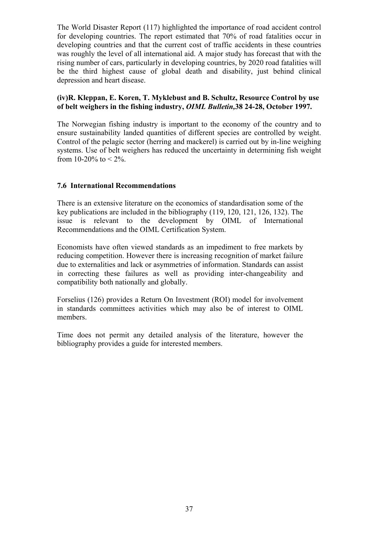The World Disaster Report (117) highlighted the importance of road accident control for developing countries. The report estimated that 70% of road fatalities occur in developing countries and that the current cost of traffic accidents in these countries was roughly the level of all international aid. A major study has forecast that with the rising number of cars, particularly in developing countries, by 2020 road fatalities will be the third highest cause of global death and disability, just behind clinical depression and heart disease.

### **(iv)R. Kleppan, E. Koren, T. Myklebust and B. Schultz, Resource Control by use of belt weighers in the fishing industry,** *OIML Bulletin,***38 24-28, October 1997.**

The Norwegian fishing industry is important to the economy of the country and to ensure sustainability landed quantities of different species are controlled by weight. Control of the pelagic sector (herring and mackerel) is carried out by in-line weighing systems. Use of belt weighers has reduced the uncertainty in determining fish weight from 10-20% to  $\leq 2\%$ .

### **7.6 International Recommendations**

There is an extensive literature on the economics of standardisation some of the key publications are included in the bibliography (119, 120, 121, 126, 132). The issue is relevant to the development by OIML of International Recommendations and the OIML Certification System.

Economists have often viewed standards as an impediment to free markets by reducing competition. However there is increasing recognition of market failure due to externalities and lack or asymmetries of information. Standards can assist in correcting these failures as well as providing inter-changeability and compatibility both nationally and globally.

Forselius (126) provides a Return On Investment (ROI) model for involvement in standards committees activities which may also be of interest to OIML members.

Time does not permit any detailed analysis of the literature, however the bibliography provides a guide for interested members.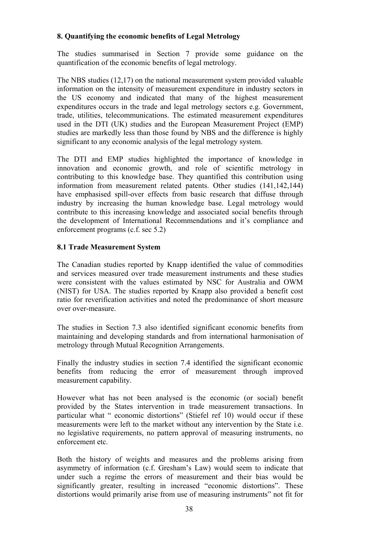### **8. Quantifying the economic benefits of Legal Metrology**

The studies summarised in Section 7 provide some guidance on the quantification of the economic benefits of legal metrology.

The NBS studies (12,17) on the national measurement system provided valuable information on the intensity of measurement expenditure in industry sectors in the US economy and indicated that many of the highest measurement expenditures occurs in the trade and legal metrology sectors e.g. Government, trade, utilities, telecommunications. The estimated measurement expenditures used in the DTI (UK) studies and the European Measurement Project (EMP) studies are markedly less than those found by NBS and the difference is highly significant to any economic analysis of the legal metrology system.

The DTI and EMP studies highlighted the importance of knowledge in innovation and economic growth, and role of scientific metrology in contributing to this knowledge base. They quantified this contribution using information from measurement related patents. Other studies (141,142,144) have emphasised spill-over effects from basic research that diffuse through industry by increasing the human knowledge base. Legal metrology would contribute to this increasing knowledge and associated social benefits through the development of International Recommendations and it's compliance and enforcement programs (c.f. sec 5.2)

### **8.1 Trade Measurement System**

The Canadian studies reported by Knapp identified the value of commodities and services measured over trade measurement instruments and these studies were consistent with the values estimated by NSC for Australia and OWM (NIST) for USA. The studies reported by Knapp also provided a benefit cost ratio for reverification activities and noted the predominance of short measure over over-measure.

The studies in Section 7.3 also identified significant economic benefits from maintaining and developing standards and from international harmonisation of metrology through Mutual Recognition Arrangements.

Finally the industry studies in section 7.4 identified the significant economic benefits from reducing the error of measurement through improved measurement capability.

However what has not been analysed is the economic (or social) benefit provided by the States intervention in trade measurement transactions. In particular what " economic distortions" (Stiefel ref 10) would occur if these measurements were left to the market without any intervention by the State i.e. no legislative requirements, no pattern approval of measuring instruments, no enforcement etc.

Both the history of weights and measures and the problems arising from asymmetry of information (c.f. Gresham's Law) would seem to indicate that under such a regime the errors of measurement and their bias would be significantly greater, resulting in increased "economic distortions". These distortions would primarily arise from use of measuring instruments" not fit for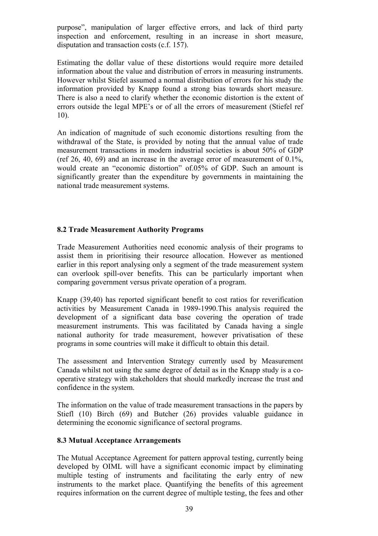purpose", manipulation of larger effective errors, and lack of third party inspection and enforcement, resulting in an increase in short measure, disputation and transaction costs (c.f. 157).

Estimating the dollar value of these distortions would require more detailed information about the value and distribution of errors in measuring instruments. However whilst Stiefel assumed a normal distribution of errors for his study the information provided by Knapp found a strong bias towards short measure. There is also a need to clarify whether the economic distortion is the extent of errors outside the legal MPE's or of all the errors of measurement (Stiefel ref 10).

An indication of magnitude of such economic distortions resulting from the withdrawal of the State, is provided by noting that the annual value of trade measurement transactions in modern industrial societies is about 50% of GDP (ref 26, 40, 69) and an increase in the average error of measurement of 0.1%, would create an "economic distortion" of.05% of GDP. Such an amount is significantly greater than the expenditure by governments in maintaining the national trade measurement systems.

### **8.2 Trade Measurement Authority Programs**

Trade Measurement Authorities need economic analysis of their programs to assist them in prioritising their resource allocation. However as mentioned earlier in this report analysing only a segment of the trade measurement system can overlook spill-over benefits. This can be particularly important when comparing government versus private operation of a program.

Knapp (39,40) has reported significant benefit to cost ratios for reverification activities by Measurement Canada in 1989-1990.This analysis required the development of a significant data base covering the operation of trade measurement instruments. This was facilitated by Canada having a single national authority for trade measurement, however privatisation of these programs in some countries will make it difficult to obtain this detail.

The assessment and Intervention Strategy currently used by Measurement Canada whilst not using the same degree of detail as in the Knapp study is a cooperative strategy with stakeholders that should markedly increase the trust and confidence in the system.

The information on the value of trade measurement transactions in the papers by Stiefl (10) Birch (69) and Butcher (26) provides valuable guidance in determining the economic significance of sectoral programs.

#### **8.3 Mutual Acceptance Arrangements**

The Mutual Acceptance Agreement for pattern approval testing, currently being developed by OIML will have a significant economic impact by eliminating multiple testing of instruments and facilitating the early entry of new instruments to the market place. Quantifying the benefits of this agreement requires information on the current degree of multiple testing, the fees and other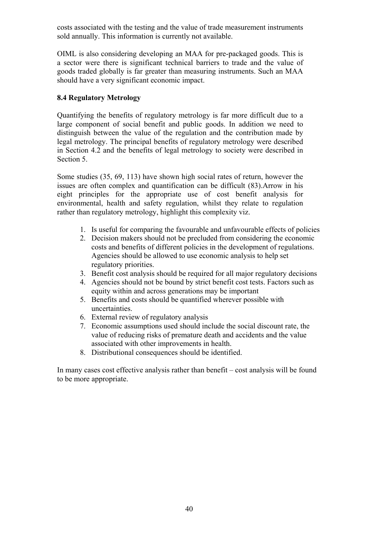costs associated with the testing and the value of trade measurement instruments sold annually. This information is currently not available.

OIML is also considering developing an MAA for pre-packaged goods. This is a sector were there is significant technical barriers to trade and the value of goods traded globally is far greater than measuring instruments. Such an MAA should have a very significant economic impact.

### **8.4 Regulatory Metrology**

Quantifying the benefits of regulatory metrology is far more difficult due to a large component of social benefit and public goods. In addition we need to distinguish between the value of the regulation and the contribution made by legal metrology. The principal benefits of regulatory metrology were described in Section 4.2 and the benefits of legal metrology to society were described in Section 5.

Some studies (35, 69, 113) have shown high social rates of return, however the issues are often complex and quantification can be difficult (83).Arrow in his eight principles for the appropriate use of cost benefit analysis for environmental, health and safety regulation, whilst they relate to regulation rather than regulatory metrology, highlight this complexity viz.

- 1. Is useful for comparing the favourable and unfavourable effects of policies
- 2. Decision makers should not be precluded from considering the economic costs and benefits of different policies in the development of regulations. Agencies should be allowed to use economic analysis to help set regulatory priorities.
- 3. Benefit cost analysis should be required for all major regulatory decisions
- 4. Agencies should not be bound by strict benefit cost tests. Factors such as equity within and across generations may be important
- 5. Benefits and costs should be quantified wherever possible with uncertainties.
- 6. External review of regulatory analysis
- 7. Economic assumptions used should include the social discount rate, the value of reducing risks of premature death and accidents and the value associated with other improvements in health.
- 8. Distributional consequences should be identified.

In many cases cost effective analysis rather than benefit – cost analysis will be found to be more appropriate.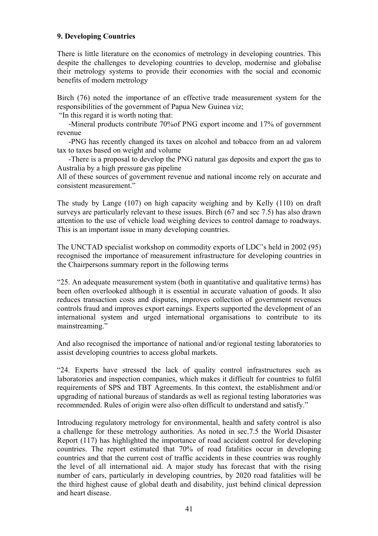#### **9. Developing Countries**

There is little literature on the economics of metrology in developing countries. This despite the challenges to developing countries to develop, modernise and globalise their metrology systems to provide their economies with the social and economic benefits of modern metrology

Birch (76) noted the importance of an effective trade measurement system for the responsibilities of the government of Papua New Guinea viz;

"In this regard it is worth noting that:

 -Mineral products contribute 70%of PNG export income and 17% of government revenue

 -PNG has recently changed its taxes on alcohol and tobacco from an ad valorem tax to taxes based on weight and volume

 -There is a proposal to develop the PNG natural gas deposits and export the gas to Australia by a high pressure gas pipeline

All of these sources of government revenue and national income rely on accurate and consistent measurement."

The study by Lange (107) on high capacity weighing and by Kelly (110) on draft surveys are particularly relevant to these issues. Birch (67 and sec 7.5) has also drawn attention to the use of vehicle load weighing devices to control damage to roadways. This is an important issue in many developing countries.

The UNCTAD specialist workshop on commodity exports of LDC's held in 2002 (95) recognised the importance of measurement infrastructure for developing countries in the Chairpersons summary report in the following terms

"25. An adequate measurement system (both in quantitative and qualitative terms) has been often overlooked although it is essential in accurate valuation of goods. It also reduces transaction costs and disputes, improves collection of government revenues controls fraud and improves export earnings. Experts supported the development of an international system and urged international organisations to contribute to its mainstreaming."

And also recognised the importance of national and/or regional testing laboratories to assist developing countries to access global markets.

"24. Experts have stressed the lack of quality control infrastructures such as laboratories and inspection companies, which makes it difficult for countries to fulfil requirements of SPS and TBT Agreements. In this context, the establishment and/or upgrading of national bureaus of standards as well as regional testing laboratories was recommended. Rules of origin were also often difficult to understand and satisfy."

Introducing regulatory metrology for environmental, health and safety control is also a challenge for these metrology authorities. As noted in sec.7.5 the World Disaster Report (117) has highlighted the importance of road accident control for developing countries. The report estimated that 70% of road fatalities occur in developing countries and that the current cost of traffic accidents in these countries was roughly the level of all international aid. A major study has forecast that with the rising number of cars, particularly in developing countries, by 2020 road fatalities will be the third highest cause of global death and disability, just behind clinical depression and heart disease.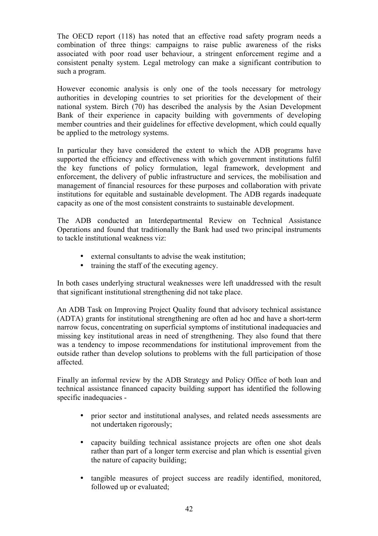The OECD report (118) has noted that an effective road safety program needs a combination of three things: campaigns to raise public awareness of the risks associated with poor road user behaviour, a stringent enforcement regime and a consistent penalty system. Legal metrology can make a significant contribution to such a program.

However economic analysis is only one of the tools necessary for metrology authorities in developing countries to set priorities for the development of their national system. Birch (70) has described the analysis by the Asian Development Bank of their experience in capacity building with governments of developing member countries and their guidelines for effective development, which could equally be applied to the metrology systems.

In particular they have considered the extent to which the ADB programs have supported the efficiency and effectiveness with which government institutions fulfil the key functions of policy formulation, legal framework, development and enforcement, the delivery of public infrastructure and services, the mobilisation and management of financial resources for these purposes and collaboration with private institutions for equitable and sustainable development. The ADB regards inadequate capacity as one of the most consistent constraints to sustainable development.

The ADB conducted an Interdepartmental Review on Technical Assistance Operations and found that traditionally the Bank had used two principal instruments to tackle institutional weakness viz:

- external consultants to advise the weak institution;
- training the staff of the executing agency.

In both cases underlying structural weaknesses were left unaddressed with the result that significant institutional strengthening did not take place.

An ADB Task on Improving Project Quality found that advisory technical assistance (ADTA) grants for institutional strengthening are often ad hoc and have a short-term narrow focus, concentrating on superficial symptoms of institutional inadequacies and missing key institutional areas in need of strengthening. They also found that there was a tendency to impose recommendations for institutional improvement from the outside rather than develop solutions to problems with the full participation of those affected.

Finally an informal review by the ADB Strategy and Policy Office of both loan and technical assistance financed capacity building support has identified the following specific inadequacies -

- prior sector and institutional analyses, and related needs assessments are not undertaken rigorously;
- capacity building technical assistance projects are often one shot deals rather than part of a longer term exercise and plan which is essential given the nature of capacity building;
- tangible measures of project success are readily identified, monitored, followed up or evaluated;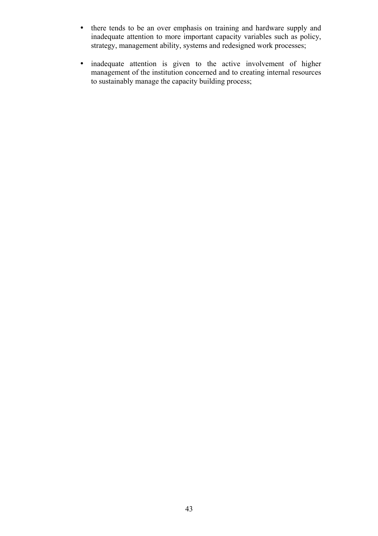- there tends to be an over emphasis on training and hardware supply and inadequate attention to more important capacity variables such as policy, strategy, management ability, systems and redesigned work processes;
- inadequate attention is given to the active involvement of higher management of the institution concerned and to creating internal resources to sustainably manage the capacity building process;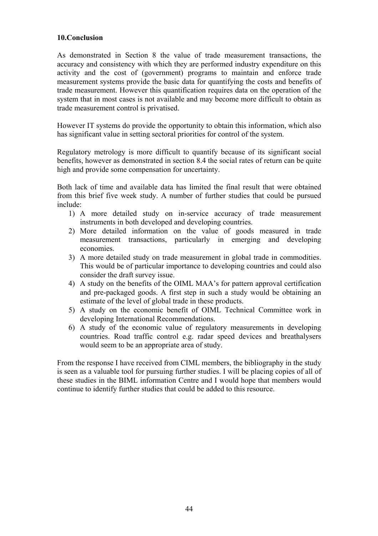#### **10.Conclusion**

As demonstrated in Section 8 the value of trade measurement transactions, the accuracy and consistency with which they are performed industry expenditure on this activity and the cost of (government) programs to maintain and enforce trade measurement systems provide the basic data for quantifying the costs and benefits of trade measurement. However this quantification requires data on the operation of the system that in most cases is not available and may become more difficult to obtain as trade measurement control is privatised.

However IT systems do provide the opportunity to obtain this information, which also has significant value in setting sectoral priorities for control of the system.

Regulatory metrology is more difficult to quantify because of its significant social benefits, however as demonstrated in section 8.4 the social rates of return can be quite high and provide some compensation for uncertainty.

Both lack of time and available data has limited the final result that were obtained from this brief five week study. A number of further studies that could be pursued include:

- 1) A more detailed study on in-service accuracy of trade measurement instruments in both developed and developing countries.
- 2) More detailed information on the value of goods measured in trade measurement transactions, particularly in emerging and developing economies.
- 3) A more detailed study on trade measurement in global trade in commodities. This would be of particular importance to developing countries and could also consider the draft survey issue.
- 4) A study on the benefits of the OIML MAA's for pattern approval certification and pre-packaged goods. A first step in such a study would be obtaining an estimate of the level of global trade in these products.
- 5) A study on the economic benefit of OIML Technical Committee work in developing International Recommendations.
- 6) A study of the economic value of regulatory measurements in developing countries. Road traffic control e.g. radar speed devices and breathalysers would seem to be an appropriate area of study.

From the response I have received from CIML members, the bibliography in the study is seen as a valuable tool for pursuing further studies. I will be placing copies of all of these studies in the BIML information Centre and I would hope that members would continue to identify further studies that could be added to this resource.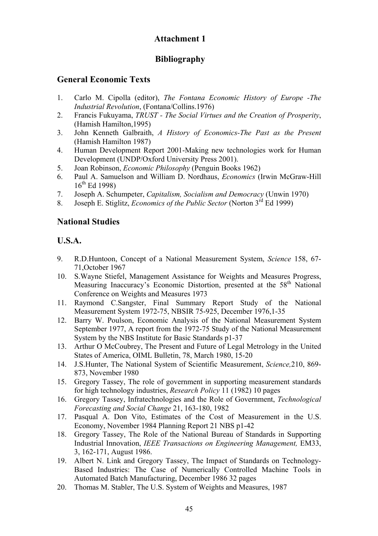# **Attachment 1**

# **Bibliography**

# **General Economic Texts**

- 1. Carlo M. Cipolla (editor), *The Fontana Economic History of Europe -The Industrial Revolution*, (Fontana/Collins.1976)
- 2. Francis Fukuyama, *TRUST The Social Virtues and the Creation of Prosperity*, (Hamish Hamilton,1995)
- 3. John Kenneth Galbraith, *A History of Economics-The Past as the Present* (Hamish Hamilton 1987)
- 4. Human Development Report 2001-Making new technologies work for Human Development (UNDP/Oxford University Press 2001).
- 5. Joan Robinson, *Economic Philosophy* (Penguin Books 1962)
- 6. Paul A. Samuelson and William D. Nordhaus, *Economics* (Irwin McGraw-Hill  $16^{th}$  Ed 1998)
- 7. Joseph A. Schumpeter, *Capitalism, Socialism and Democracy* (Unwin 1970)
- 8. Joseph E. Stiglitz, *Economics of the Public Sector* (Norton 3rd Ed 1999)

## **National Studies**

# **U.S.A.**

- 9. R.D.Huntoon, Concept of a National Measurement System, *Science* 158, 67- 71,October 1967
- 10. S.Wayne Stiefel, Management Assistance for Weights and Measures Progress, Measuring Inaccuracy's Economic Distortion, presented at the 58<sup>th</sup> National Conference on Weights and Measures 1973
- 11. Raymond C.Sangster, Final Summary Report Study of the National Measurement System 1972-75, NBSIR 75-925, December 1976,1-35
- 12. Barry W. Poulson, Economic Analysis of the National Measurement System September 1977, A report from the 1972-75 Study of the National Measurement System by the NBS Institute for Basic Standards p1-37
- 13. Arthur O McCoubrey, The Present and Future of Legal Metrology in the United States of America, OIML Bulletin, 78, March 1980, 15-20
- 14. J.S.Hunter, The National System of Scientific Measurement, *Science,*210, 869- 873, November 1980
- 15. Gregory Tassey, The role of government in supporting measurement standards for high technology industries, *Research Policy* 11 (1982) 10 pages
- 16. Gregory Tassey, Infratechnologies and the Role of Government, *Technological Forecasting and Social Change* 21, 163-180, 1982
- 17. Pasqual A. Don Vito, Estimates of the Cost of Measurement in the U.S. Economy, November 1984 Planning Report 21 NBS p1-42
- 18. Gregory Tassey, The Role of the National Bureau of Standards in Supporting Industrial Innovation, *IEEE Transactions on Engineering Management,* EM33, 3, 162-171, August 1986.
- 19. Albert N. Link and Gregory Tassey, The Impact of Standards on Technology-Based Industries: The Case of Numerically Controlled Machine Tools in Automated Batch Manufacturing, December 1986 32 pages
- 20. Thomas M. Stabler, The U.S. System of Weights and Measures, 1987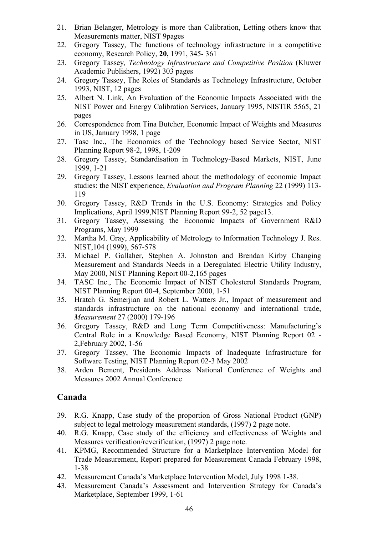- 21. Brian Belanger, Metrology is more than Calibration, Letting others know that Measurements matter, NIST 9pages
- 22. Gregory Tassey, The functions of technology infrastructure in a competitive economy, Research Policy, **20,** 1991, 345- 361
- 23. Gregory Tassey*, Technology Infrastructure and Competitive Position* (Kluwer Academic Publishers, 1992) 303 pages
- 24. Gregory Tassey, The Roles of Standards as Technology Infrastructure, October 1993, NIST, 12 pages
- 25. Albert N. Link, An Evaluation of the Economic Impacts Associated with the NIST Power and Energy Calibration Services, January 1995, NISTIR 5565, 21 pages
- 26. Correspondence from Tina Butcher, Economic Impact of Weights and Measures in US, January 1998, 1 page
- 27. Tasc Inc., The Economics of the Technology based Service Sector, NIST Planning Report 98-2, 1998, 1-209
- 28. Gregory Tassey, Standardisation in Technology-Based Markets, NIST, June 1999, 1-21
- 29. Gregory Tassey, Lessons learned about the methodology of economic Impact studies: the NIST experience, *Evaluation and Program Planning* 22 (1999) 113- 119
- 30. Gregory Tassey, R&D Trends in the U.S. Economy: Strategies and Policy Implications, April 1999,NIST Planning Report 99-2, 52 page13.
- 31. Gregory Tassey, Assessing the Economic Impacts of Government R&D Programs, May 1999
- 32. Martha M. Gray, Applicability of Metrology to Information Technology J. Res. NIST,104 (1999), 567-578
- 33. Michael P. Gallaher, Stephen A. Johnston and Brendan Kirby Changing Measurement and Standards Needs in a Deregulated Electric Utility Industry, May 2000, NIST Planning Report 00-2,165 pages
- 34. TASC Inc., The Economic Impact of NIST Cholesterol Standards Program, NIST Planning Report 00-4, September 2000, 1-51
- 35. Hratch G. Semerjian and Robert L. Watters Jr., Impact of measurement and standards infrastructure on the national economy and international trade, *Measurement* 27 (2000) 179-196
- 36. Gregory Tassey, R&D and Long Term Competitiveness: Manufacturing's Central Role in a Knowledge Based Economy, NIST Planning Report 02 - 2,February 2002, 1-56
- 37. Gregory Tassey, The Economic Impacts of Inadequate Infrastructure for Software Testing, NIST Planning Report 02-3 May 2002
- 38. Arden Bement, Presidents Address National Conference of Weights and Measures 2002 Annual Conference

## **Canada**

- 39. R.G. Knapp, Case study of the proportion of Gross National Product (GNP) subject to legal metrology measurement standards, (1997) 2 page note.
- 40. R.G. Knapp, Case study of the efficiency and effectiveness of Weights and Measures verification/reverification, (1997) 2 page note.
- 41. KPMG, Recommended Structure for a Marketplace Intervention Model for Trade Measurement, Report prepared for Measurement Canada February 1998, 1-38
- 42. Measurement Canada's Marketplace Intervention Model, July 1998 1-38.
- 43. Measurement Canada's Assessment and Intervention Strategy for Canada's Marketplace, September 1999, 1-61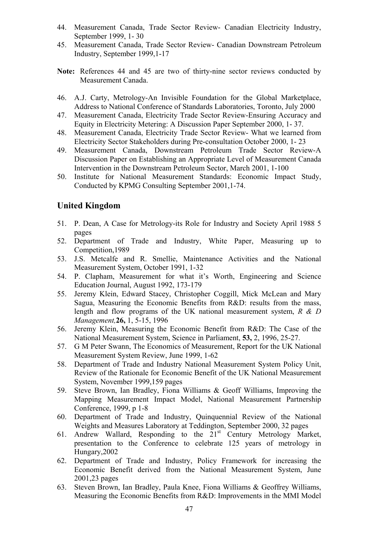- 44. Measurement Canada, Trade Sector Review- Canadian Electricity Industry, September 1999, 1- 30
- 45. Measurement Canada, Trade Sector Review- Canadian Downstream Petroleum Industry, September 1999,1-17
- **Note:** References 44 and 45 are two of thirty-nine sector reviews conducted by Measurement Canada.
- 46. A.J. Carty, Metrology-An Invisible Foundation for the Global Marketplace, Address to National Conference of Standards Laboratories, Toronto, July 2000
- 47. Measurement Canada, Electricity Trade Sector Review-Ensuring Accuracy and Equity in Electricity Metering: A Discussion Paper September 2000, 1- 37.
- 48. Measurement Canada, Electricity Trade Sector Review- What we learned from Electricity Sector Stakeholders during Pre-consultation October 2000, 1- 23
- 49. Measurement Canada, Downstream Petroleum Trade Sector Review-A Discussion Paper on Establishing an Appropriate Level of Measurement Canada Intervention in the Downstream Petroleum Sector, March 2001, 1-100
- 50. Institute for National Measurement Standards: Economic Impact Study, Conducted by KPMG Consulting September 2001,1-74.

### **United Kingdom**

- 51. P. Dean, A Case for Metrology-its Role for Industry and Society April 1988 5 pages
- 52. Department of Trade and Industry, White Paper, Measuring up to Competition,1989
- 53. J.S. Metcalfe and R. Smellie, Maintenance Activities and the National Measurement System, October 1991, 1-32
- 54. P. Clapham, Measurement for what it's Worth, Engineering and Science Education Journal, August 1992, 173-179
- 55. Jeremy Klein, Edward Stacey, Christopher Coggill, Mick McLean and Mary Sagua, Measuring the Economic Benefits from R&D: results from the mass, length and flow programs of the UK national measurement system, *R & D Management,***26,** 1, 5-15, 1996
- 56. Jeremy Klein, Measuring the Economic Benefit from R&D: The Case of the National Measurement System, Science in Parliament, **53,** 2, 1996, 25-27.
- 57. G M Peter Swann, The Economics of Measurement, Report for the UK National Measurement System Review, June 1999, 1-62
- 58. Department of Trade and Industry National Measurement System Policy Unit, Review of the Rationale for Economic Benefit of the UK National Measurement System, November 1999,159 pages
- 59. Steve Brown, Ian Bradley, Fiona Williams & Geoff Williams, Improving the Mapping Measurement Impact Model, National Measurement Partnership Conference, 1999, p 1-8
- 60. Department of Trade and Industry, Quinquennial Review of the National Weights and Measures Laboratory at Teddington, September 2000, 32 pages
- 61. Andrew Wallard, Responding to the 21<sup>st</sup> Century Metrology Market, presentation to the Conference to celebrate 125 years of metrology in Hungary,2002
- 62. Department of Trade and Industry, Policy Framework for increasing the Economic Benefit derived from the National Measurement System, June 2001,23 pages
- 63. Steven Brown, Ian Bradley, Paula Knee, Fiona Williams & Geoffrey Williams, Measuring the Economic Benefits from R&D: Improvements in the MMI Model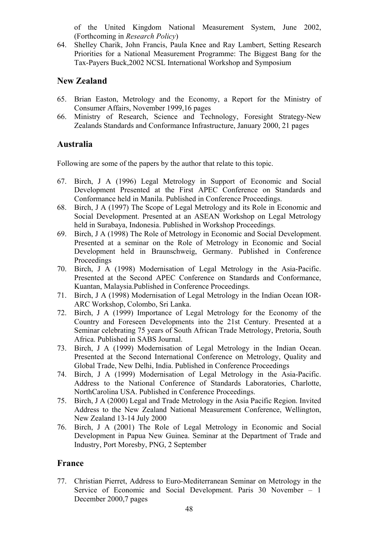of the United Kingdom National Measurement System, June 2002, (Forthcoming in *Research Policy*)

64. Shelley Charik, John Francis, Paula Knee and Ray Lambert, Setting Research Priorities for a National Measurement Programme: The Biggest Bang for the Tax-Payers Buck,2002 NCSL International Workshop and Symposium

## **New Zealand**

- 65. Brian Easton, Metrology and the Economy, a Report for the Ministry of Consumer Affairs, November 1999,16 pages
- 66. Ministry of Research, Science and Technology, Foresight Strategy-New Zealands Standards and Conformance Infrastructure, January 2000, 21 pages

# **Australia**

Following are some of the papers by the author that relate to this topic.

- 67. Birch, J A (1996) Legal Metrology in Support of Economic and Social Development Presented at the First APEC Conference on Standards and Conformance held in Manila. Published in Conference Proceedings.
- 68. Birch, J A (1997) The Scope of Legal Metrology and its Role in Economic and Social Development. Presented at an ASEAN Workshop on Legal Metrology held in Surabaya, Indonesia. Published in Workshop Proceedings.
- 69. Birch, J A (1998) The Role of Metrology in Economic and Social Development. Presented at a seminar on the Role of Metrology in Economic and Social Development held in Braunschweig, Germany. Published in Conference Proceedings
- 70. Birch, J A (1998) Modernisation of Legal Metrology in the Asia-Pacific. Presented at the Second APEC Conference on Standards and Conformance, Kuantan, Malaysia.Published in Conference Proceedings.
- 71. Birch, J A (1998) Modernisation of Legal Metrology in the Indian Ocean IOR-ARC Workshop, Colombo, Sri Lanka.
- 72. Birch, J A (1999) Importance of Legal Metrology for the Economy of the Country and Foreseen Developments into the 21st Century. Presented at a Seminar celebrating 75 years of South African Trade Metrology, Pretoria, South Africa. Published in SABS Journal.
- 73. Birch, J A (1999) Modernisation of Legal Metrology in the Indian Ocean. Presented at the Second International Conference on Metrology, Quality and Global Trade, New Delhi, India. Published in Conference Proceedings
- 74. Birch, J A (1999) Modernisation of Legal Metrology in the Asia-Pacific. Address to the National Conference of Standards Laboratories, Charlotte, NorthCarolina USA. Published in Conference Proceedings.
- 75. Birch, J A (2000) Legal and Trade Metrology in the Asia Pacific Region. Invited Address to the New Zealand National Measurement Conference, Wellington, New Zealand 13-14 July 2000
- 76. Birch, J A (2001) The Role of Legal Metrology in Economic and Social Development in Papua New Guinea. Seminar at the Department of Trade and Industry, Port Moresby, PNG, 2 September

## **France**

77. Christian Pierret, Address to Euro-Mediterranean Seminar on Metrology in the Service of Economic and Social Development. Paris 30 November – 1 December 2000,7 pages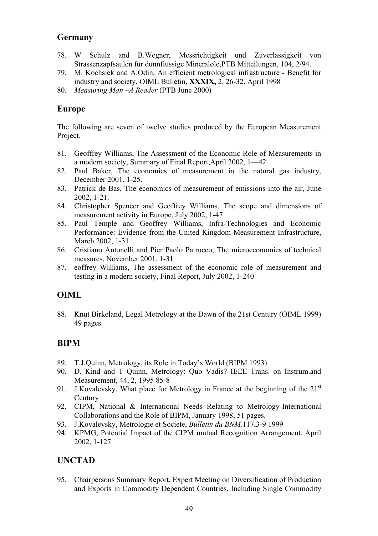## **Germany**

- 78. W Schulz and B.Wegner, Messrichtigkeit und Zuverlassigkeit von Strassenzapfsaulen fur dunnflussige Mineralole,PTB Mitteilungen, 104, 2/94.
- 79. M. Kochsiek and A.Odin, An efficient metrological infrastructure Benefit for industry and society, OIML Bulletin, **XXXIX,** 2, 26-32, April 1998
- 80. *Measuring Man –A Reader* (PTB June 2000)

### **Europe**

The following are seven of twelve studies produced by the European Measurement Project.

- 81. Geoffrey Williams, The Assessment of the Economic Role of Measurements in a modern society, Summary of Final Report,April 2002, 1—42
- 82. Paul Baker, The economics of measurement in the natural gas industry, December 2001, 1-25.
- 83. Patrick de Bas, The economics of measurement of emissions into the air, June 2002, 1-21.
- 84. Christopher Spencer and Geoffrey Williams, The scope and dimensions of measurement activity in Europe, July 2002, 1-47
- 85. Paul Temple and Geoffrey Williams, Infra-Technologies and Economic Performance: Evidence from the United Kingdom Measurement Infrastructure, March 2002, 1-31
- 86. Cristiano Antonelli and Pier Paolo Patrucco, The microeconomics of technical measures, November 2001, 1-31
- 87. eoffrey Williams, The assessment of the economic role of measurement and testing in a modern society, Final Report, July 2002, 1-240

## **OIML**

88. Knut Birkeland, Legal Metrology at the Dawn of the 21st Century (OIML 1999) 49 pages

## **BIPM**

- 89. T.J.Quinn, Metrology, its Role in Today's World (BIPM 1993)
- 90. D. Kind and T Quinn, Metrology: Quo Vadis? IEEE Trans. on Instrum.and Measurement, 44, 2, 1995 85-8
- 91. J.Kovalevsky, What place for Metrology in France at the beginning of the  $21<sup>st</sup>$ **Century**
- 92. CIPM, National & International Needs Relating to Metrology-International Collaborations and the Role of BIPM, January 1998, 51 pages.
- 93. J.Kovalevsky, Metrologie et Societe, *Bulletin du BNM,*117,3-9 1999
- 94. KPMG, Potential Impact of the CIPM mutual Recognition Arrangement, April 2002, 1-127

### **UNCTAD**

95. Chairpersons Summary Report, Expert Meeting on Diversification of Production and Exports in Commodity Dependent Countries, Including Single Commodity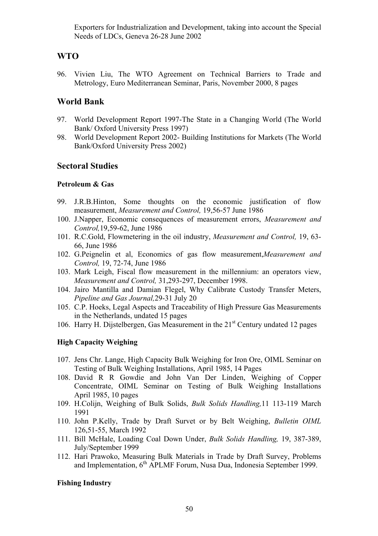Exporters for Industrialization and Development, taking into account the Special Needs of LDCs, Geneva 26-28 June 2002

## **WTO**

96. Vivien Liu, The WTO Agreement on Technical Barriers to Trade and Metrology, Euro Mediterranean Seminar, Paris, November 2000, 8 pages

### **World Bank**

- 97. World Development Report 1997-The State in a Changing World (The World Bank/ Oxford University Press 1997)
- 98. World Development Report 2002- Building Institutions for Markets (The World Bank/Oxford University Press 2002)

### **Sectoral Studies**

#### **Petroleum & Gas**

- 99. J.R.B.Hinton, Some thoughts on the economic justification of flow measurement, *Measurement and Control,* 19,56-57 June 1986
- 100. J.Napper, Economic consequences of measurement errors, *Measurement and Control,*19,59-62, June 1986
- 101. R.C.Gold, Flowmetering in the oil industry, *Measurement and Control,* 19, 63- 66, June 1986
- 102. G.Peignelin et al, Economics of gas flow measurement,*Measurement and Control,* 19, 72-74, June 1986
- 103. Mark Leigh, Fiscal flow measurement in the millennium: an operators view, *Measurement and Control,* 31,293-297, December 1998.
- 104. Jairo Mantilla and Damian Flegel, Why Calibrate Custody Transfer Meters, *Pipeline and Gas Journal,*29-31 July 20
- 105. C.P. Hoeks, Legal Aspects and Traceability of High Pressure Gas Measurements in the Netherlands, undated 15 pages
- 106. Harry H. Dijstelbergen, Gas Measurement in the  $21<sup>st</sup>$  Century undated 12 pages

#### **High Capacity Weighing**

- 107. Jens Chr. Lange, High Capacity Bulk Weighing for Iron Ore, OIML Seminar on Testing of Bulk Weighing Installations, April 1985, 14 Pages
- 108. David R R Gowdie and John Van Der Linden, Weighing of Copper Concentrate, OIML Seminar on Testing of Bulk Weighing Installations April 1985, 10 pages
- 109. H.Colijn, Weighing of Bulk Solids, *Bulk Solids Handling,*11 113-119 March 1991
- 110. John P.Kelly, Trade by Draft Survet or by Belt Weighing, *Bulletin OIML* 126,51-55, March 1992
- 111. Bill McHale, Loading Coal Down Under, *Bulk Solids Handling,* 19, 387-389, July/September 1999
- 112. Hari Prawoko, Measuring Bulk Materials in Trade by Draft Survey, Problems and Implementation, 6th APLMF Forum, Nusa Dua, Indonesia September 1999.

#### **Fishing Industry**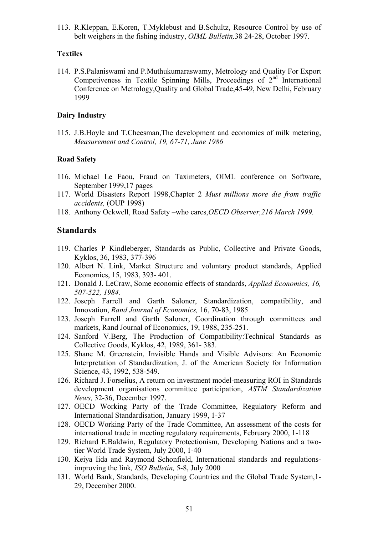113. R.Kleppan, E.Koren, T.Myklebust and B.Schultz, Resource Control by use of belt weighers in the fishing industry, *OIML Bulletin,*38 24-28, October 1997.

#### **Textiles**

114. P.S.Palaniswami and P.Muthukumaraswamy, Metrology and Quality For Export Competiveness in Textile Spinning Mills, Proceedings of  $2<sup>nd</sup>$  International Conference on Metrology,Quality and Global Trade,45-49, New Delhi, February 1999

#### **Dairy Industry**

115. J.B.Hoyle and T.Cheesman,The development and economics of milk metering, *Measurement and Control, 19, 67-71, June 1986*

#### **Road Safety**

- 116. Michael Le Faou, Fraud on Taximeters, OIML conference on Software, September 1999,17 pages
- 117. World Disasters Report 1998,Chapter 2 *Must millions more die from traffic accidents,* (OUP 1998)
- 118. Anthony Ockwell, Road Safety –who cares,*OECD Observer,216 March 1999.*

### **Standards**

- 119. Charles P Kindleberger, Standards as Public, Collective and Private Goods, Kyklos, 36, 1983, 377-396
- 120. Albert N. Link, Market Structure and voluntary product standards, Applied Economics, 15, 1983, 393- 401.
- 121. Donald J. LeCraw, Some economic effects of standards, *Applied Economics, 16, 507-522, 1984.*
- 122. Joseph Farrell and Garth Saloner, Standardization, compatibility, and Innovation, *Rand Journal of Economics,* 16, 70-83, 1985
- 123. Joseph Farrell and Garth Saloner, Coordination through committees and markets, Rand Journal of Economics, 19, 1988, 235-251.
- 124. Sanford V.Berg, The Production of Compatibility:Technical Standards as Collective Goods, Kyklos, 42, 1989, 361- 383.
- 125. Shane M. Greenstein, Invisible Hands and Visible Advisors: An Economic Interpretation of Standardization, J. of the American Society for Information Science, 43, 1992, 538-549.
- 126. Richard J. Forselius, A return on investment model-measuring ROI in Standards development organisations committee participation, *ASTM Standardization News,* 32-36, December 1997.
- 127. OECD Working Party of the Trade Committee, Regulatory Reform and International Standardisation, January 1999, 1-37
- 128. OECD Working Party of the Trade Committee, An assessment of the costs for international trade in meeting regulatory requirements, February 2000, 1-118
- 129. Richard E.Baldwin, Regulatory Protectionism, Developing Nations and a twotier World Trade System, July 2000, 1-40
- 130. Keiya Iida and Raymond Schonfield, International standards and regulationsimproving the link*, ISO Bulletin,* 5-8, July 2000
- 131. World Bank, Standards, Developing Countries and the Global Trade System,1- 29, December 2000.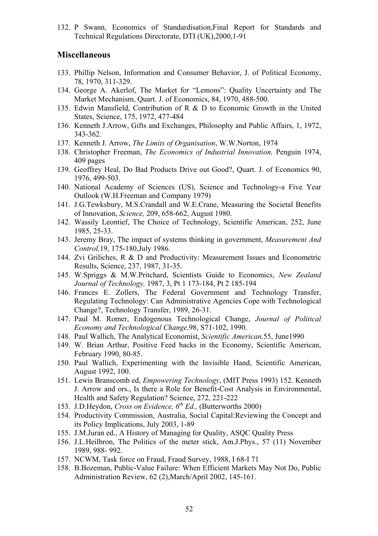132. P Swann, Economics of Standardisation,Final Report for Standards and Technical Regulations Directorate, DTI (UK),2000,1-91

### **Miscellaneous**

- 133. Phillip Nelson, Information and Consumer Behavior, J. of Political Economy, 78, 1970, 311-329.
- 134. George A. Akerlof, The Market for "Lemons": Quality Uncertainty and The Market Mechanism, Quart. J. of Economics, 84, 1970, 488-500.
- 135. Edwin Mansfield, Contribution of R & D to Economic Growth in the United States, Science, 175, 1972, 477-484
- 136. Kenneth J.Arrow, Gifts and Exchanges, Philosophy and Public Affairs, 1, 1972, 343-362.
- 137. Kenneth J. Arrow, *The Limits of Organisation*, W.W.Norton, 1974
- 138. Christopher Freeman, *The Economics of Industrial Innovation,* Penguin 1974, 409 pages
- 139. Geoffrey Heal, Do Bad Products Drive out Good?, Quart. J. of Economics 90, 1976, 499-503.
- 140. National Academy of Sciences (US), Science and Technology-a Five Year Outlook (W.H.Freeman and Company 1979)
- 141. J.G.Tewksbury, M.S.Crandall and W.E.Crane, Measuring the Societal Benefits of Innovation, *Science,* 209, 658-662, August 1980.
- 142. Wassily Leontief, The Choice of Technology, Scientific American, 252, June 1985, 25-33.
- 143. Jeremy Bray, The impact of systems thinking in government, *Measurement And Control,*19, 175-180,July 1986.
- 144. Zvi Griliches, R & D and Productivity: Measurement Issues and Econometric Results, Science, 237, 1987, 31-35.
- 145. W.Spriggs & M.W.Pritchard, Scientists Guide to Economics, *New Zealand Journal of Technology,* 1987, 3, Pt 1 173-184, Pt 2 185-194
- 146. Frances E. Zollers, The Federal Government and Technology Transfer, Regulating Technology: Can Administrative Agencies Cope with Technological Change?, Technology Transfer, 1989, 26-31.
- 147. Paul M. Romer, Endogenous Technological Change, *Journal of Political Economy and Technological Change,*98, S71-102, 1990.
- 148. Paul Wallich, The Analytical Economist, *Scientific American,*55, June1990
- 149. W. Brian Arthur, Positive Feed backs in the Economy, Scientific American, February 1990, 80-85.
- 150. Paul Wallich, Experimenting with the Invisible Hand, Scientific American, August 1992, 100.
- 151. Lewis Branscomb ed, *Empowering Technology*, (MIT Press 1993) 152. Kenneth J. Arrow and ors., Is there a Role for Benefit-Cost Analysis in Environmental, Health and Safety Regulation? Science, 272, 221-222
- 153. J.D.Heydon, *Cross on Evidence, 6th Ed.,* (Butterworths 2000)
- 154. Productivity Commission, Australia, Social Capital:Reviewing the Concept and its Policy Implications, July 2003, 1-89
- 155. J.M.Juran ed., A History of Managing for Quality, ASQC Quality Press
- 156. J.L.Heilbron, The Politics of the meter stick, Am.J.Phys., 57 (11) November 1989, 988- 992.
- 157. NCWM, Task force on Fraud, Fraud Survey, 1988, I 68-I 71
- 158. B.Bozeman, Public-Value Failure: When Efficient Markets May Not Do, Public Administration Review, 62 (2),March/April 2002, 145-161.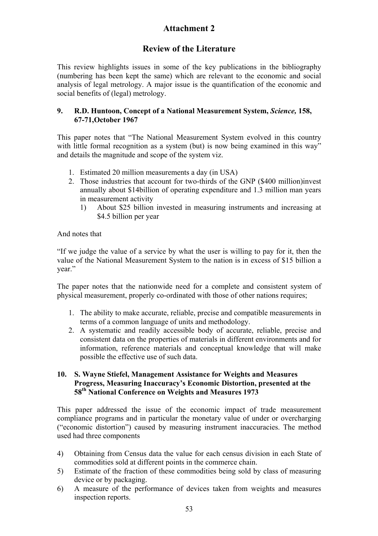# **Attachment 2**

# **Review of the Literature**

This review highlights issues in some of the key publications in the bibliography (numbering has been kept the same) which are relevant to the economic and social analysis of legal metrology. A major issue is the quantification of the economic and social benefits of (legal) metrology.

### **9. R.D. Huntoon, Concept of a National Measurement System,** *Science,* **158, 67-71,October 1967**

This paper notes that "The National Measurement System evolved in this country with little formal recognition as a system (but) is now being examined in this way" and details the magnitude and scope of the system viz.

- 1. Estimated 20 million measurements a day (in USA)
- 2. Those industries that account for two-thirds of the GNP (\$400 million)invest annually about \$14billion of operating expenditure and 1.3 million man years in measurement activity
	- 1) About \$25 billion invested in measuring instruments and increasing at \$4.5 billion per year

And notes that

"If we judge the value of a service by what the user is willing to pay for it, then the value of the National Measurement System to the nation is in excess of \$15 billion a year."

The paper notes that the nationwide need for a complete and consistent system of physical measurement, properly co-ordinated with those of other nations requires;

- 1. The ability to make accurate, reliable, precise and compatible measurements in terms of a common language of units and methodology.
- 2. A systematic and readily accessible body of accurate, reliable, precise and consistent data on the properties of materials in different environments and for information, reference materials and conceptual knowledge that will make possible the effective use of such data.

#### **10. S. Wayne Stiefel, Management Assistance for Weights and Measures Progress, Measuring Inaccuracy's Economic Distortion, presented at the 58th National Conference on Weights and Measures 1973**

This paper addressed the issue of the economic impact of trade measurement compliance programs and in particular the monetary value of under or overcharging ("economic distortion") caused by measuring instrument inaccuracies. The method used had three components

- 4) Obtaining from Census data the value for each census division in each State of commodities sold at different points in the commerce chain.
- 5) Estimate of the fraction of these commodities being sold by class of measuring device or by packaging.
- 6) A measure of the performance of devices taken from weights and measures inspection reports.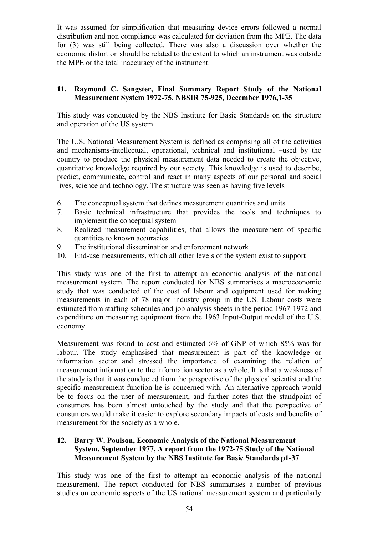It was assumed for simplification that measuring device errors followed a normal distribution and non compliance was calculated for deviation from the MPE. The data for (3) was still being collected. There was also a discussion over whether the economic distortion should be related to the extent to which an instrument was outside the MPE or the total inaccuracy of the instrument.

### **11. Raymond C. Sangster, Final Summary Report Study of the National Measurement System 1972-75, NBSIR 75-925, December 1976,1-35**

This study was conducted by the NBS Institute for Basic Standards on the structure and operation of the US system.

The U.S. National Measurement System is defined as comprising all of the activities and mechanisms-intellectual, operational, technical and institutional –used by the country to produce the physical measurement data needed to create the objective, quantitative knowledge required by our society. This knowledge is used to describe, predict, communicate, control and react in many aspects of our personal and social lives, science and technology. The structure was seen as having five levels

- 6. The conceptual system that defines measurement quantities and units
- 7. Basic technical infrastructure that provides the tools and techniques to implement the conceptual system
- 8. Realized measurement capabilities, that allows the measurement of specific quantities to known accuracies
- 9. The institutional dissemination and enforcement network
- 10. End-use measurements, which all other levels of the system exist to support

This study was one of the first to attempt an economic analysis of the national measurement system. The report conducted for NBS summarises a macroeconomic study that was conducted of the cost of labour and equipment used for making measurements in each of 78 major industry group in the US. Labour costs were estimated from staffing schedules and job analysis sheets in the period 1967-1972 and expenditure on measuring equipment from the 1963 Input-Output model of the U.S. economy.

Measurement was found to cost and estimated 6% of GNP of which 85% was for labour. The study emphasised that measurement is part of the knowledge or information sector and stressed the importance of examining the relation of measurement information to the information sector as a whole. It is that a weakness of the study is that it was conducted from the perspective of the physical scientist and the specific measurement function he is concerned with. An alternative approach would be to focus on the user of measurement, and further notes that the standpoint of consumers has been almost untouched by the study and that the perspective of consumers would make it easier to explore secondary impacts of costs and benefits of measurement for the society as a whole.

### **12. Barry W. Poulson, Economic Analysis of the National Measurement System, September 1977, A report from the 1972-75 Study of the National Measurement System by the NBS Institute for Basic Standards p1-37**

This study was one of the first to attempt an economic analysis of the national measurement. The report conducted for NBS summarises a number of previous studies on economic aspects of the US national measurement system and particularly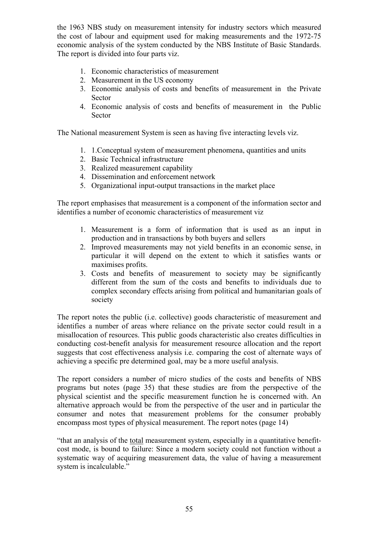the 1963 NBS study on measurement intensity for industry sectors which measured the cost of labour and equipment used for making measurements and the 1972-75 economic analysis of the system conducted by the NBS Institute of Basic Standards. The report is divided into four parts viz.

- 1. Economic characteristics of measurement
- 2. Measurement in the US economy
- 3. Economic analysis of costs and benefits of measurement in the Private Sector
- 4. Economic analysis of costs and benefits of measurement in the Public Sector

The National measurement System is seen as having five interacting levels viz.

- 1. 1.Conceptual system of measurement phenomena, quantities and units
- 2. Basic Technical infrastructure
- 3. Realized measurement capability
- 4. Dissemination and enforcement network
- 5. Organizational input-output transactions in the market place

The report emphasises that measurement is a component of the information sector and identifies a number of economic characteristics of measurement viz

- 1. Measurement is a form of information that is used as an input in production and in transactions by both buyers and sellers
- 2. Improved measurements may not yield benefits in an economic sense, in particular it will depend on the extent to which it satisfies wants or maximises profits.
- 3. Costs and benefits of measurement to society may be significantly different from the sum of the costs and benefits to individuals due to complex secondary effects arising from political and humanitarian goals of society

The report notes the public (i.e. collective) goods characteristic of measurement and identifies a number of areas where reliance on the private sector could result in a misallocation of resources. This public goods characteristic also creates difficulties in conducting cost-benefit analysis for measurement resource allocation and the report suggests that cost effectiveness analysis i.e. comparing the cost of alternate ways of achieving a specific pre determined goal, may be a more useful analysis.

The report considers a number of micro studies of the costs and benefits of NBS programs but notes (page 35) that these studies are from the perspective of the physical scientist and the specific measurement function he is concerned with. An alternative approach would be from the perspective of the user and in particular the consumer and notes that measurement problems for the consumer probably encompass most types of physical measurement. The report notes (page 14)

"that an analysis of the total measurement system, especially in a quantitative benefitcost mode, is bound to failure: Since a modern society could not function without a systematic way of acquiring measurement data, the value of having a measurement system is incalculable."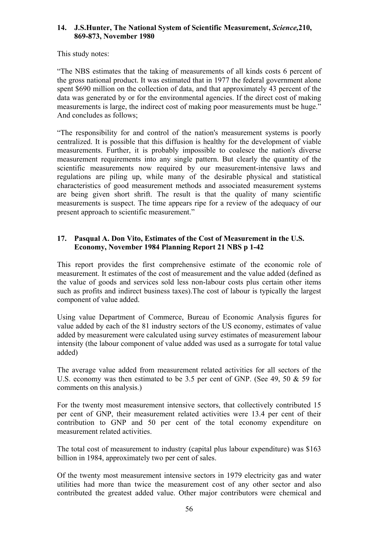### **14. J.S.Hunter, The National System of Scientific Measurement,** *Science,***210, 869-873, November 1980**

This study notes:

"The NBS estimates that the taking of measurements of all kinds costs 6 percent of the gross national product. It was estimated that in 1977 the federal government alone spent \$690 million on the collection of data, and that approximately 43 percent of the data was generated by or for the environmental agencies. If the direct cost of making measurements is large, the indirect cost of making poor measurements must be huge." And concludes as follows;

"The responsibility for and control of the nation's measurement systems is poorly centralized. It is possible that this diffusion is healthy for the development of viable measurements. Further, it is probably impossible to coalesce the nation's diverse measurement requirements into any single pattern. But clearly the quantity of the scientific measurements now required by our measurement-intensive laws and regulations are piling up, while many of the desirable physical and statistical characteristics of good measurement methods and associated measurement systems are being given short shrift. The result is that the quality of many scientific measurements is suspect. The time appears ripe for a review of the adequacy of our present approach to scientific measurement."

### **17. Pasqual A. Don Vito, Estimates of the Cost of Measurement in the U.S. Economy, November 1984 Planning Report 21 NBS p 1-42**

This report provides the first comprehensive estimate of the economic role of measurement. It estimates of the cost of measurement and the value added (defined as the value of goods and services sold less non-labour costs plus certain other items such as profits and indirect business taxes).The cost of labour is typically the largest component of value added.

Using value Department of Commerce, Bureau of Economic Analysis figures for value added by each of the 81 industry sectors of the US economy, estimates of value added by measurement were calculated using survey estimates of measurement labour intensity (the labour component of value added was used as a surrogate for total value added)

The average value added from measurement related activities for all sectors of the U.S. economy was then estimated to be 3.5 per cent of GNP. (See 49, 50 & 59 for comments on this analysis.)

For the twenty most measurement intensive sectors, that collectively contributed 15 per cent of GNP, their measurement related activities were 13.4 per cent of their contribution to GNP and 50 per cent of the total economy expenditure on measurement related activities.

The total cost of measurement to industry (capital plus labour expenditure) was \$163 billion in 1984, approximately two per cent of sales.

Of the twenty most measurement intensive sectors in 1979 electricity gas and water utilities had more than twice the measurement cost of any other sector and also contributed the greatest added value. Other major contributors were chemical and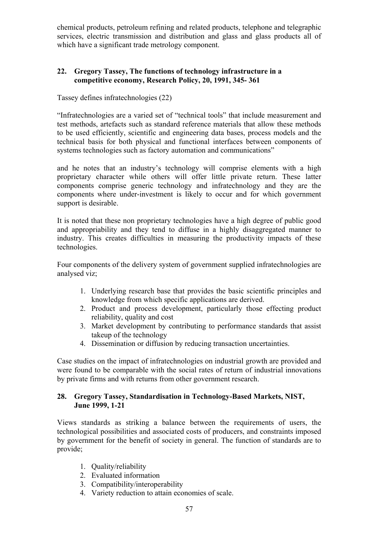chemical products, petroleum refining and related products, telephone and telegraphic services, electric transmission and distribution and glass and glass products all of which have a significant trade metrology component.

### **22. Gregory Tassey, The functions of technology infrastructure in a competitive economy, Research Policy, 20, 1991, 345- 361**

Tassey defines infratechnologies (22)

"Infratechnologies are a varied set of "technical tools" that include measurement and test methods, artefacts such as standard reference materials that allow these methods to be used efficiently, scientific and engineering data bases, process models and the technical basis for both physical and functional interfaces between components of systems technologies such as factory automation and communications"

and he notes that an industry's technology will comprise elements with a high proprietary character while others will offer little private return. These latter components comprise generic technology and infratechnology and they are the components where under-investment is likely to occur and for which government support is desirable.

It is noted that these non proprietary technologies have a high degree of public good and appropriability and they tend to diffuse in a highly disaggregated manner to industry. This creates difficulties in measuring the productivity impacts of these technologies.

Four components of the delivery system of government supplied infratechnologies are analysed viz;

- 1. Underlying research base that provides the basic scientific principles and knowledge from which specific applications are derived.
- 2. Product and process development, particularly those effecting product reliability, quality and cost
- 3. Market development by contributing to performance standards that assist takeup of the technology
- 4. Dissemination or diffusion by reducing transaction uncertainties.

Case studies on the impact of infratechnologies on industrial growth are provided and were found to be comparable with the social rates of return of industrial innovations by private firms and with returns from other government research.

### **28. Gregory Tassey, Standardisation in Technology-Based Markets, NIST, June 1999, 1-21**

Views standards as striking a balance between the requirements of users, the technological possibilities and associated costs of producers, and constraints imposed by government for the benefit of society in general. The function of standards are to provide;

- 1. Quality/reliability
- 2. Evaluated information
- 3. Compatibility/interoperability
- 4. Variety reduction to attain economies of scale.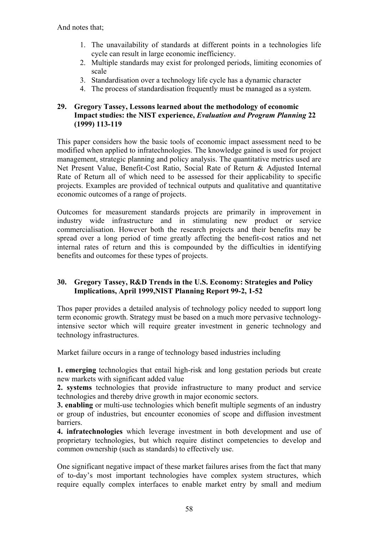- 1. The unavailability of standards at different points in a technologies life cycle can result in large economic inefficiency.
- 2. Multiple standards may exist for prolonged periods, limiting economies of scale
- 3. Standardisation over a technology life cycle has a dynamic character
- 4. The process of standardisation frequently must be managed as a system.

#### **29. Gregory Tassey, Lessons learned about the methodology of economic Impact studies: the NIST experience,** *Evaluation and Program Planning* **22 (1999) 113-119**

This paper considers how the basic tools of economic impact assessment need to be modified when applied to infratechnologies. The knowledge gained is used for project management, strategic planning and policy analysis. The quantitative metrics used are Net Present Value, Benefit-Cost Ratio, Social Rate of Return & Adjusted Internal Rate of Return all of which need to be assessed for their applicability to specific projects. Examples are provided of technical outputs and qualitative and quantitative economic outcomes of a range of projects.

Outcomes for measurement standards projects are primarily in improvement in industry wide infrastructure and in stimulating new product or service commercialisation. However both the research projects and their benefits may be spread over a long period of time greatly affecting the benefit-cost ratios and net internal rates of return and this is compounded by the difficulties in identifying benefits and outcomes for these types of projects.

### **30. Gregory Tassey, R&D Trends in the U.S. Economy: Strategies and Policy Implications, April 1999,NIST Planning Report 99-2, 1-52**

Thos paper provides a detailed analysis of technology policy needed to support long term economic growth. Strategy must be based on a much more pervasive technologyintensive sector which will require greater investment in generic technology and technology infrastructures.

Market failure occurs in a range of technology based industries including

**1. emerging** technologies that entail high-risk and long gestation periods but create new markets with significant added value

**2. systems** technologies that provide infrastructure to many product and service technologies and thereby drive growth in major economic sectors.

**3. enabling** or multi-use technologies which benefit multiple segments of an industry or group of industries, but encounter economies of scope and diffusion investment barriers.

**4. infratechnologies** which leverage investment in both development and use of proprietary technologies, but which require distinct competencies to develop and common ownership (such as standards) to effectively use.

One significant negative impact of these market failures arises from the fact that many of to-day's most important technologies have complex system structures, which require equally complex interfaces to enable market entry by small and medium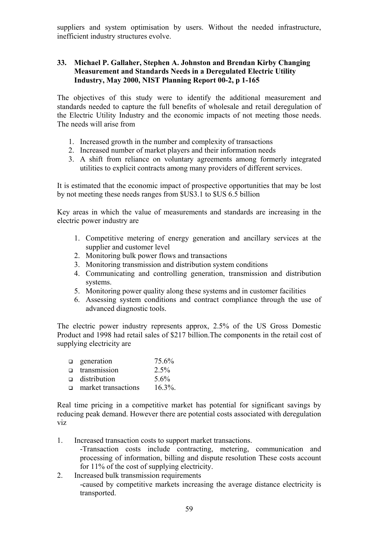suppliers and system optimisation by users. Without the needed infrastructure, inefficient industry structures evolve.

### **33. Michael P. Gallaher, Stephen A. Johnston and Brendan Kirby Changing Measurement and Standards Needs in a Deregulated Electric Utility Industry, May 2000, NIST Planning Report 00-2, p 1-165**

The objectives of this study were to identify the additional measurement and standards needed to capture the full benefits of wholesale and retail deregulation of the Electric Utility Industry and the economic impacts of not meeting those needs. The needs will arise from

- 1. Increased growth in the number and complexity of transactions
- 2. Increased number of market players and their information needs
- 3. A shift from reliance on voluntary agreements among formerly integrated utilities to explicit contracts among many providers of different services.

It is estimated that the economic impact of prospective opportunities that may be lost by not meeting these needs ranges from \$US3.1 to \$US 6.5 billion

Key areas in which the value of measurements and standards are increasing in the electric power industry are

- 1. Competitive metering of energy generation and ancillary services at the supplier and customer level
- 2. Monitoring bulk power flows and transactions
- 3. Monitoring transmission and distribution system conditions
- 4. Communicating and controlling generation, transmission and distribution systems.
- 5. Monitoring power quality along these systems and in customer facilities
- 6. Assessing system conditions and contract compliance through the use of advanced diagnostic tools.

The electric power industry represents approx, 2.5% of the US Gross Domestic Product and 1998 had retail sales of \$217 billion.The components in the retail cost of supplying electricity are

| $\Box$ | generation          | 75.6%      |
|--------|---------------------|------------|
| $\Box$ | transmission        | 2.5%       |
|        | $\Box$ distribution | $5.6\%$    |
| $\Box$ | market transactions | $16.3\%$ . |

Real time pricing in a competitive market has potential for significant savings by reducing peak demand. However there are potential costs associated with deregulation viz

1. Increased transaction costs to support market transactions.

-Transaction costs include contracting, metering, communication and processing of information, billing and dispute resolution These costs account for 11% of the cost of supplying electricity.

2. Increased bulk transmission requirements -caused by competitive markets increasing the average distance electricity is transported.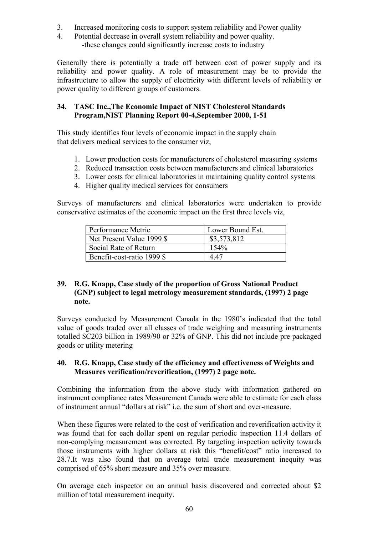- 3. Increased monitoring costs to support system reliability and Power quality
- 4. Potential decrease in overall system reliability and power quality. -these changes could significantly increase costs to industry

Generally there is potentially a trade off between cost of power supply and its reliability and power quality. A role of measurement may be to provide the infrastructure to allow the supply of electricity with different levels of reliability or power quality to different groups of customers.

### **34. TASC Inc.,The Economic Impact of NIST Cholesterol Standards Program,NIST Planning Report 00-4,September 2000, 1-51**

This study identifies four levels of economic impact in the supply chain that delivers medical services to the consumer viz,

- 1. Lower production costs for manufacturers of cholesterol measuring systems
- 2. Reduced transaction costs between manufacturers and clinical laboratories
- 3. Lower costs for clinical laboratories in maintaining quality control systems
- 4. Higher quality medical services for consumers

Surveys of manufacturers and clinical laboratories were undertaken to provide conservative estimates of the economic impact on the first three levels viz,

| Performance Metric         | Lower Bound Est. |
|----------------------------|------------------|
| Net Present Value 1999 \$  | \$3,573,812      |
| Social Rate of Return      | $154\%$          |
| Benefit-cost-ratio 1999 \$ | 4 47             |

#### **39. R.G. Knapp, Case study of the proportion of Gross National Product (GNP) subject to legal metrology measurement standards, (1997) 2 page note.**

Surveys conducted by Measurement Canada in the 1980's indicated that the total value of goods traded over all classes of trade weighing and measuring instruments totalled \$C203 billion in 1989/90 or 32% of GNP. This did not include pre packaged goods or utility metering

#### **40. R.G. Knapp, Case study of the efficiency and effectiveness of Weights and Measures verification/reverification, (1997) 2 page note.**

Combining the information from the above study with information gathered on instrument compliance rates Measurement Canada were able to estimate for each class of instrument annual "dollars at risk" i.e. the sum of short and over-measure.

When these figures were related to the cost of verification and reverification activity it was found that for each dollar spent on regular periodic inspection 11.4 dollars of non-complying measurement was corrected. By targeting inspection activity towards those instruments with higher dollars at risk this "benefit/cost" ratio increased to 28.7.It was also found that on average total trade measurement inequity was comprised of 65% short measure and 35% over measure.

On average each inspector on an annual basis discovered and corrected about \$2 million of total measurement inequity.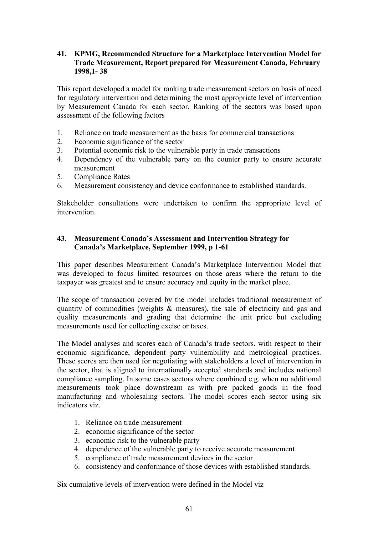### **41. KPMG, Recommended Structure for a Marketplace Intervention Model for Trade Measurement, Report prepared for Measurement Canada, February 1998,1- 38**

This report developed a model for ranking trade measurement sectors on basis of need for regulatory intervention and determining the most appropriate level of intervention by Measurement Canada for each sector. Ranking of the sectors was based upon assessment of the following factors

- 1. Reliance on trade measurement as the basis for commercial transactions
- 2. Economic significance of the sector
- 3. Potential economic risk to the vulnerable party in trade transactions
- 4. Dependency of the vulnerable party on the counter party to ensure accurate measurement
- 5. Compliance Rates
- 6. Measurement consistency and device conformance to established standards.

Stakeholder consultations were undertaken to confirm the appropriate level of intervention.

#### **43. Measurement Canada's Assessment and Intervention Strategy for Canada's Marketplace, September 1999, p 1-61**

This paper describes Measurement Canada's Marketplace Intervention Model that was developed to focus limited resources on those areas where the return to the taxpayer was greatest and to ensure accuracy and equity in the market place.

The scope of transaction covered by the model includes traditional measurement of quantity of commodities (weights & measures), the sale of electricity and gas and quality measurements and grading that determine the unit price but excluding measurements used for collecting excise or taxes.

The Model analyses and scores each of Canada's trade sectors. with respect to their economic significance, dependent party vulnerability and metrological practices. These scores are then used for negotiating with stakeholders a level of intervention in the sector, that is aligned to internationally accepted standards and includes national compliance sampling. In some cases sectors where combined e.g. when no additional measurements took place downstream as with pre packed goods in the food manufacturing and wholesaling sectors. The model scores each sector using six indicators viz.

- 1. Reliance on trade measurement
- 2. economic significance of the sector
- 3. economic risk to the vulnerable party
- 4. dependence of the vulnerable party to receive accurate measurement
- 5. compliance of trade measurement devices in the sector
- 6. consistency and conformance of those devices with established standards.

Six cumulative levels of intervention were defined in the Model viz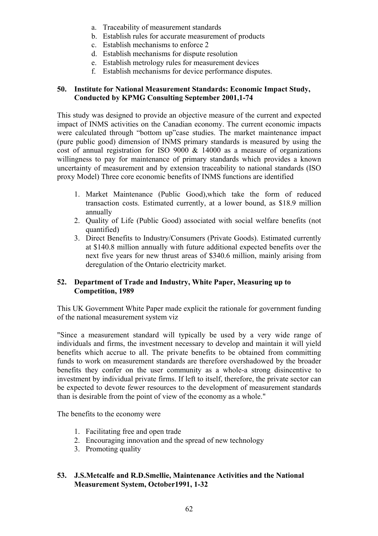- a. Traceability of measurement standards
- b. Establish rules for accurate measurement of products
- c. Establish mechanisms to enforce 2
- d. Establish mechanisms for dispute resolution
- e. Establish metrology rules for measurement devices
- f. Establish mechanisms for device performance disputes.

#### **50. Institute for National Measurement Standards: Economic Impact Study, Conducted by KPMG Consulting September 2001,1-74**

This study was designed to provide an objective measure of the current and expected impact of INMS activities on the Canadian economy. The current economic impacts were calculated through "bottom up"case studies. The market maintenance impact (pure public good) dimension of INMS primary standards is measured by using the cost of annual registration for ISO 9000 & 14000 as a measure of organizations willingness to pay for maintenance of primary standards which provides a known uncertainty of measurement and by extension traceability to national standards (ISO proxy Model) Three core economic benefits of INMS functions are identified

- 1. Market Maintenance (Public Good),which take the form of reduced transaction costs. Estimated currently, at a lower bound, as \$18.9 million annually
- 2. Quality of Life (Public Good) associated with social welfare benefits (not quantified)
- 3. Direct Benefits to Industry/Consumers (Private Goods). Estimated currently at \$140.8 million annually with future additional expected benefits over the next five years for new thrust areas of \$340.6 million, mainly arising from deregulation of the Ontario electricity market.

### **52. Department of Trade and Industry, White Paper, Measuring up to Competition, 1989**

This UK Government White Paper made explicit the rationale for government funding of the national measurement system viz

"Since a measurement standard will typically be used by a very wide range of individuals and firms, the investment necessary to develop and maintain it will yield benefits which accrue to all. The private benefits to be obtained from committing funds to work on measurement standards are therefore overshadowed by the broader benefits they confer on the user community as a whole-a strong disincentive to investment by individual private firms. If left to itself, therefore, the private sector can be expected to devote fewer resources to the development of measurement standards than is desirable from the point of view of the economy as a whole."

The benefits to the economy were

- 1. Facilitating free and open trade
- 2. Encouraging innovation and the spread of new technology
- 3. Promoting quality

### **53. J.S.Metcalfe and R.D.Smellie, Maintenance Activities and the National Measurement System, October1991, 1-32**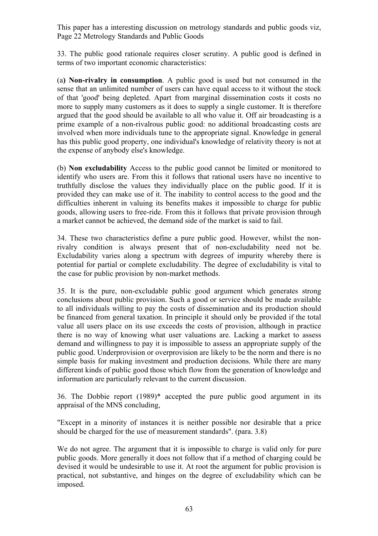This paper has a interesting discussion on metrology standards and public goods viz, Page 22 Metrology Standards and Public Goods

33. The public good rationale requires closer scrutiny. A public good is defined in terms of two important economic characteristics:

(a**) Non-rivalry in consumption**. A public good is used but not consumed in the sense that an unlimited number of users can have equal access to it without the stock of that 'good' being depleted. Apart from marginal dissemination costs it costs no more to supply many customers as it does to supply a single customer. It is therefore argued that the good should be available to all who value it. Off air broadcasting is a prime example of a non-rivalrous public good: no additional broadcasting costs are involved when more individuals tune to the appropriate signal. Knowledge in general has this public good property, one individual's knowledge of relativity theory is not at the expense of anybody else's knowledge.

(b) **Non excludability** Access to the public good cannot be limited or monitored to identify who users are. From this it follows that rational users have no incentive to truthfully disclose the values they individually place on the public good. If it is provided they can make use of it. The inability to control access to the good and the difficulties inherent in valuing its benefits makes it impossible to charge for public goods, allowing users to free-ride. From this it follows that private provision through a market cannot be achieved, the demand side of the market is said to fail.

34. These two characteristics define a pure public good. However, whilst the nonrivalry condition is always present that of non-excludability need not be. Excludability varies along a spectrum with degrees of impurity whereby there is potential for partial or complete excludability. The degree of excludability is vital to the case for public provision by non-market methods.

35. It is the pure, non-excludable public good argument which generates strong conclusions about public provision. Such a good or service should be made available to all individuals willing to pay the costs of dissemination and its production should be financed from general taxation. In principle it should only be provided if the total value all users place on its use exceeds the costs of provision, although in practice there is no way of knowing what user valuations are. Lacking a market to assess demand and willingness to pay it is impossible to assess an appropriate supply of the public good. Underprovision or overprovision are likely to be the norm and there is no simple basis for making investment and production decisions. While there are many different kinds of public good those which flow from the generation of knowledge and information are particularly relevant to the current discussion.

36. The Dobbie report (1989)\* accepted the pure public good argument in its appraisal of the MNS concluding,

"Except in a minority of instances it is neither possible nor desirable that a price should be charged for the use of measurement standards". (para. 3.8)

We do not agree. The argument that it is impossible to charge is valid only for pure public goods. More generally it does not follow that if a method of charging could be devised it would be undesirable to use it. At root the argument for public provision is practical, not substantive, and hinges on the degree of excludability which can be imposed.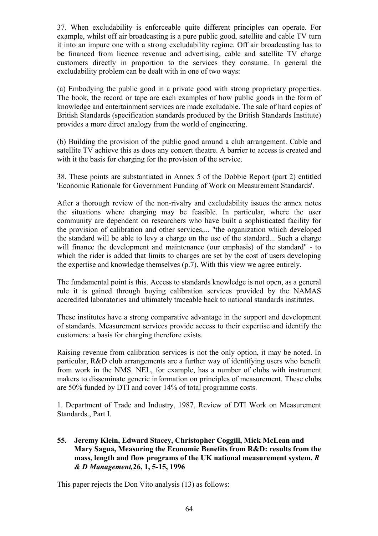37. When excludability is enforceable quite different principles can operate. For example, whilst off air broadcasting is a pure public good, satellite and cable TV turn it into an impure one with a strong excludability regime. Off air broadcasting has to be financed from licence revenue and advertising, cable and satellite TV charge customers directly in proportion to the services they consume. In general the excludability problem can be dealt with in one of two ways:

(a) Embodying the public good in a private good with strong proprietary properties. The book, the record or tape are each examples of how public goods in the form of knowledge and entertainment services are made excludable. The sale of hard copies of British Standards (specification standards produced by the British Standards Institute) provides a more direct analogy from the world of engineering.

(b) Building the provision of the public good around a club arrangement. Cable and satellite TV achieve this as does any concert theatre. A barrier to access is created and with it the basis for charging for the provision of the service.

38. These points are substantiated in Annex 5 of the Dobbie Report (part 2) entitled 'Economic Rationale for Government Funding of Work on Measurement Standards'.

After a thorough review of the non-rivalry and excludability issues the annex notes the situations where charging may be feasible. In particular, where the user community are dependent on researchers who have built a sophisticated facility for the provision of calibration and other services,... "the organization which developed the standard will be able to levy a charge on the use of the standard... Such a charge will finance the development and maintenance (our emphasis) of the standard" - to which the rider is added that limits to charges are set by the cost of users developing the expertise and knowledge themselves (p.7). With this view we agree entirely.

The fundamental point is this. Access to standards knowledge is not open, as a general rule it is gained through buying calibration services provided by the NAMAS accredited laboratories and ultimately traceable back to national standards institutes.

These institutes have a strong comparative advantage in the support and development of standards. Measurement services provide access to their expertise and identify the customers: a basis for charging therefore exists.

Raising revenue from calibration services is not the only option, it may be noted. In particular, R&D club arrangements are a further way of identifying users who benefit from work in the NMS. NEL, for example, has a number of clubs with instrument makers to disseminate generic information on principles of measurement. These clubs are 50% funded by DTI and cover 14% of total programme costs.

1. Department of Trade and Industry, 1987, Review of DTI Work on Measurement Standards., Part I.

#### **55. Jeremy Klein, Edward Stacey, Christopher Coggill, Mick McLean and Mary Sagua, Measuring the Economic Benefits from R&D: results from the mass, length and flow programs of the UK national measurement system,** *R & D Management,***26, 1, 5-15, 1996**

This paper rejects the Don Vito analysis (13) as follows: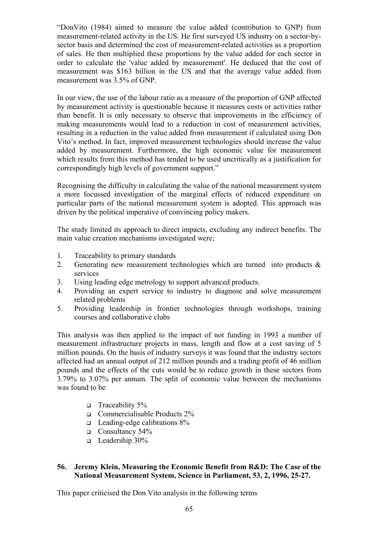"DonVito (1984) aimed to measure the value added (contribution to GNP) from measurement-related activity in the US. He first surveyed US industry on a sector-bysector basis and determined the cost of measurement-related activities as a proportion of sales. He then multiplied these proportions by the value added for each sector in order to calculate the 'value added by measurement'. He deduced that the cost of measurement was \$163 billion in the US and that the average value added from measurement was 3.5% of GNP.

In our view, the use of the labour ratio as a measure of the proportion of GNP affected by measurement activity is questionable because it measures costs or activities rather than benefit. It is only necessary to observe that improvements in the efficiency of making measurements would lead to a reduction in cost of measurement activities, resulting in a reduction in the value added from measurement if calculated using Don Vito's method. In fact, improved measurement technologies should increase the value added by measurement. Furthermore, the high economic value for measurement which results from this method has tended to be used uncritically as a justification for correspondingly high levels of government support."

Recognising the difficulty in calculating the value of the national measurement system a more focussed investigation of the marginal effects of reduced expenditure on particular parts of the national measurement system is adopted. This approach was driven by the political imperative of convincing policy makers.

The study limited its approach to direct impacts, excluding any indirect benefits. The main value creation mechanisms investigated were;

- 1. Traceability to primary standards
- 2. Generating new measurement technologies which are turned into products & services
- 3. Using leading edge metrology to support advanced products.
- 4. Providing an expert service to industry to diagnose and solve measurement related problems
- 5. Providing leadership in frontier technologies through workshops, training courses and collaborative clubs

This analysis was then applied to the impact of not funding in 1993 a number of measurement infrastructure projects in mass, length and flow at a cost saving of 5 million pounds. On the basis of industry surveys it was found that the industry sectors affected had an annual output of 212 million pounds and a trading profit of 46 million pounds and the effects of the cuts would be to reduce growth in these sectors from 3.79% to 3.07% per annum. The split of economic value between the mechanisms was found to be

- **Traceability 5%**
- Commercialisable Products  $2\%$
- $\Box$  Leading-edge calibrations 8%
- Consultancy 54%
- $\Box$  Leadership 30%

#### **56. Jeremy Klein, Measuring the Economic Benefit from R&D: The Case of the National Measurement System, Science in Parliament, 53, 2, 1996, 25-27.**

This paper criticised the Don Vito analysis in the following terms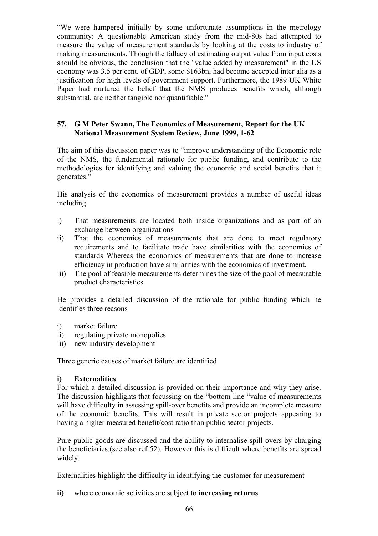"We were hampered initially by some unfortunate assumptions in the metrology community: A questionable American study from the mid-80s had attempted to measure the value of measurement standards by looking at the costs to industry of making measurements. Though the fallacy of estimating output value from input costs should be obvious, the conclusion that the "value added by measurement" in the US economy was 3.5 per cent. of GDP, some \$163bn, had become accepted inter alia as a justification for high levels of government support. Furthermore, the 1989 UK White Paper had nurtured the belief that the NMS produces benefits which, although substantial, are neither tangible nor quantifiable."

### **57. G M Peter Swann, The Economics of Measurement, Report for the UK National Measurement System Review, June 1999, 1-62**

The aim of this discussion paper was to "improve understanding of the Economic role of the NMS, the fundamental rationale for public funding, and contribute to the methodologies for identifying and valuing the economic and social benefits that it generates."

His analysis of the economics of measurement provides a number of useful ideas including

- i) That measurements are located both inside organizations and as part of an exchange between organizations
- ii) That the economics of measurements that are done to meet regulatory requirements and to facilitate trade have similarities with the economics of standards Whereas the economics of measurements that are done to increase efficiency in production have similarities with the economics of investment.
- iii) The pool of feasible measurements determines the size of the pool of measurable product characteristics.

He provides a detailed discussion of the rationale for public funding which he identifies three reasons

- i) market failure
- ii) regulating private monopolies
- iii) new industry development

Three generic causes of market failure are identified

### **i) Externalities**

For which a detailed discussion is provided on their importance and why they arise. The discussion highlights that focussing on the "bottom line "value of measurements will have difficulty in assessing spill-over benefits and provide an incomplete measure of the economic benefits. This will result in private sector projects appearing to having a higher measured benefit/cost ratio than public sector projects.

Pure public goods are discussed and the ability to internalise spill-overs by charging the beneficiaries.(see also ref 52). However this is difficult where benefits are spread widely.

Externalities highlight the difficulty in identifying the customer for measurement

**ii)** where economic activities are subject to **increasing returns**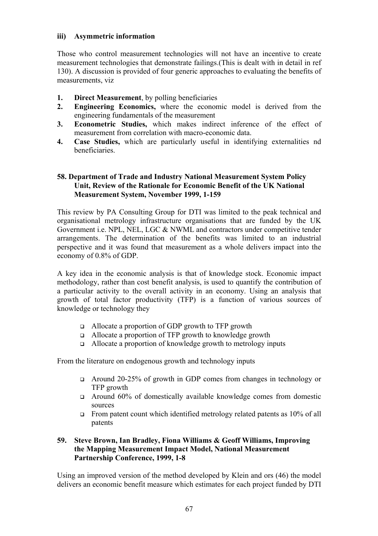#### **iii) Asymmetric information**

Those who control measurement technologies will not have an incentive to create measurement technologies that demonstrate failings.(This is dealt with in detail in ref 130). A discussion is provided of four generic approaches to evaluating the benefits of measurements, viz

- **1. Direct Measurement**, by polling beneficiaries
- **2. Engineering Economics,** where the economic model is derived from the engineering fundamentals of the measurement
- **3. Econometric Studies,** which makes indirect inference of the effect of measurement from correlation with macro-economic data.
- **4. Case Studies,** which are particularly useful in identifying externalities nd beneficiaries.

#### **58. Department of Trade and Industry National Measurement System Policy Unit, Review of the Rationale for Economic Benefit of the UK National Measurement System, November 1999, 1-159**

This review by PA Consulting Group for DTI was limited to the peak technical and organisational metrology infrastructure organisations that are funded by the UK Government i.e. NPL, NEL, LGC & NWML and contractors under competitive tender arrangements. The determination of the benefits was limited to an industrial perspective and it was found that measurement as a whole delivers impact into the economy of 0.8% of GDP.

A key idea in the economic analysis is that of knowledge stock. Economic impact methodology, rather than cost benefit analysis, is used to quantify the contribution of a particular activity to the overall activity in an economy. Using an analysis that growth of total factor productivity (TFP) is a function of various sources of knowledge or technology they

- Allocate a proportion of GDP growth to TFP growth
- Allocate a proportion of TFP growth to knowledge growth
- $\Box$  Allocate a proportion of knowledge growth to metrology inputs

From the literature on endogenous growth and technology inputs

- Around 20-25% of growth in GDP comes from changes in technology or TFP growth
- Around 60% of domestically available knowledge comes from domestic sources
- From patent count which identified metrology related patents as  $10\%$  of all patents

### **59. Steve Brown, Ian Bradley, Fiona Williams & Geoff Williams, Improving the Mapping Measurement Impact Model, National Measurement Partnership Conference, 1999, 1-8**

Using an improved version of the method developed by Klein and ors (46) the model delivers an economic benefit measure which estimates for each project funded by DTI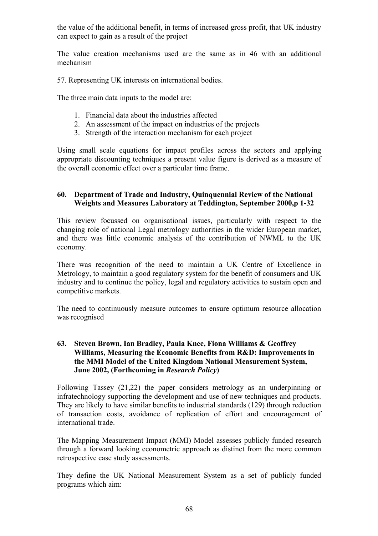the value of the additional benefit, in terms of increased gross profit, that UK industry can expect to gain as a result of the project

The value creation mechanisms used are the same as in 46 with an additional mechanism

57. Representing UK interests on international bodies.

The three main data inputs to the model are:

- 1. Financial data about the industries affected
- 2. An assessment of the impact on industries of the projects
- 3. Strength of the interaction mechanism for each project

Using small scale equations for impact profiles across the sectors and applying appropriate discounting techniques a present value figure is derived as a measure of the overall economic effect over a particular time frame.

#### **60. Department of Trade and Industry, Quinquennial Review of the National Weights and Measures Laboratory at Teddington, September 2000,p 1-32**

This review focussed on organisational issues, particularly with respect to the changing role of national Legal metrology authorities in the wider European market, and there was little economic analysis of the contribution of NWML to the UK economy.

There was recognition of the need to maintain a UK Centre of Excellence in Metrology, to maintain a good regulatory system for the benefit of consumers and UK industry and to continue the policy, legal and regulatory activities to sustain open and competitive markets.

The need to continuously measure outcomes to ensure optimum resource allocation was recognised

#### **63. Steven Brown, Ian Bradley, Paula Knee, Fiona Williams & Geoffrey Williams, Measuring the Economic Benefits from R&D: Improvements in the MMI Model of the United Kingdom National Measurement System, June 2002, (Forthcoming in** *Research Policy***)**

Following Tassey (21,22) the paper considers metrology as an underpinning or infratechnology supporting the development and use of new techniques and products. They are likely to have similar benefits to industrial standards (129) through reduction of transaction costs, avoidance of replication of effort and encouragement of international trade.

The Mapping Measurement Impact (MMI) Model assesses publicly funded research through a forward looking econometric approach as distinct from the more common retrospective case study assessments.

They define the UK National Measurement System as a set of publicly funded programs which aim: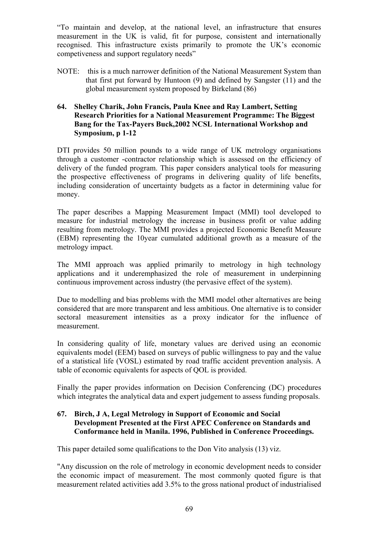"To maintain and develop, at the national level, an infrastructure that ensures measurement in the UK is valid, fit for purpose, consistent and internationally recognised. This infrastructure exists primarily to promote the UK's economic competiveness and support regulatory needs"

NOTE: this is a much narrower definition of the National Measurement System than that first put forward by Huntoon (9) and defined by Sangster (11) and the global measurement system proposed by Birkeland (86)

#### **64. Shelley Charik, John Francis, Paula Knee and Ray Lambert, Setting Research Priorities for a National Measurement Programme: The Biggest Bang for the Tax-Payers Buck,2002 NCSL International Workshop and Symposium, p 1-12**

DTI provides 50 million pounds to a wide range of UK metrology organisations through a customer -contractor relationship which is assessed on the efficiency of delivery of the funded program. This paper considers analytical tools for measuring the prospective effectiveness of programs in delivering quality of life benefits, including consideration of uncertainty budgets as a factor in determining value for money.

The paper describes a Mapping Measurement Impact (MMI) tool developed to measure for industrial metrology the increase in business profit or value adding resulting from metrology. The MMI provides a projected Economic Benefit Measure (EBM) representing the 10year cumulated additional growth as a measure of the metrology impact.

The MMI approach was applied primarily to metrology in high technology applications and it underemphasized the role of measurement in underpinning continuous improvement across industry (the pervasive effect of the system).

Due to modelling and bias problems with the MMI model other alternatives are being considered that are more transparent and less ambitious. One alternative is to consider sectoral measurement intensities as a proxy indicator for the influence of measurement.

In considering quality of life, monetary values are derived using an economic equivalents model (EEM) based on surveys of public willingness to pay and the value of a statistical life (VOSL) estimated by road traffic accident prevention analysis. A table of economic equivalents for aspects of QOL is provided.

Finally the paper provides information on Decision Conferencing (DC) procedures which integrates the analytical data and expert judgement to assess funding proposals.

#### **67. Birch, J A, Legal Metrology in Support of Economic and Social Development Presented at the First APEC Conference on Standards and Conformance held in Manila. 1996, Published in Conference Proceedings.**

This paper detailed some qualifications to the Don Vito analysis (13) viz.

"Any discussion on the role of metrology in economic development needs to consider the economic impact of measurement. The most commonly quoted figure is that measurement related activities add 3.5% to the gross national product of industrialised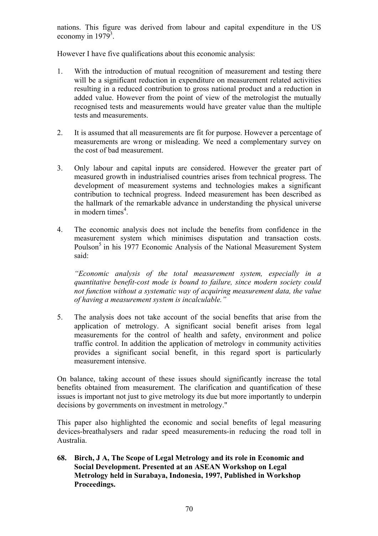nations. This figure was derived from labour and capital expenditure in the US economy in  $1979^3$ .

However I have five qualifications about this economic analysis:

- 1. With the introduction of mutual recognition of measurement and testing there will be a significant reduction in expenditure on measurement related activities resulting in a reduced contribution to gross national product and a reduction in added value. However from the point of view of the metrologist the mutually recognised tests and measurements would have greater value than the multiple tests and measurements.
- 2. It is assumed that all measurements are fit for purpose. However a percentage of measurements are wrong or misleading. We need a complementary survey on the cost of bad measurement.
- 3. Only labour and capital inputs are considered. However the greater part of measured growth in industrialised countries arises from technical progress. The development of measurement systems and technologies makes a significant contribution to technical progress. Indeed measurement has been described as the hallmark of the remarkable advance in understanding the physical universe in modern times $4$ .
- 4. The economic analysis does not include the benefits from confidence in the measurement system which minimises disputation and transaction costs. Poulson<sup>5</sup> in his 1977 Economic Analysis of the National Measurement System said:

 *"Economic analysis of the total measurement system, especially in a quantitative benefit-cost mode is bound to failure, since modern society could not function without a systematic way of acquiring measurement data, the value of having a measurement system is incalculable."* 

5. The analysis does not take account of the social benefits that arise from the application of metrology. A significant social benefit arises from legal measurements for the control of health and safety, environment and police traffic control. In addition the application of metrologv in community activities provides a significant social benefit, in this regard sport is particularly measurement intensive.

On balance, taking account of these issues should significantly increase the total benefits obtained from measurement. The clarification and quantification of these issues is important not just to give metrology its due but more importantly to underpin decisions by governments on investment in metrology."

This paper also highlighted the economic and social benefits of legal measuring devices-breathalysers and radar speed measurements-in reducing the road toll in Australia.

**68. Birch, J A, The Scope of Legal Metrology and its role in Economic and Social Development. Presented at an ASEAN Workshop on Legal Metrology held in Surabaya, Indonesia, 1997, Published in Workshop Proceedings.**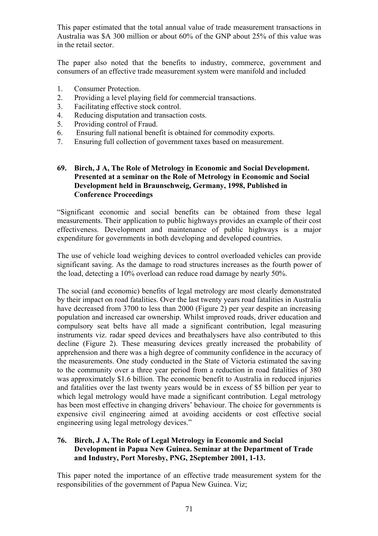This paper estimated that the total annual value of trade measurement transactions in Australia was \$A 300 million or about 60% of the GNP about 25% of this value was in the retail sector.

The paper also noted that the benefits to industry, commerce, government and consumers of an effective trade measurement system were manifold and included

- 1. Consumer Protection.
- 2. Providing a level playing field for commercial transactions.
- 3. Facilitating effective stock control.
- 4. Reducing disputation and transaction costs.
- 5. Providing control of Fraud.
- 6. Ensuring full national benefit is obtained for commodity exports.
- 7. Ensuring full collection of government taxes based on measurement.

#### **69. Birch, J A, The Role of Metrology in Economic and Social Development. Presented at a seminar on the Role of Metrology in Economic and Social Development held in Braunschweig, Germany, 1998, Published in Conference Proceedings**

"Significant economic and social benefits can be obtained from these legal measurements. Their application to public highways provides an example of their cost effectiveness. Development and maintenance of public highways is a major expenditure for governments in both developing and developed countries.

The use of vehicle load weighing devices to control overloaded vehicles can provide significant saving. As the damage to road structures increases as the fourth power of the load, detecting a 10% overload can reduce road damage by nearly 50%.

The social (and economic) benefits of legal metrology are most clearly demonstrated by their impact on road fatalities. Over the last twenty years road fatalities in Australia have decreased from 3700 to less than 2000 (Figure 2) per year despite an increasing population and increased car ownership. Whilst improved roads, driver education and compulsory seat belts have all made a significant contribution, legal measuring instruments viz. radar speed devices and breathalysers have also contributed to this decline (Figure 2). These measuring devices greatly increased the probability of apprehension and there was a high degree of community confidence in the accuracy of the measurements. One study conducted in the State of Victoria estimated the saving to the community over a three year period from a reduction in road fatalities of 380 was approximately \$1.6 billion. The economic benefit to Australia in reduced injuries and fatalities over the last twenty years would be in excess of \$5 billion per year to which legal metrology would have made a significant contribution. Legal metrology has been most effective in changing drivers' behaviour. The choice for governments is expensive civil engineering aimed at avoiding accidents or cost effective social engineering using legal metrology devices."

### **76. Birch, J A, The Role of Legal Metrology in Economic and Social Development in Papua New Guinea. Seminar at the Department of Trade and Industry, Port Moresby, PNG, 2September 2001, 1-13.**

This paper noted the importance of an effective trade measurement system for the responsibilities of the government of Papua New Guinea. Viz;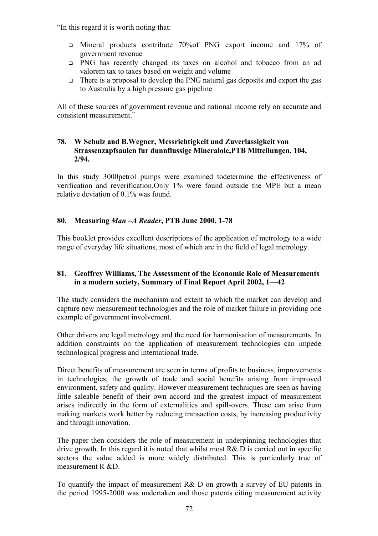"In this regard it is worth noting that:

- Mineral products contribute 70%of PNG export income and 17% of government revenue
- PNG has recently changed its taxes on alcohol and tobacco from an ad valorem tax to taxes based on weight and volume
- There is a proposal to develop the PNG natural gas deposits and export the gas to Australia by a high pressure gas pipeline

All of these sources of government revenue and national income rely on accurate and consistent measurement."

#### **78. W Schulz and B.Wegner, Messrichtigkeit und Zuverlassigkeit von Strassenzapfsaulen fur dunnflussige Mineralole,PTB Mitteilungen, 104, 2/94.**

In this study 3000petrol pumps were examined todetermine the effectiveness of verification and reverification.Only 1% were found outside the MPE but a mean relative deviation of 0.1% was found.

### **80. Measuring** *Man –A Reader***, PTB June 2000, 1-78**

This booklet provides excellent descriptions of the application of metrology to a wide range of everyday life situations, most of which are in the field of legal metrology.

### **81. Geoffrey Williams, The Assessment of the Economic Role of Measurements in a modern society, Summary of Final Report April 2002, 1—42**

The study considers the mechanism and extent to which the market can develop and capture new measurement technologies and the role of market failure in providing one example of government involvement.

Other drivers are legal metrology and the need for harmonisation of measurements. In addition constraints on the application of measurement technologies can impede technological progress and international trade.

Direct benefits of measurement are seen in terms of profits to business, improvements in technologies, the growth of trade and social benefits arising from improved environment, safety and quality. However measurement techniques are seen as having little saleable benefit of their own accord and the greatest impact of measurement arises indirectly in the form of externalities and spill-overs. These can arise from making markets work better by reducing transaction costs, by increasing productivity and through innovation.

The paper then considers the role of measurement in underpinning technologies that drive growth. In this regard it is noted that whilst most R& D is carried out in specific sectors the value added is more widely distributed. This is particularly true of measurement R &D.

To quantify the impact of measurement R& D on growth a survey of EU patents in the period 1995-2000 was undertaken and those patents citing measurement activity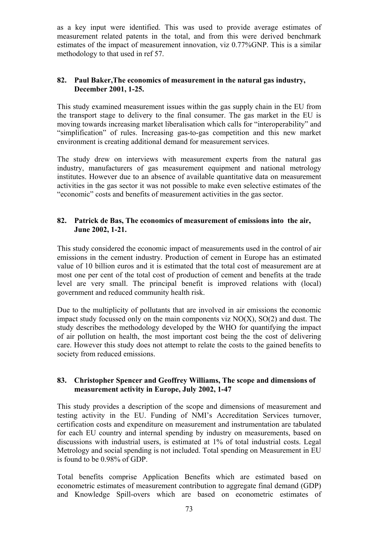as a key input were identified. This was used to provide average estimates of measurement related patents in the total, and from this were derived benchmark estimates of the impact of measurement innovation, viz 0.77%GNP. This is a similar methodology to that used in ref 57.

# **82. Paul Baker,The economics of measurement in the natural gas industry, December 2001, 1-25.**

This study examined measurement issues within the gas supply chain in the EU from the transport stage to delivery to the final consumer. The gas market in the EU is moving towards increasing market liberalisation which calls for "interoperability" and "simplification" of rules. Increasing gas-to-gas competition and this new market environment is creating additional demand for measurement services.

The study drew on interviews with measurement experts from the natural gas industry, manufacturers of gas measurement equipment and national metrology institutes. However due to an absence of available quantitative data on measurement activities in the gas sector it was not possible to make even selective estimates of the "economic" costs and benefits of measurement activities in the gas sector.

# **82. Patrick de Bas, The economics of measurement of emissions into the air, June 2002, 1-21.**

This study considered the economic impact of measurements used in the control of air emissions in the cement industry. Production of cement in Europe has an estimated value of 10 billion euros and it is estimated that the total cost of measurement are at most one per cent of the total cost of production of cement and benefits at the trade level are very small. The principal benefit is improved relations with (local) government and reduced community health risk.

Due to the multiplicity of pollutants that are involved in air emissions the economic impact study focussed only on the main components viz  $NO(X)$ ,  $SO(2)$  and dust. The study describes the methodology developed by the WHO for quantifying the impact of air pollution on health, the most important cost being the the cost of delivering care. However this study does not attempt to relate the costs to the gained benefits to society from reduced emissions.

# **83. Christopher Spencer and Geoffrey Williams, The scope and dimensions of measurement activity in Europe, July 2002, 1-47**

This study provides a description of the scope and dimensions of measurement and testing activity in the EU. Funding of NMI's Accreditation Services turnover, certification costs and expenditure on measurement and instrumentation are tabulated for each EU country and internal spending by industry on measurements, based on discussions with industrial users, is estimated at 1% of total industrial costs. Legal Metrology and social spending is not included. Total spending on Measurement in EU is found to be 0.98% of GDP.

Total benefits comprise Application Benefits which are estimated based on econometric estimates of measurement contribution to aggregate final demand (GDP) and Knowledge Spill-overs which are based on econometric estimates of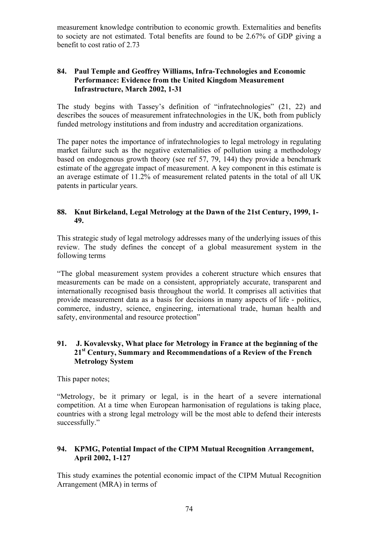measurement knowledge contribution to economic growth. Externalities and benefits to society are not estimated. Total benefits are found to be 2.67% of GDP giving a benefit to cost ratio of 2.73

# **84. Paul Temple and Geoffrey Williams, Infra-Technologies and Economic Performance: Evidence from the United Kingdom Measurement Infrastructure, March 2002, 1-31**

The study begins with Tassey's definition of "infratechnologies" (21, 22) and describes the souces of measurement infratechnologies in the UK, both from publicly funded metrology institutions and from industry and accreditation organizations.

The paper notes the importance of infratechnologies to legal metrology in regulating market failure such as the negative externalities of pollution using a methodology based on endogenous growth theory (see ref 57, 79, 144) they provide a benchmark estimate of the aggregate impact of measurement. A key component in this estimate is an average estimate of 11.2% of measurement related patents in the total of all UK patents in particular years.

# **88. Knut Birkeland, Legal Metrology at the Dawn of the 21st Century, 1999, 1- 49.**

This strategic study of legal metrology addresses many of the underlying issues of this review. The study defines the concept of a global measurement system in the following terms

"The global measurement system provides a coherent structure which ensures that measurements can be made on a consistent, appropriately accurate, transparent and internationally recognised basis throughout the world. It comprises all activities that provide measurement data as a basis for decisions in many aspects of life - politics, commerce, industry, science, engineering, international trade, human health and safety, environmental and resource protection"

# **91. J. Kovalevsky, What place for Metrology in France at the beginning of the 21st Century, Summary and Recommendations of a Review of the French Metrology System**

This paper notes;

"Metrology, be it primary or legal, is in the heart of a severe international competition. At a time when European harmonisation of regulations is taking place, countries with a strong legal metrology will be the most able to defend their interests successfully."

# **94. KPMG, Potential Impact of the CIPM Mutual Recognition Arrangement, April 2002, 1-127**

This study examines the potential economic impact of the CIPM Mutual Recognition Arrangement (MRA) in terms of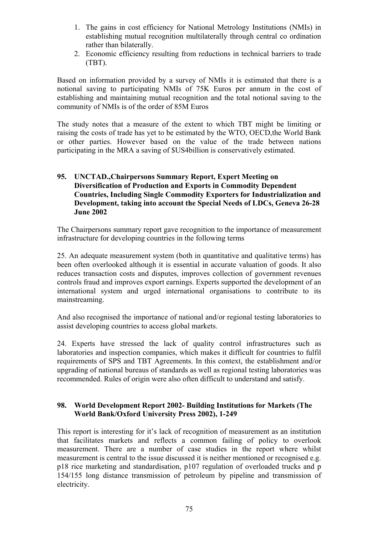- 1. The gains in cost efficiency for National Metrology Institutions (NMIs) in establishing mutual recognition multilaterally through central co ordination rather than bilaterally.
- 2. Economic efficiency resulting from reductions in technical barriers to trade (TBT).

Based on information provided by a survey of NMIs it is estimated that there is a notional saving to participating NMIs of 75K Euros per annum in the cost of establishing and maintaining mutual recognition and the total notional saving to the community of NMIs is of the order of 85M Euros

The study notes that a measure of the extent to which TBT might be limiting or raising the costs of trade has yet to be estimated by the WTO, OECD,the World Bank or other parties. However based on the value of the trade between nations participating in the MRA a saving of \$US4billion is conservatively estimated.

# **95. UNCTAD.,Chairpersons Summary Report, Expert Meeting on Diversification of Production and Exports in Commodity Dependent Countries, Including Single Commodity Exporters for Industrialization and Development, taking into account the Special Needs of LDCs, Geneva 26-28 June 2002**

The Chairpersons summary report gave recognition to the importance of measurement infrastructure for developing countries in the following terms

25. An adequate measurement system (both in quantitative and qualitative terms) has been often overlooked although it is essential in accurate valuation of goods. It also reduces transaction costs and disputes, improves collection of government revenues controls fraud and improves export earnings. Experts supported the development of an international system and urged international organisations to contribute to its mainstreaming.

And also recognised the importance of national and/or regional testing laboratories to assist developing countries to access global markets.

24. Experts have stressed the lack of quality control infrastructures such as laboratories and inspection companies, which makes it difficult for countries to fulfil requirements of SPS and TBT Agreements. In this context, the establishment and/or upgrading of national bureaus of standards as well as regional testing laboratories was recommended. Rules of origin were also often difficult to understand and satisfy.

# **98. World Development Report 2002- Building Institutions for Markets (The World Bank/Oxford University Press 2002), 1-249**

This report is interesting for it's lack of recognition of measurement as an institution that facilitates markets and reflects a common failing of policy to overlook measurement. There are a number of case studies in the report where whilst measurement is central to the issue discussed it is neither mentioned or recognised e.g. p18 rice marketing and standardisation, p107 regulation of overloaded trucks and p 154/155 long distance transmission of petroleum by pipeline and transmission of electricity.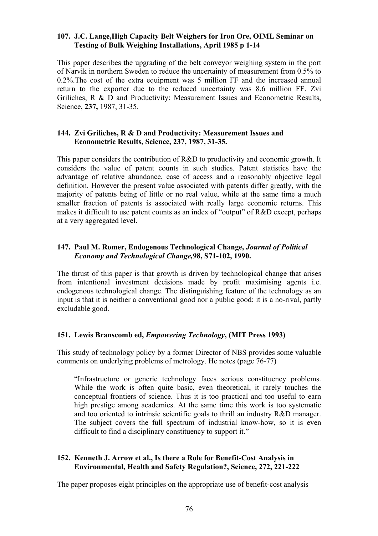## **107. J.C. Lange,High Capacity Belt Weighers for Iron Ore, OIML Seminar on Testing of Bulk Weighing Installations, April 1985 p 1-14**

This paper describes the upgrading of the belt conveyor weighing system in the port of Narvik in northern Sweden to reduce the uncertainty of measurement from 0.5% to 0.2%.The cost of the extra equipment was 5 million FF and the increased annual return to the exporter due to the reduced uncertainty was 8.6 million FF. Zvi Griliches, R & D and Productivity: Measurement Issues and Econometric Results, Science, **237,** 1987, 31-35.

#### **144. Zvi Griliches, R & D and Productivity: Measurement Issues and Econometric Results, Science, 237, 1987, 31-35.**

This paper considers the contribution of R&D to productivity and economic growth. It considers the value of patent counts in such studies. Patent statistics have the advantage of relative abundance, ease of access and a reasonably objective legal definition. However the present value associated with patents differ greatly, with the majority of patents being of little or no real value, while at the same time a much smaller fraction of patents is associated with really large economic returns. This makes it difficult to use patent counts as an index of "output" of R&D except, perhaps at a very aggregated level.

# **147. Paul M. Romer, Endogenous Technological Change,** *Journal of Political Economy and Technological Change,***98, S71-102, 1990.**

The thrust of this paper is that growth is driven by technological change that arises from intentional investment decisions made by profit maximising agents i.e. endogenous technological change. The distinguishing feature of the technology as an input is that it is neither a conventional good nor a public good; it is a no-rival, partly excludable good.

# **151. Lewis Branscomb ed,** *Empowering Technology***, (MIT Press 1993)**

This study of technology policy by a former Director of NBS provides some valuable comments on underlying problems of metrology. He notes (page 76-77)

"Infrastructure or generic technology faces serious constituency problems. While the work is often quite basic, even theoretical, it rarely touches the conceptual frontiers of science. Thus it is too practical and too useful to earn high prestige among academics. At the same time this work is too systematic and too oriented to intrinsic scientific goals to thrill an industry R&D manager. The subject covers the full spectrum of industrial know-how, so it is even difficult to find a disciplinary constituency to support it."

## **152. Kenneth J. Arrow et al., Is there a Role for Benefit-Cost Analysis in Environmental, Health and Safety Regulation?, Science, 272, 221-222**

The paper proposes eight principles on the appropriate use of benefit-cost analysis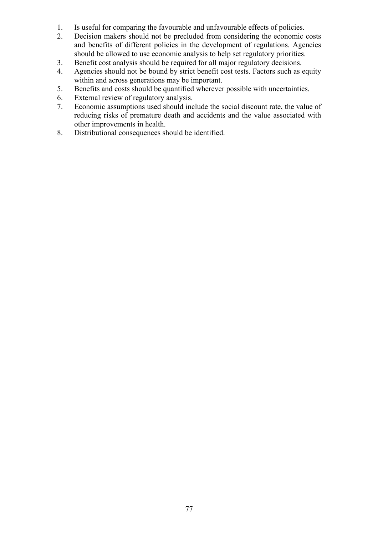- 1. Is useful for comparing the favourable and unfavourable effects of policies.
- 2. Decision makers should not be precluded from considering the economic costs and benefits of different policies in the development of regulations. Agencies should be allowed to use economic analysis to help set regulatory priorities.
- 3. Benefit cost analysis should be required for all major regulatory decisions.
- 4. Agencies should not be bound by strict benefit cost tests. Factors such as equity within and across generations may be important.
- 5. Benefits and costs should be quantified wherever possible with uncertainties.
- 6. External review of regulatory analysis.
- 7. Economic assumptions used should include the social discount rate, the value of reducing risks of premature death and accidents and the value associated with other improvements in health.
- 8. Distributional consequences should be identified.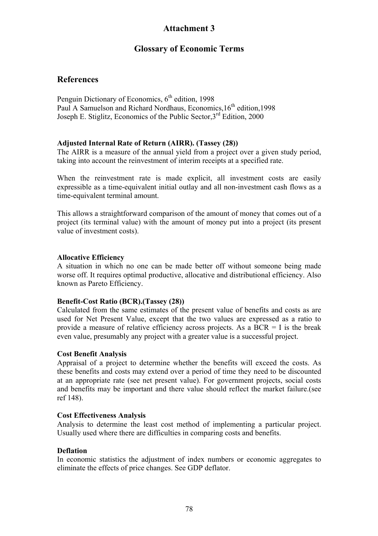# **Attachment 3**

# **Glossary of Economic Terms**

# **References**

Penguin Dictionary of Economics,  $6<sup>th</sup>$  edition, 1998 Paul A Samuelson and Richard Nordhaus, Economics, 16<sup>th</sup> edition, 1998 Joseph E. Stiglitz, Economics of the Public Sector,3rd Edition, 2000

## **Adjusted Internal Rate of Return (AIRR). (Tassey (28))**

The AIRR is a measure of the annual yield from a project over a given study period, taking into account the reinvestment of interim receipts at a specified rate.

When the reinvestment rate is made explicit, all investment costs are easily expressible as a time-equivalent initial outlay and all non-investment cash flows as a time-equivalent terminal amount.

This allows a straightforward comparison of the amount of money that comes out of a project (its terminal value) with the amount of money put into a project (its present value of investment costs).

#### **Allocative Efficiency**

A situation in which no one can be made better off without someone being made worse off. It requires optimal productive, allocative and distributional efficiency. Also known as Pareto Efficiency.

#### **Benefit-Cost Ratio (BCR).(Tassey (28))**

Calculated from the same estimates of the present value of benefits and costs as are used for Net Present Value, except that the two values are expressed as a ratio to provide a measure of relative efficiency across projects. As a  $BCR = I$  is the break even value, presumably any project with a greater value is a successful project.

#### **Cost Benefit Analysis**

Appraisal of a project to determine whether the benefits will exceed the costs. As these benefits and costs may extend over a period of time they need to be discounted at an appropriate rate (see net present value). For government projects, social costs and benefits may be important and there value should reflect the market failure.(see ref 148).

#### **Cost Effectiveness Analysis**

Analysis to determine the least cost method of implementing a particular project. Usually used where there are difficulties in comparing costs and benefits.

#### **Deflation**

In economic statistics the adjustment of index numbers or economic aggregates to eliminate the effects of price changes. See GDP deflator.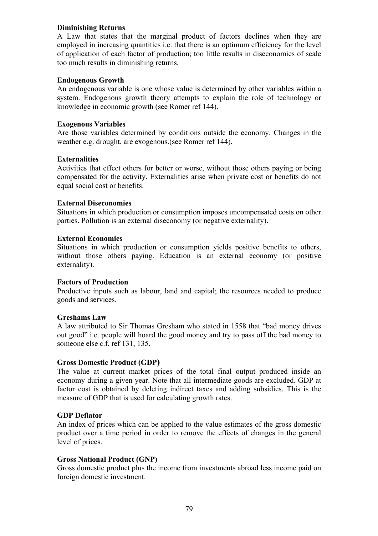# **Diminishing Returns**

A Law that states that the marginal product of factors declines when they are employed in increasing quantities i.e. that there is an optimum efficiency for the level of application of each factor of production; too little results in diseconomies of scale too much results in diminishing returns.

#### **Endogenous Growth**

An endogenous variable is one whose value is determined by other variables within a system. Endogenous growth theory attempts to explain the role of technology or knowledge in economic growth (see Romer ref 144).

#### **Exogenous Variables**

Are those variables determined by conditions outside the economy. Changes in the weather e.g. drought, are exogenous.(see Romer ref 144).

#### **Externalities**

Activities that effect others for better or worse, without those others paying or being compensated for the activity. Externalities arise when private cost or benefits do not equal social cost or benefits.

#### **External Diseconomies**

Situations in which production or consumption imposes uncompensated costs on other parties. Pollution is an external diseconomy (or negative externality).

#### **External Economies**

Situations in which production or consumption yields positive benefits to others, without those others paying. Education is an external economy (or positive externality).

#### **Factors of Production**

Productive inputs such as labour, land and capital; the resources needed to produce goods and services.

#### **Greshams Law**

A law attributed to Sir Thomas Gresham who stated in 1558 that "bad money drives out good" i.e. people will hoard the good money and try to pass off the bad money to someone else c.f. ref 131, 135.

#### **Gross Domestic Product (GDP)**

The value at current market prices of the total final output produced inside an economy during a given year. Note that all intermediate goods are excluded. GDP at factor cost is obtained by deleting indirect taxes and adding subsidies. This is the measure of GDP that is used for calculating growth rates.

#### **GDP Deflator**

An index of prices which can be applied to the value estimates of the gross domestic product over a time period in order to remove the effects of changes in the general level of prices.

#### **Gross National Product (GNP)**

Gross domestic product plus the income from investments abroad less income paid on foreign domestic investment.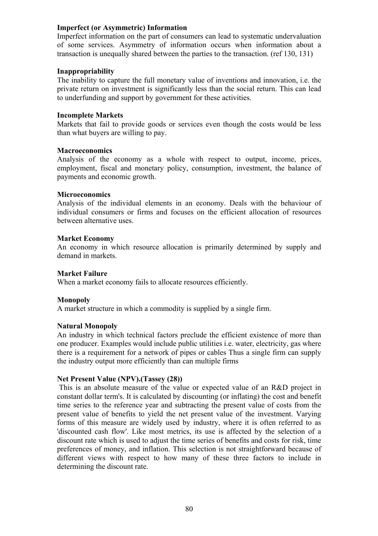#### **Imperfect (or Asymmetric) Information**

Imperfect information on the part of consumers can lead to systematic undervaluation of some services. Asymmetry of information occurs when information about a transaction is unequally shared between the parties to the transaction. (ref 130, 131)

#### **Inappropriability**

The inability to capture the full monetary value of inventions and innovation, i.e. the private return on investment is significantly less than the social return. This can lead to underfunding and support by government for these activities.

#### **Incomplete Markets**

Markets that fail to provide goods or services even though the costs would be less than what buyers are willing to pay.

#### **Macroeconomics**

Analysis of the economy as a whole with respect to output, income, prices, employment, fiscal and monetary policy, consumption, investment, the balance of payments and economic growth.

#### **Microeconomics**

Analysis of the individual elements in an economy. Deals with the behaviour of individual consumers or firms and focuses on the efficient allocation of resources between alternative uses.

#### **Market Economy**

An economy in which resource allocation is primarily determined by supply and demand in markets.

# **Market Failure**

When a market economy fails to allocate resources efficiently.

# **Monopoly**

A market structure in which a commodity is supplied by a single firm.

#### **Natural Monopoly**

An industry in which technical factors preclude the efficient existence of more than one producer. Examples would include public utilities i.e. water, electricity, gas where there is a requirement for a network of pipes or cables Thus a single firm can supply the industry output more efficiently than can multiple firms

#### **Net Present Value (NPV).(Tassey (28))**

 This is an absolute measure of the value or expected value of an R&D project in constant dollar term's. It is calculated by discounting (or inflating) the cost and benefit time series to the reference year and subtracting the present value of costs from the present value of benefits to yield the net present value of the investment. Varying forms of this measure are widely used by industry, where it is often referred to as 'discounted cash flow'. Like most metrics, its use is affected by the selection of a discount rate which is used to adjust the time series of benefits and costs for risk, time preferences of money, and inflation. This selection is not straightforward because of different views with respect to how many of these three factors to include in determining the discount rate.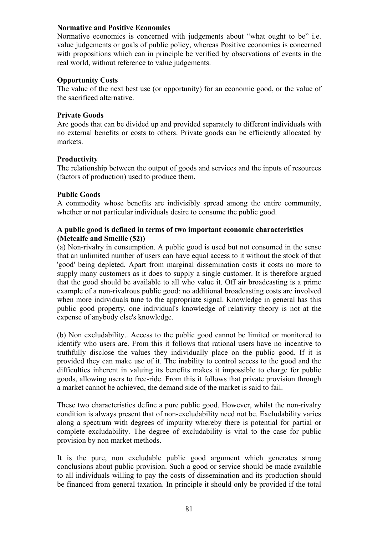#### **Normative and Positive Economics**

Normative economics is concerned with judgements about "what ought to be" i.e. value judgements or goals of public policy, whereas Positive economics is concerned with propositions which can in principle be verified by observations of events in the real world, without reference to value judgements.

#### **Opportunity Costs**

The value of the next best use (or opportunity) for an economic good, or the value of the sacrificed alternative.

# **Private Goods**

Are goods that can be divided up and provided separately to different individuals with no external benefits or costs to others. Private goods can be efficiently allocated by markets.

## **Productivity**

The relationship between the output of goods and services and the inputs of resources (factors of production) used to produce them.

## **Public Goods**

A commodity whose benefits are indivisibly spread among the entire community, whether or not particular individuals desire to consume the public good.

## **A public good is defined in terms of two important economic characteristics (Metcalfe and Smellie (52))**

(a) Non-rivalry in consumption. A public good is used but not consumed in the sense that an unlimited number of users can have equal access to it without the stock of that 'good' being depleted. Apart from marginal dissemination costs it costs no more to supply many customers as it does to supply a single customer. It is therefore argued that the good should be available to all who value it. Off air broadcasting is a prime example of a non-rivalrous public good: no additional broadcasting costs are involved when more individuals tune to the appropriate signal. Knowledge in general has this public good property, one individual's knowledge of relativity theory is not at the expense of anybody else's knowledge.

(b) Non excludability.. Access to the public good cannot be limited or monitored to identify who users are. From this it follows that rational users have no incentive to truthfully disclose the values they individually place on the public good. If it is provided they can make use of it. The inability to control access to the good and the difficulties inherent in valuing its benefits makes it impossible to charge for public goods, allowing users to free-ride. From this it follows that private provision through a market cannot be achieved, the demand side of the market is said to fail.

These two characteristics define a pure public good. However, whilst the non-rivalry condition is always present that of non-excludability need not be. Excludability varies along a spectrum with degrees of impurity whereby there is potential for partial or complete excludability. The degree of excludability is vital to the case for public provision by non market methods.

It is the pure, non excludable public good argument which generates strong conclusions about public provision. Such a good or service should be made available to all individuals willing to pay the costs of dissemination and its production should be financed from general taxation. In principle it should only be provided if the total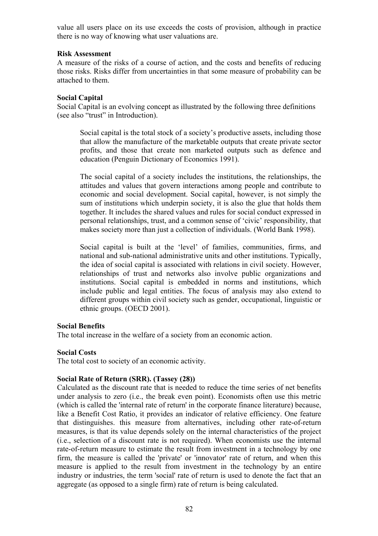value all users place on its use exceeds the costs of provision, although in practice there is no way of knowing what user valuations are.

#### **Risk Assessment**

A measure of the risks of a course of action, and the costs and benefits of reducing those risks. Risks differ from uncertainties in that some measure of probability can be attached to them.

# **Social Capital**

Social Capital is an evolving concept as illustrated by the following three definitions (see also "trust" in Introduction).

Social capital is the total stock of a society's productive assets, including those that allow the manufacture of the marketable outputs that create private sector profits, and those that create non marketed outputs such as defence and education (Penguin Dictionary of Economics 1991).

The social capital of a society includes the institutions, the relationships, the attitudes and values that govern interactions among people and contribute to economic and social development. Social capital, however, is not simply the sum of institutions which underpin society, it is also the glue that holds them together. It includes the shared values and rules for social conduct expressed in personal relationships, trust, and a common sense of 'civic' responsibility, that makes society more than just a collection of individuals. (World Bank 1998).

Social capital is built at the 'level' of families, communities, firms, and national and sub-national administrative units and other institutions. Typically, the idea of social capital is associated with relations in civil society. However, relationships of trust and networks also involve public organizations and institutions. Social capital is embedded in norms and institutions, which include public and legal entities. The focus of analysis may also extend to different groups within civil society such as gender, occupational, linguistic or ethnic groups. (OECD 2001).

#### **Social Benefits**

The total increase in the welfare of a society from an economic action.

# **Social Costs**

The total cost to society of an economic activity.

# **Social Rate of Return (SRR). (Tassey (28))**

Calculated as the discount rate that is needed to reduce the time series of net benefits under analysis to zero (i.e., the break even point). Economists often use this metric (which is called the 'internal rate of return' in the corporate finance literature) because, like a Benefit Cost Ratio, it provides an indicator of relative efficiency. One feature that distinguishes. this measure from alternatives, including other rate-of-return measures, is that its value depends solely on the internal characteristics of the project (i.e., selection of a discount rate is not required). When economists use the internal rate-of-return measure to estimate the result from investment in a technology by one firm, the measure is called the 'private' or 'innovator' rate of return, and when this measure is applied to the result from investment in the technology by an entire industry or industries, the term 'social' rate of return is used to denote the fact that an aggregate (as opposed to a single firm) rate of return is being calculated.